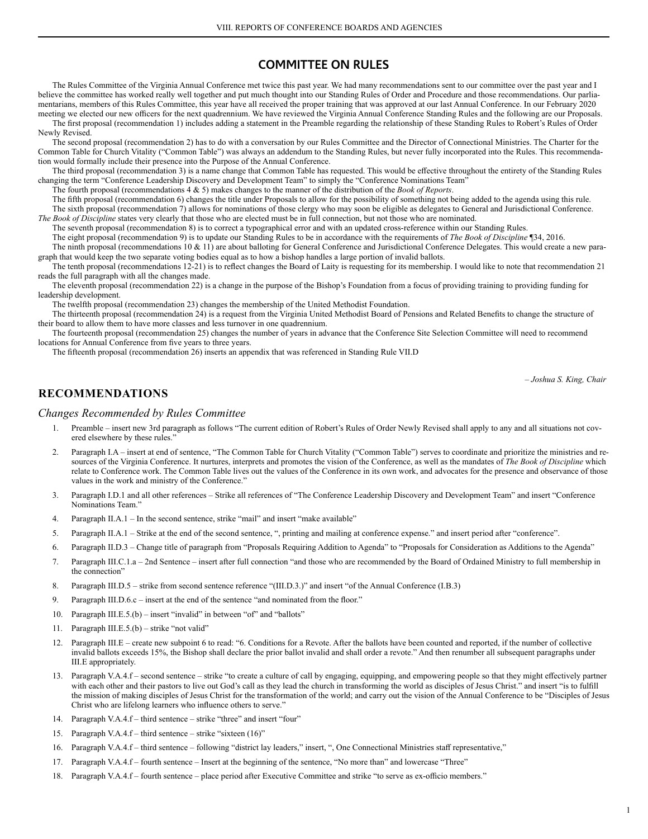### **COMMITTEE ON RULES**

The Rules Committee of the Virginia Annual Conference met twice this past year. We had many recommendations sent to our committee over the past year and I believe the committee has worked really well together and put much thought into our Standing Rules of Order and Procedure and those recommendations. Our parliamentarians, members of this Rules Committee, this year have all received the proper training that was approved at our last Annual Conference. In our February 2020 meeting we elected our new officers for the next quadrennium. We have reviewed the Virginia Annual Conference Standing Rules and the following are our Proposals.

The first proposal (recommendation 1) includes adding a statement in the Preamble regarding the relationship of these Standing Rules to Robert's Rules of Order Newly Revised.

The second proposal (recommendation 2) has to do with a conversation by our Rules Committee and the Director of Connectional Ministries. The Charter for the Common Table for Church Vitality ("Common Table") was always an addendum to the Standing Rules, but never fully incorporated into the Rules. This recommendation would formally include their presence into the Purpose of the Annual Conference.

The third proposal (recommendation 3) is a name change that Common Table has requested. This would be effective throughout the entirety of the Standing Rules changing the term "Conference Leadership Discovery and Development Team" to simply the "Conference Nominations Team"

The fourth proposal (recommendations 4 & 5) makes changes to the manner of the distribution of the *Book of Reports*.

The fifth proposal (recommendation 6) changes the title under Proposals to allow for the possibility of something not being added to the agenda using this rule. The sixth proposal (recommendation 7) allows for nominations of those clergy who may soon be eligible as delegates to General and Jurisdictional Conference.

*The Book of Discipline* states very clearly that those who are elected must be in full connection, but not those who are nominated. The seventh proposal (recommendation 8) is to correct a typographical error and with an updated cross-reference within our Standing Rules. The eight proposal (recommendation 9) is to update our Standing Rules to be in accordance with the requirements of *The Book of Discipline* ¶34, 2016.

- The ninth proposal (recommendations 10 & 11) are about balloting for General Conference and Jurisdictional Conference Delegates. This would create a new paragraph that would keep the two separate voting bodies equal as to how a bishop handles a large portion of invalid ballots.
- The tenth proposal (recommendations 12-21) is to reflect changes the Board of Laity is requesting for its membership. I would like to note that recommendation 21 reads the full paragraph with all the changes made.

The eleventh proposal (recommendation 22) is a change in the purpose of the Bishop's Foundation from a focus of providing training to providing funding for leadership development.

The twelfth proposal (recommendation 23) changes the membership of the United Methodist Foundation.

The thirteenth proposal (recommendation 24) is a request from the Virginia United Methodist Board of Pensions and Related Benefits to change the structure of their board to allow them to have more classes and less turnover in one quadrennium.

The fourteenth proposal (recommendation 25) changes the number of years in advance that the Conference Site Selection Committee will need to recommend locations for Annual Conference from five years to three years.

The fifteenth proposal (recommendation 26) inserts an appendix that was referenced in Standing Rule VII.D

*– Joshua S. King, Chair*

### **RECOMMENDATIONS**

#### *Changes Recommended by Rules Committee*

- 1. Preamble insert new 3rd paragraph as follows "The current edition of Robert's Rules of Order Newly Revised shall apply to any and all situations not covered elsewhere by these rules."
- 2. Paragraph I.A insert at end of sentence, "The Common Table for Church Vitality ("Common Table") serves to coordinate and prioritize the ministries and resources of the Virginia Conference. It nurtures, interprets and promotes the vision of the Conference, as well as the mandates of *The Book of Discipline* which relate to Conference work. The Common Table lives out the values of the Conference in its own work, and advocates for the presence and observance of those values in the work and ministry of the Conference."
- 3. Paragraph I.D.1 and all other references Strike all references of "The Conference Leadership Discovery and Development Team" and insert "Conference Nominations Team."
- 4. Paragraph II.A.1 In the second sentence, strike "mail" and insert "make available"
- 5. Paragraph II.A.1 Strike at the end of the second sentence, ", printing and mailing at conference expense." and insert period after "conference".
- 6. Paragraph II.D.3 Change title of paragraph from "Proposals Requiring Addition to Agenda" to "Proposals for Consideration as Additions to the Agenda"
- 7. Paragraph III.C.1.a 2nd Sentence insert after full connection "and those who are recommended by the Board of Ordained Ministry to full membership in the connection"
- 8. Paragraph III.D.5 strike from second sentence reference "(III.D.3.)" and insert "of the Annual Conference (I.B.3)
- 9. Paragraph III.D.6.c insert at the end of the sentence "and nominated from the floor."
- 10. Paragraph III.E.5.(b) insert "invalid" in between "of" and "ballots"
- 11. Paragraph III.E.5.(b) strike "not valid"
- 12. Paragraph III.E create new subpoint 6 to read: "6. Conditions for a Revote. After the ballots have been counted and reported, if the number of collective invalid ballots exceeds 15%, the Bishop shall declare the prior ballot invalid and shall order a revote." And then renumber all subsequent paragraphs under III.E appropriately.
- 13. Paragraph V.A.4.f second sentence strike "to create a culture of call by engaging, equipping, and empowering people so that they might effectively partner with each other and their pastors to live out God's call as they lead the church in transforming the world as disciples of Jesus Christ." and insert "is to fulfill the mission of making disciples of Jesus Christ for the transformation of the world; and carry out the vision of the Annual Conference to be "Disciples of Jesus Christ who are lifelong learners who influence others to serve."
- 14. Paragraph V.A.4.f third sentence strike "three" and insert "four"
- 15. Paragraph V.A.4.f third sentence strike "sixteen (16)"
- 16. Paragraph V.A.4.f third sentence following "district lay leaders," insert, ", One Connectional Ministries staff representative,"
- 17. Paragraph V.A.4.f fourth sentence Insert at the beginning of the sentence, "No more than" and lowercase "Three"
- 18. Paragraph V.A.4.f fourth sentence place period after Executive Committee and strike "to serve as ex-officio members."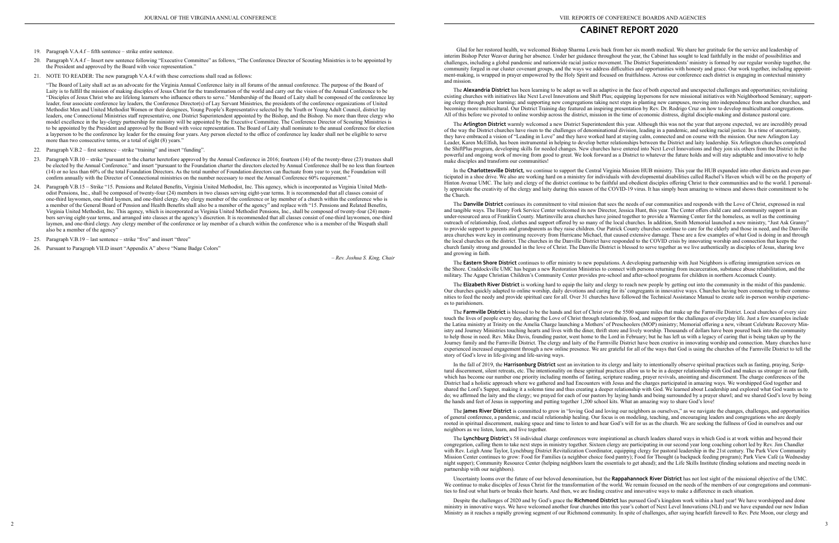- 19. Paragraph V.A.4.f fifth sentence strike entire sentence.
- 20. Paragraph V.A.4.f Insert new sentence following "Executive Committee" as follows, "The Conference Director of Scouting Ministries is to be appointed by the President and approved by the Board with voice representation."
- 21. NOTE TO READER: The new paragraph V.A.4.f with these corrections shall read as follows:

"The Board of Laity shall act as an advocate for the Virginia Annual Conference laity in all forums of the annual conference. The purpose of the Board of Laity is to fulfill the mission of making disciples of Jesus Christ for the transformation of the world and carry out the vision of the Annual Conference to be "Disciples of Jesus Christ who are lifelong learners who influence others to serve." Membership of the Board of Laity shall be composed of the conference lay leader, four associate conference lay leaders, the Conference Director(s) of Lay Servant Ministries, the presidents of the conference organizations of United Methodist Men and United Methodist Women or their designees, Young People's Representative selected by the Youth or Young Adult Council, district lay leaders, one Connectional Ministries staff representative, one District Superintendent appointed by the Bishop, and the Bishop. No more than three clergy who model excellence in the lay-clergy partnership for ministry will be appointed by the Executive Committee. The Conference Director of Scouting Ministries is to be appointed by the President and approved by the Board with voice representation. The Board of Laity shall nominate to the annual conference for election a layperson to be the conference lay leader for the ensuing four years. Any person elected to the office of conference lay leader shall not be eligible to serve more than two consecutive terms, or a total of eight (8) years."

- 22. Paragraph V.B.2 first sentence strike "training" and insert "funding".
- 23. Paragraph V.B.10 strike "pursuant to the charter heretofore approved by the Annual Conference in 2016; fourteen (14) of the twenty-three (23) trustees shall be elected by the Annual Conference." and insert "pursuant to the Foundation charter the directors elected by Annual Conference shall be no less than fourteen (14) or no less than 60% of the total Foundation Directors. As the total number of Foundation directors can fluctuate from year to year, the Foundation will confirm annually with the Director of Connectional ministries on the number necessary to meet the Annual Conference 60% requirement."
- 24. Paragraph V.B.15 Strike "15. Pensions and Related Benefits, Virginia United Methodist, Inc. This agency, which is incorporated as Virginia United Methodist Pensions, Inc., shall be composed of twenty-four (24) members in two classes serving eight-year terms. It is recommended that all classes consist of one-third laywomen, one-third laymen, and one-third clergy. Any clergy member of the conference or lay member of a church within the conference who is a member of the General Board of Pension and Health Benefits shall also be a member of the agency" and replace with "15. Pensions and Related Benefits, Virginia United Methodist, Inc. This agency, which is incorporated as Virginia United Methodist Pensions, Inc., shall be composed of twenty-four (24) members serving eight-year terms, and arranged into classes at the agency's discretion. It is recommended that all classes consist of one-third laywomen, one-third laymen, and one-third clergy. Any clergy member of the conference or lay member of a church within the conference who is a member of the Wespath shall also be a member of the agency"
- 25. Paragraph V.B.19 last sentence strike "five" and insert "three"
- 26. Pursuant to Paragraph VII.D insert "Appendix A" above "Name Badge Colors"

*– Rev. Joshua S. King, Chair*

## **CABINET REPORT 2020**

The **Danville District** continues its commitment to vital mission that sees the needs of our communities and responds with the Love of Christ, expressed in real and tangible ways. The Henry Fork Service Center welcomed its new Director, Jessica Hunt, this year. The Center offers child care and community support in an under-resourced area of Franklin County. Martinsville area churches have joined together to provide a Warming Center for the homeless, as well as the continuing outreach of relationship, food, clothes and support offered by so many of the local churches. In addition, Smith Memorial launched a new ministry, "Just Ask Granny" to provide support to parents and grandparents as they raise children. Our Patrick County churches continue to care for the elderly and those in need, and the Danville area churches were key in continuing recovery from Hurricane Michael, that caused extensive damage. These are a few examples of what God is doing in and through the local churches on the district. The churches in the Danville District have responded to the COVID crisis by innovating worship and connection that keeps the church family strong and grounded in the love of Christ. The Danville District is blessed to serve together as we live authentically as disciples of Jesus, sharing love and growing in faith.

Glad for her restored health, we welcomed Bishop Sharma Lewis back from her six month medical. We share her gratitude for the service and leadership of interim Bishop Peter Weaver during her absence. Under her guidance throughout the year, the Cabinet has sought to lead faithfully in the midst of possibilities and challenges, including a global pandemic and nationwide racial justice movement. The District Superintendents' ministry is formed by our regular worship together, the community forged in our cluster covenant groups, and the ways we address difficulties and opportunities with honesty and grace. Our work together, including appointment-making, is wrapped in prayer empowered by the Holy Spirit and focused on fruitfulness. Across our conference each district is engaging in contextual ministry and mission.

The **Eastern Shore District** continues to offer ministry to new populations. A developing partnership with Just Neighbors is offering immigration services on the Shore. Craddockville UMC has begun a new Restoration Ministries to connect with persons returning from incarceration, substance abuse rehabilitation, and the military. The Agape Christian Children's Community Center provides pre-school and after-school programs for children in northern Accomack County.

The **Alexandria District** has been learning to be adept as well as adaptive in the face of both expected and unexpected challenges and opportunities; revitalizing existing churches with initiatives like Next Level Innovations and Shift Plus; equipping laypersons for new missional initiatives with Neighborhood Seminary; supporting clergy through peer learning; and supporting new congregations taking next steps in planting new campuses, moving into independence from anchor churches, and becoming more multicultural. Our District Training day featured an inspiring presentation by Rev. Dr. Rodrigo Cruz on how to develop multicultural congregations. All of this before we pivoted to online worship across the district, mission in the time of economic distress, digital disciple-making and distance pastoral care.

The **Arlington District** warmly welcomed a new District Superintendent this year. Although this was not the year that anyone expected, we are incredibly proud of the way the District churches have risen to the challenges of denominational division, leading in a pandemic, and seeking racial justice. In a time of uncertainty, they have embraced a vision of "Leading in Love" and they have worked hard at staying calm, connected and on course with the mission. Our new Arlington Lay Leader, Karen McElfish, has been instrumental in helping to develop better relationships between the District and laity leadership. Six Arlington churches completed the ShiftPlus program, developing skills for needed changes. New churches have entered into Next Level Innovations and they join six others from the District in the powerful and ongoing work of moving from good to great. We look forward as a District to whatever the future holds and will stay adaptable and innovative to help make disciples and transform our communities!

In the **Charlottesville District,** we continue to support the Central Virginia Mission HUB ministry. This year the HUB expanded into other districts and even participated in a shoe drive. We also are working hard on a ministry for individuals with developmental disabilities called Rachel's Haven which will be on the property of Hinton Avenue UMC. The laity and clergy of the district continue to be faithful and obedient disciples offering Christ to their communities and to the world. I personally appreciate the creativity of the clergy and laity during this season of the COVID-19 virus. It has simply been amazing to witness and shows their commitment to be the Church.

The **Elizabeth River District** is working hard to equip the laity and clergy to reach new people by getting out into the community in the midst of this pandemic. Our churches quickly adapted to online worship, daily devotions and caring for its' congregants in innovative ways. Churches having been connecting to their communities to feed the needy and provide spiritual care for all. Over 31 churches have followed the Technical Assistance Manual to create safe in-person worship experiences to parishioners.

The **Farmville District** is blessed to be the hands and feet of Christ over the 5500 square miles that make up the Farmville District. Local churches of every size touch the lives of people every day, sharing the Love of Christ through relationship, food, and support for the challenges of everyday life. Just a few examples include the Latina ministry at Trinity on the Amelia Charge launching a Mothers' of Preschoolers (MOP) ministry; Memorial offering a new, vibrant Celebrate Recovery Ministry and Journey Ministries touching hearts and lives with the diner, thrift store and lively worship. Thousands of dollars have been poured back into the community to help those in need. Rev. Mike Davis, founding pastor, went home to the Lord in February; but he has left us with a legacy of caring that is being taken up by the Journey family and the Farmville District. The clergy and laity of the Farmville District have been creative in innovating worship and connection. Many churches have experienced increased engagement through a new online presence. We are grateful for all of the ways that God is using the churches of the Farmville District to tell the story of God's love in life-giving and life-saving ways.

In the fall of 2019, the **Harrisonburg District** sent an invitation to its clergy and laity to intentionally observe spiritual practices such as fasting, praying, Scriptural discernment, silent retreats, etc. The intentionality on these spiritual practices allow us to be in a deeper relationship with God and makes us stronger in our faith, which has become our number one priority including months of fasting, scripture reading, prayer revivals, anointing and discernment. The charge conferences of the District had a holistic approach where we gathered and had Encounters with Jesus and the charges participated in amazing ways. We worshipped God together and shared the Lord's Supper, making it a solemn time and thus creating a deeper relationship with God. We learned about Leadership and explored what God wants us to do; we affirmed the laity and the clergy; we prayed for each of our pastors by laying hands and being surrounded by a prayer shawl; and we shared God's love by being the hands and feet of Jesus in supporting and putting together 1,200 school kits. What an amazing way to share God's love!

The **James River District** is committed to grow in "loving God and loving our neighbors as ourselves," as we navigate the changes, challenges, and opportunities of general conference, a pandemic, and racial relationship healing. Our focus is on modeling, teaching, and encouraging leaders and congregations who are deeply rooted in spiritual discernment, making space and time to listen to and hear God's will for us as the church. We are seeking the fullness of God in ourselves and our neighbors as we listen, learn, and live together.

The **Lynchburg District**'s 58 individual charge conferences were inspirational as church leaders shared ways in which God is at work within and beyond their congregation, calling them to take next steps in ministry together. Sixteen clergy are participating in our second year long coaching cohort led by Rev. Jim Chandler with Rev. Leigh Anne Taylor, Lynchburg District Revitalization Coordinator, equipping clergy for pastoral leadership in the 21st century. The Park View Community Mission Center continues to grow: Food for Families (a neighbor choice food pantry); Food for Thought (a backpack feeding program); Park View Café (a Wednesday night supper); Community Resource Center (helping neighbors learn the essentials to get ahead); and the Life Skills Institute (finding solutions and meeting needs in partnership with our neighbors).

Uncertainty looms over the future of our beloved denomination, but the **Rappahannock River District** has not lost sight of the missional objective of the UMC. We continue to make disciples of Jesus Christ for the transformation of the world. We remain focused on the needs of the members of our congregations and communities to find out what hurts or breaks their hearts. And then, we are finding creative and innovative ways to make a difference in each situation.

Despite the challenges of 2020 and by God's grace the **Richmond District** has pursued God's kingdom work within a hard year! We have worshipped and done ministry in innovative ways. We have welcomed another four churches into this year's cohort of Next Level Innovations (NLI) and we have expanded our new Indian Ministry as it reaches a rapidly growing segment of our Richmond community. In spite of challenges, after saying hearfelt farewell to Rev. Pete Moon, our clergy and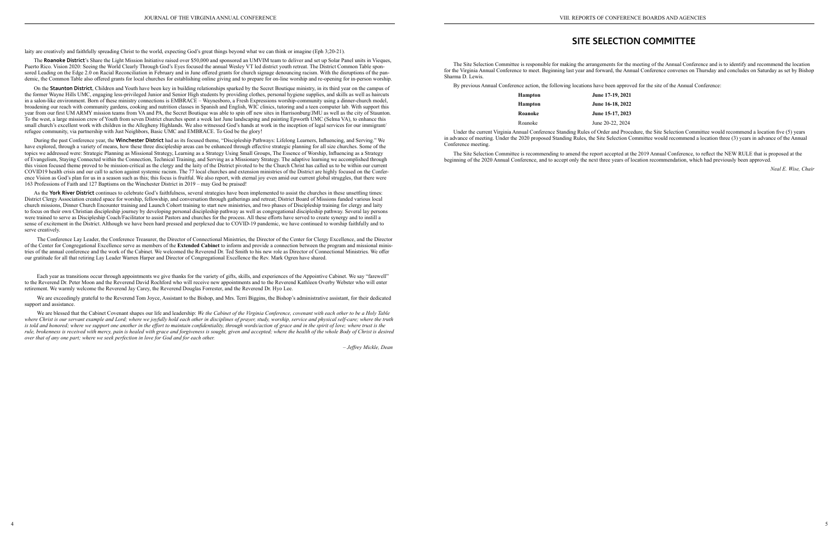laity are creatively and faithfully spreading Christ to the world, expecting God's great things beyond what we can think or imagine (Eph 3;20-21).

The **Roanoke District**'s Share the Light Mission Initiative raised over \$50,000 and sponsored an UMVIM team to deliver and set up Solar Panel units in Vieques, Puerto Rico. Vision 2020: Seeing the World Clearly Through God's Eyes focused the annual Wesley VT led district youth retreat. The District Common Table sponsored Leading on the Edge 2.0 on Racial Reconciliation in February and in June offered grants for church signage denouncing racism. With the disruptions of the pandemic, the Common Table also offered grants for local churches for establishing online giving and to prepare for on-line worship and re-opening for in-person worship.

On the **Staunton District**, Children and Youth have been key in building relationships sparked by the Secret Boutique ministry, in its third year on the campus of the former Wayne Hills UMC, engaging less-privileged Junior and Senior High students by providing clothes, personal hygiene supplies, and skills as well as haircuts in a salon-like environment. Born of these ministry connections is EMBRACE – Waynesboro, a Fresh Expressions worship-community using a dinner-church model, broadening our reach with community gardens, cooking and nutrition classes in Spanish and English, WIC clinics, tutoring and a teen computer lab. With support this year from our first UM ARMY mission teams from VA and PA, the Secret Boutique was able to spin off new sites in Harrisonburg/JMU as well as the city of Staunton. To the west, a large mission crew of Youth from seven District churches spent a week last June landscaping and painting Epworth UMC (Selma VA), to enhance this small church's excellent work with children in the Allegheny Highlands. We also witnessed God's hands at work in the inception of legal services for our immigrant/ refugee community, via partnership with Just Neighbors, Basic UMC and EMBRACE. To God be the glory!

During the past Conference year, the **Winchester District** had as its focused theme, "Discipleship Pathways: Lifelong Learners, Influencing, and Serving." We have explored, through a variety of means, how these three discipleship areas can be enhanced through effective strategic planning for all size churches. Some of the topics we addressed were: Strategic Planning as Missional Strategy, Learning as a Strategy Using Small Groups, The Essence of Worship, Influencing as a Strategy of Evangelism, Staying Connected within the Connection, Technical Training, and Serving as a Missionary Strategy. The adaptive learning we accomplished through this vision focused theme proved to be mission-critical as the clergy and the laity of the District pivoted to be the Church Christ has called us to be within our current COVID19 health crisis and our call to action against systemic racism. The 77 local churches and extension ministries of the District are highly focused on the Conference Vision as God's plan for us in a season such as this; this focus is fruitful. We also report, with eternal joy even amid our current global struggles, that there were 163 Professions of Faith and 127 Baptisms on the Winchester District in 2019 – may God be praised!

We are blessed that the Cabinet Covenant shapes our life and leadership: *We the Cabinet of the Virginia Conference, covenant with each other to be a Holy Table where Christ is our servant example and Lord; where we joyfully hold each other in disciplines of prayer, study, worship, service and physical self-care; where the truth*  is told and honored; where we support one another in the effort to maintain confidentiality, through words/action of grace and in the spirit of love; where trust is the *rule, brokenness is received with mercy, pain is healed with grace and forgiveness is sought, given and accepted; where the health of the whole Body of Christ is desired over that of any one part; where we seek perfection in love for God and for each other.*

As the **York River District** continues to celebrate God's faithfulness, several strategies have been implemented to assist the churches in these unsettling times: District Clergy Association created space for worship, fellowship, and conversation through gatherings and retreat; District Board of Missions funded various local church missions, Dinner Church Encounter training and Launch Cohort training to start new ministries, and two phases of Discipleship training for clergy and laity to focus on their own Christian discipleship journey by developing personal discipleship pathway as well as congregational discipleship pathway. Several lay persons were trained to serve as Discipleship Coach/Facilitator to assist Pastors and churches for the process. All these efforts have served to create synergy and to instill a sense of excitement in the District. Although we have been hard pressed and perplexed due to COVID-19 pandemic, we have continued to worship faithfully and to serve creatively.

The Conference Lay Leader, the Conference Treasurer, the Director of Connectional Ministries, the Director of the Center for Clergy Excellence, and the Director of the Center for Congregational Excellence serve as members of the **Extended Cabinet** to inform and provide a connection between the program and missional ministries of the annual conference and the work of the Cabinet. We welcomed the Reverend Dr. Ted Smith to his new role as Director of Connectional Ministries. We offer our gratitude for all that retiring Lay Leader Warren Harper and Director of Congregational Excellence the Rev. Mark Ogren have shared.

Each year as transitions occur through appointments we give thanks for the variety of gifts, skills, and experiences of the Appointive Cabinet. We say "farewell" to the Reverend Dr. Peter Moon and the Reverend David Rochford who will receive new appointments and to the Reverend Kathleen Overby Webster who will enter retirement. We warmly welcome the Reverend Jay Carey, the Reverend Douglas Forrester, and the Reverend Dr. Hyo Lee.

We are exceedingly grateful to the Reverend Tom Joyce, Assistant to the Bishop, and Mrs. Terri Biggins, the Bishop's administrative assistant, for their dedicated support and assistance.

*– Jeffrey Mickle, Dean*

## **SITE SELECTION COMMITTEE**

- 
- 
- 
- 
- 

The Site Selection Committee is responsible for making the arrangements for the meeting of the Annual Conference and is to identify and recommend the location for the Virginia Annual Conference to meet. Beginning last year and forward, the Annual Conference convenes on Thursday and concludes on Saturday as set by Bishop Sharma D. Lewis.

By previous Annual Conference action, the following locations have been approved for the site of the Annual Conference:

| <b>Hampton</b> | June 17-19, 2021 |
|----------------|------------------|
| <b>Hampton</b> | June 16-18, 2022 |
| Roanoke        | June 15-17, 2023 |
| Roanoke        | June 20-22, 2024 |

Under the current Virginia Annual Conference Standing Rules of Order and Procedure, the Site Selection Committee would recommend a location five (5) years in advance of meeting. Under the 2020 proposed Standing Rules, the Site Selection Committee would recommend a location three (3) years in advance of the Annual Conference meeting.

The Site Selection Committee is recommending to amend the report accepted at the 2019 Annual Conference, to reflect the NEW RULE that is proposed at the beginning of the 2020 Annual Conference, and to accept only the next three years of location recommendation, which had previously been approved.

*Neal E. Wise, Chair*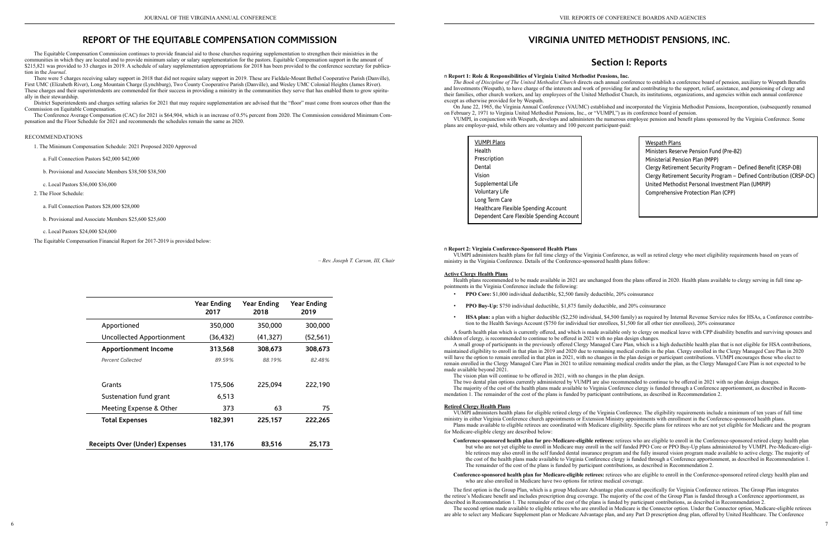## **REPORT OF THE EQUITABLE COMPENSATION COMMISSION**

The Equitable Compensation Commission continues to provide financial aid to those churches requiring supplementation to strengthen their ministries in the communities in which they are located and to provide minimum salary or salary supplementation for the pastors. Equitable Compensation support in the amount of \$215,821 was provided to 33 charges in 2019. A schedule of salary supplementation appropriations for 2018 has been provided to the conference secretary for publication in the *Journal*.

District Superintendents and charges setting salaries for 2021 that may require supplementation are advised that the "floor" must come from sources other than the Commission on Equitable Compensation.

There were 5 charges receiving salary support in 2018 that did not require salary support in 2019. These are Fieldale-Mount Bethel Cooperative Parish (Danville), First UMC (Elizabeth River), Long Mountain Charge (Lynchburg), Two County Cooperative Parish (Danville), and Wesley UMC Colonial Heights (James River). These charges and their superintendents are commended for their success in providing a ministry in the communities they serve that has enabled them to grow spiritually in their stewardship.

The Conference Average Compensation (CAC) for 2021 is \$64,904, which is an increase of 0.5% percent from 2020. The Commission considered Minimum Compensation and the Floor Schedule for 2021 and recommends the schedules remain the same as 2020.

### RECOMMENDATIONS

1. The Minimum Compensation Schedule: 2021 Proposed 2020 Approved

- a. Full Connection Pastors \$42,000 \$42,000
- b. Provisional and Associate Members \$38,500 \$38,500
- c. Local Pastors \$36,000 \$36,000
- 2. The Floor Schedule:
	- a. Full Connection Pastors \$28,000 \$28,000
	- b. Provisional and Associate Members \$25,600 \$25,600
	- c. Local Pastors \$24,000 \$24,000

The Equitable Compensation Financial Report for 2017-2019 is provided below:

*– Rev. Joseph T. Carson, III, Chair*

|                                       | <b>Year Ending</b><br>2017 | <b>Year Ending</b><br>2018 | <b>Year Ending</b><br>2019 |
|---------------------------------------|----------------------------|----------------------------|----------------------------|
| Apportioned                           | 350,000                    | 350,000                    | 300,000                    |
| Uncollected Apportionment             | (36, 432)                  | (41, 327)                  | (52, 561)                  |
| <b>Apportionment Income</b>           | 313,568                    | 308,673                    | 308,673                    |
| Percent Collected                     | 89.59%                     | 88.19%                     | 82.48%                     |
| Grants                                | 175,506                    | 225,094                    | 222,190                    |
| Sustenation fund grant                | 6,513                      |                            |                            |
| Meeting Expense & Other               | 373                        | 63                         | 75                         |
| <b>Total Expenses</b>                 | 182,391                    | 225,157                    | 222,265                    |
| <b>Receipts Over (Under) Expenses</b> | 131,176                    | 83,516                     | 25,173                     |

## **VIRGINIA UNITED METHODIST PENSIONS, INC.**

## **Section I: Reports**

n **Report 1: Role & Responsibilities of Virginia United Methodist Pensions, Inc.** *The Book of Discipline of The United Methodist Church* directs each annual conference to establish a conference board of pension, auxiliary to Wespath Benefits and Investments (Wespath), to have charge of the interests and work of providing for and contributing to the support, relief, assistance, and pensioning of clergy and their families, other church workers, and lay employees of the United Methodist Church, its institutions, organizations, and agencies within each annual conference except as otherwise provided for by Wespath.

On June 22, 1965, the Virginia Annual Conference (VAUMC) established and incorporated the Virginia Methodist Pensions, Incorporation, (subsequently renamed on February 2, 1971 to Virginia United Methodist Pensions, Inc., or "VUMPI,") as its conference board of pension.

VUMPI, in conjunction with Wespath, develops and administers the numerous employee pension and benefit plans sponsored by the Virginia Conference. Some plans are employer-paid, while others are voluntary and 100 percent participant-paid:

#### n **Report 2: Virginia Conference-Sponsored Health Plans**

VUMPI administers health plans for full time clergy of the Virginia Conference, as well as retired clergy who meet eligibility requirements based on years of ministry in the Virginia Conference. Details of the Conference-sponsored health plans follow:

#### **Active Clergy Health Plans**

Health plans recommended to be made available in 2021 are unchanged from the plans offered in 2020. Health plans available to clergy serving in full time appointments in the Virginia Conference include the following:

- **• PPO Core:** \$1,000 individual deductible, \$2,500 family deductible, 20% coinsurance
- **• PPO Buy-Up:** \$750 individual deductible, \$1,875 family deductible, and 20% coinsurance
- tion to the Health Savings Account (\$750 for individual tier enrollees, \$1,500 for all other tier enrollees), 20% coinsurance

**• HSA plan:** a plan with a higher deductible (\$2,250 individual, \$4,500 family) as required by Internal Revenue Service rules for HSAs, a Conference contribu-

A fourth health plan which is currently offered, and which is made available only to clergy on medical leave with CPP disability benefits and surviving spouses and children of clergy, is recommended to continue to be offered in 2021 with no plan design changes.

A small group of participants in the previously offered Clergy Managed Care Plan, which is a high deductible health plan that is not eligible for HSA contributions, maintained eligibility to enroll in that plan in 2019 and 2020 due to remaining medical credits in the plan. Clergy enrolled in the Clergy Managed Care Plan in 2020 will have the option to remain enrolled in that plan in 2021, with no changes in the plan design or participant contributions. VUMPI encourages those who elect to remain enrolled in the Clergy Managed Care Plan in 2021 to utilize remaining medical credits under the plan, as the Clergy Managed Care Plan is not expected to be made available beyond 2021.

The vision plan will continue to be offered in 2021, with no changes in the plan design. The two dental plan options currently administered by VUMPI are also recommended to continue to be offered in 2021 with no plan design changes. The majority of the cost of the health plans made available to Virginia Conference clergy is funded through a Conference apportionment, as described in Recom-

mendation 1. The remainder of the cost of the plans is funded by participant contributions, as described in Recommendation 2.

#### **Retired Clergy Health Plans**

VUMPI administers health plans for eligible retired clergy of the Virginia Conference. The eligibility requirements include a minimum of ten years of full time ministry in either Virginia Conference church appointments or Extension Ministry appointments with enrollment in the Conference-sponsored health plans. Plans made available to eligible retirees are coordinated with Medicare eligibility. Specific plans for retirees who are not yet eligible for Medicare and the program for Medicare-eligible clergy are described below:

**Conference-sponsored health plan for pre-Medicare-eligible retirees:** retirees who are eligible to enroll in the Conference-sponsored retired clergy health plan but who are not yet eligible to enroll in Medicare may enroll in the self funded PPO Core or PPO Buy-Up plans administered by VUMPI. Pre-Medicare-eligible retirees may also enroll in the self funded dental insurance program and the fully insured vision program made available to active clergy. The majority of the cost of the health plans made available to Virginia Conference clergy is funded through a Conference apportionment, as described in Recommendation 1. The remainder of the cost of the plans is funded by participant contributions, as described in Recommendation 2.

**Conference-sponsored health plan for Medicare-eligible retirees:** retirees who are eligible to enroll in the Conference-sponsored retired clergy health plan and

## who are also enrolled in Medicare have two options for retiree medical coverage.

The first option is the Group Plan, which is a group Medicare Advantage plan created specifically for Virginia Conference retirees. The Group Plan integrates the retiree's Medicare benefit and includes prescription drug coverage. The majority of the cost of the Group Plan is funded through a Conference apportionment, as described in Recommendation 1. The remainder of the cost of the plans is funded by participant contributions, as described in Recommendation 2. The second option made available to eligible retirees who are enrolled in Medicare is the Connector option. Under the Connector option, Medicare-eligible retirees are able to select any Medicare Supplement plan or Medicare Advantage plan, and any Part D prescription drug plan, offered by United Healthcare. The Conference

| <b>VUMPI Plans</b>                       |
|------------------------------------------|
| Health<br>Prescription                   |
| Dental                                   |
| Vision                                   |
| Supplemental Life<br>Voluntary Life      |
| Long Term Care                           |
| Healthcare Flexible Spending Account     |
| Dependent Care Flexible Spending Account |

Wespath Plans Ministers Reserve Pension Fund (Pre-82) Ministerial Pension Plan (MPP) Clergy Retirement Security Program – Defined Benefit (CRSP-DB) Clergy Retirement Security Program – Defined Contribution (CRSP-DC) United Methodist Personal Investment Plan (UMPIP) Comprehensive Protection Plan (CPP)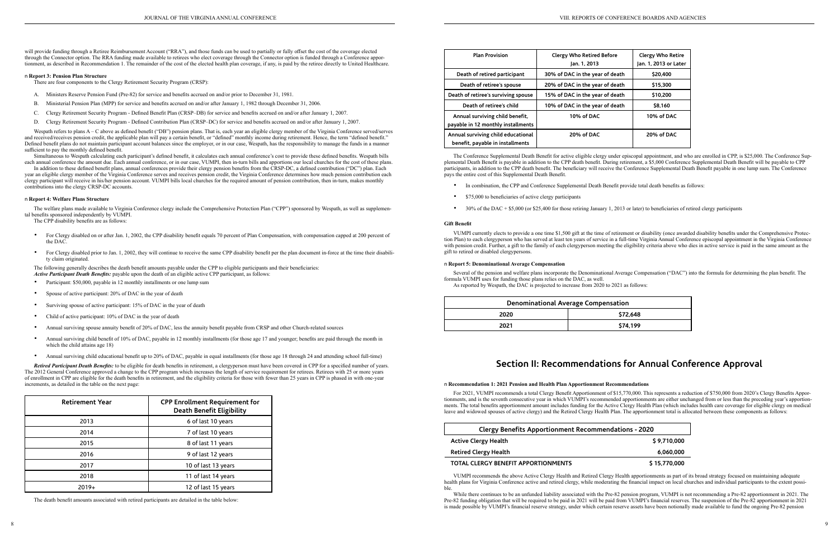will provide funding through a Retiree Reimbursement Account ("RRA"), and those funds can be used to partially or fully offset the cost of the coverage elected through the Connector option. The RRA funding made available to retirees who elect coverage through the Connector option is funded through a Conference apportionment, as described in Recommendation 1. The remainder of the cost of the elected health plan coverage, if any, is paid by the retiree directly to United Healthcare.

#### n **Report 3: Pension Plan Structure**

There are four components to the Clergy Retirement Security Program (CRSP):

Simultaneous to Wespath calculating each participant's defined benefit, it calculates each annual conference's cost to provide these defined benefits. Wespath bills each annual conference the amount due. Each annual conference, or in our case, VUMPI, then in-turn bills and apportions our local churches for the cost of these plans.

- A. Ministers Reserve Pension Fund (Pre-82) for service and benefits accrued on and/or prior to December 31, 1981.
- B. Ministerial Pension Plan (MPP) for service and benefits accrued on and/or after January 1, 1982 through December 31, 2006.
- C. Clergy Retirement Security Program Defined Benefit Plan (CRSP–DB) for service and benefits accrued on and/or after January 1, 2007.
- D. Clergy Retirement Security Program Defined Contribution Plan (CRSP–DC) for service and benefits accrued on and/or after January 1, 2007.

Wespath refers to plans A – C above as defined benefit ("DB") pension plans. That is, each year an eligible clergy member of the Virginia Conference served/serves and received/receives pension credit, the applicable plan will pay a certain benefit, or "defined" monthly income during retirement. Hence, the term "defined benefit." Defined benefit plans do not maintain participant account balances since the employer, or in our case, Wespath, has the responsibility to manage the funds in a manner sufficient to pay the monthly defined benefit.

In addition to these defined benefit plans, annual conferences provide their clergy pension benefits from the CRSP-DC, a defined contribution ("DC") plan. Each year an eligible clergy member of the Virginia Conference serves and receives pension credit, the Virginia Conference determines how much pension contribution each clergy participant will receive in his/her pension account. VUMPI bills local churches for the required amount of pension contribution, then in-turn, makes monthly contributions into the clergy CRSP-DC accounts.

- For Clergy disabled on or after Jan. 1, 2002, the CPP disability benefit equals 70 percent of Plan Compensation, with compensation capped at 200 percent of the DAC.
- For Clergy disabled prior to Jan. 1, 2002, they will continue to receive the same CPP disability benefit per the plan document in-force at the time their disability claim originated.

- **•** Participant: \$50,000, payable in 12 monthly installments or one lump sum
- **•** Spouse of active participant: 20% of DAC in the year of death
- **•** Surviving spouse of active participant: 15% of DAC in the year of death
- **•** Child of active participant: 10% of DAC in the year of death
- **•** Annual surviving spouse annuity benefit of 20% of DAC, less the annuity benefit payable from CRSP and other Church-related sources
- **•** Annual surviving child benefit of 10% of DAC, payable in 12 monthly installments (for those age 17 and younger; benefits are paid through the month in which the child attains age 18)
- Annual surviving child educational benefit up to 20% of DAC, payable in equal installments (for those age 18 through 24 and attending school full-time)

#### n **Report 4: Welfare Plans Structure**

The welfare plans made available to Virginia Conference clergy include the Comprehensive Protection Plan ("CPP") sponsored by Wespath, as well as supplemental benefits sponsored independently by VUMPI.

The CPP disability benefits are as follows:

- In combination, the CPP and Conference Supplemental Death Benefit provide total death benefits as follows:
- **•** \$75,000 to beneficiaries of active clergy participants
- **•** 30% of the DAC + \$5,000 (or \$25,400 for those retiring January 1, 2013 or later) to beneficiaries of retired clergy participants

The following generally describes the death benefit amounts payable under the CPP to eligible participants and their beneficiaries:

*Active Participant Death Benefits:* payable upon the death of an eligible active CPP participant, as follows:

For 2021, VUMPI recommends a total Clergy Benefit Apportionment of \$15,770,000. This represents a reduction of \$750,000 from 2020's Clergy Benefits Apportionments, and is the seventh consecutive year in which VUMPI's recommended apportionments are either unchanged from or less than the preceding year's apportionments. The total benefits apportionment amount includes funding for the Active Clergy Health Plan (which includes health care coverage for eligible clergy on medical leave and widowed spouses of active clergy) and the Retired Clergy Health Plan. The apportionment total is allocated between these components as follows:

#### **Clergy Benefits Apportionment Recommendations**

**Active Clergy Health** 

#### **Retired Clergy Health**

#### **TOTAL CLERGY BENEFIT APPORTIONMENTS**

*Retired Participant Death Benefits:* to be eligible for death benefits in retirement, a clergyperson must have been covered in CPP for a specified number of years. The 2012 General Conference approved a change to the CPP program which increases the length of service requirement for retirees. Retirees with 25 or more years of enrollment in CPP are eligible for the death benefits in retirement, and the eligibility criteria for those with fewer than 25 years in CPP is phased in with one-year increments, as detailed in the table on the next page:

> While there continues to be an unfunded liability associated with the Pre-82 pension program, VUMPI is not recommending a Pre-82 apportionment in 2021. The Pre-82 funding obligation that will be required to be paid in 2021 will be paid from VUMPI's financial reserves. The suspension of the Pre-82 apportionment in 2021 is made possible by VUMPI's financial reserve strategy, under which certain reserve assets have been notionally made available to fund the ongoing Pre-82 pension

| itions - 2020 |
|---------------|
| \$9.710.000   |
| 6.060.000     |
| \$15,770,000  |

| <b>Retirement Year</b> | <b>CPP Enrollment Requirement for</b><br><b>Death Benefit Eligibility</b> |
|------------------------|---------------------------------------------------------------------------|
| 2013                   | 6 of last 10 years                                                        |
| 2014                   | 7 of last 10 years                                                        |
| 2015                   | 8 of last 11 years                                                        |
| 2016                   | 9 of last 12 years                                                        |
| 2017                   | 10 of last 13 years                                                       |
| 2018                   | 11 of last 14 years                                                       |
| $2019+$                | 12 of last 15 years                                                       |

The death benefit amounts associated with retired participants are detailed in the table below:

| <b>Plan Provision</b>                                                  | <b>Clergy Who Retired Before</b><br>Jan. 1, 2013 | <b>Clergy Who Retire</b><br>Jan. 1, 2013 or Later |
|------------------------------------------------------------------------|--------------------------------------------------|---------------------------------------------------|
| Death of retired participant                                           | 30% of DAC in the year of death                  | \$20,400                                          |
| Death of retiree's spouse                                              | 20% of DAC in the year of death                  | \$15,300                                          |
| Death of retiree's surviving spouse                                    | 15% of DAC in the year of death                  | \$10,200                                          |
| Death of retiree's child                                               | 10% of DAC in the year of death                  | \$8.160                                           |
| Annual surviving child benefit,<br>payable in 12 monthly installments  | 10% of DAC                                       | 10% of DAC                                        |
| Annual surviving child educational<br>benefit, payable in installments | 20% of DAC                                       | 20% of DAC                                        |

The Conference Supplemental Death Benefit for active eligible clergy under episcopal appointment, and who are enrolled in CPP, is \$25,000. The Conference Supplemental Death Benefit is payable in addition to the CPP death benefit. During retirement, a \$5,000 Conference Supplemental Death Benefit will be payable to CPP participants, in addition to the CPP death benefit. The beneficiary will receive the Conference Supplemental Death Benefit payable in one lump sum. The Conference pays the entire cost of this Supplemental Death Benefit.

#### **Gift Benefit**

VUMPI currently elects to provide a one time \$1,500 gift at the time of retirement or disability (once awarded disability benefits under the Comprehensive Protection Plan) to each clergyperson who has served at least ten years of service in a full-time Virginia Annual Conference episcopal appointment in the Virginia Conference with pension credit. Further, a gift to the family of each clergyperson meeting the eligibility criteria above who dies in active service is paid in the same amount as the gift to retired or disabled clergypersons.

#### n **Report 5: Denominational Average Compensation**

Several of the pension and welfare plans incorporate the Denominational Average Compensation ("DAC") into the formula for determining the plan benefit. The formula VUMPI uses for funding those plans relies on the DAC, as well. As reported by Wespath, the DAC is projected to increase from 2020 to 2021 as follows:

| <b>Denominational Average Compensation</b> |          |  |  |  |
|--------------------------------------------|----------|--|--|--|
| \$72,648<br>2020                           |          |  |  |  |
| 2021                                       | \$74.199 |  |  |  |

## **Section II: Recommendations for Annual Conference Approval**

#### n **Recommendation 1: 2021 Pension and Health Plan Apportionment Recommendations**

VUMPI recommends the above Active Clergy Health and Retired Clergy Health apportionments as part of its broad strategy focused on maintaining adequate health plans for Virginia Conference active and retired clergy, while moderating the financial impact on local churches and individual participants to the extent possible.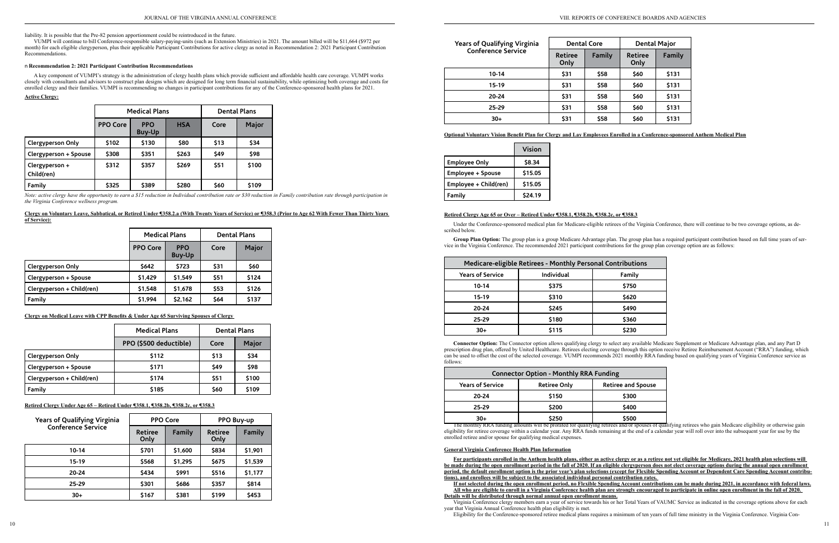liability. It is possible that the Pre-82 pension apportionment could be reintroduced in the future.

VUMPI will continue to bill Conference-responsible salary-paying-units (such as Extension Ministries) in 2021. The amount billed will be \$11,664 (\$972 per month) for each eligible clergyperson, plus their applicable Participant Contributions for active clergy as noted in Recommendation 2: 2021 Participant Contribution Recommendations.

#### n **Recommendation 2: 2021 Participant Contribution Recommendations**

*Note: active clergy have the opportunity to earn a \$15 reduction in Individual contribution rate or \$30 reduction in Family contribution rate through participation in the Virginia Conference wellness program.*

A key component of VUMPI's strategy is the administration of clergy health plans which provide sufficient and affordable health care coverage. VUMPI works closely with consultants and advisors to construct plan designs which are designed for long term financial sustainability, while optimizing both coverage and costs for enrolled clergy and their families. VUMPI is recommending no changes in participant contributions for any of the Conference-sponsored health plans for 2021.

#### **Active Clergy:**

|                              |                 | <b>Medical Plans</b>        | <b>Dental Plans</b> |      |       |
|------------------------------|-----------------|-----------------------------|---------------------|------|-------|
|                              | <b>PPO Core</b> | <b>PPO</b><br><b>Buy-Up</b> | <b>HSA</b>          | Core | Major |
| <b>Clergyperson Only</b>     | \$102           | \$130                       | \$80                | \$13 | \$34  |
| Clergyperson + Spouse        | \$308           | \$351                       | \$263               | \$49 | \$98  |
| Clergyperson +<br>Child(ren) | \$312           | \$357                       | \$269               | \$51 | \$100 |
| Family                       | \$325           | \$389                       | \$280               | \$60 | \$109 |

|              |  |  | Clergy on Voluntary Leave, Sabbatical, or Retired Under ¶358.2.a (With Twenty Years of Service) or ¶358.3 (Prior to Age 62 With Fewer Than Thirty Years |  |  |
|--------------|--|--|---------------------------------------------------------------------------------------------------------------------------------------------------------|--|--|
| of Service): |  |  |                                                                                                                                                         |  |  |

|                           | <b>Medical Plans</b> |                             | <b>Dental Plans</b> |       |
|---------------------------|----------------------|-----------------------------|---------------------|-------|
|                           | <b>PPO Core</b>      | <b>PPO</b><br><b>Buy-Up</b> | Core                | Major |
| <b>Clergyperson Only</b>  | \$642                | \$723                       | \$31                | \$60  |
| Clergyperson + Spouse     | \$1,429              | \$1,549                     | \$51                | \$124 |
| Clergyperson + Child(ren) | \$1,548              | \$1,678                     | \$53                | \$126 |
| Family                    | \$1,994              | \$2,162                     | \$64                | \$137 |

**Clergy on Medical Leave with CPP Benefits & Under Age 65 Surviving Spouses of Clergy** 

|                           | <b>Medical Plans</b>   |      | <b>Dental Plans</b> |  |
|---------------------------|------------------------|------|---------------------|--|
|                           | PPO (\$500 deductible) | Core | Major               |  |
| <b>Clergyperson Only</b>  | \$112                  | \$13 | \$34                |  |
| Clergyperson + Spouse     | \$171                  | \$49 | \$98                |  |
| Clergyperson + Child(ren) | \$174                  | \$51 | \$100               |  |
| Family                    | \$185                  | \$60 | \$109               |  |

**Retired Clergy Under Age 65 – Retired Under ¶358.1, ¶358.2b, ¶358.2c, or ¶358.3**

| <b>Years of Qualifying Virginia</b> |                        | <b>PPO Core</b> |                        | PPO Buy-up |
|-------------------------------------|------------------------|-----------------|------------------------|------------|
| <b>Conference Service</b>           | <b>Retiree</b><br>Only | Family          | <b>Retiree</b><br>Only | Family     |
| $10 - 14$                           | \$701                  | \$1,600         | \$834                  | \$1,901    |
| $15 - 19$                           | \$568                  | \$1,295         | <b>S675</b>            | \$1,539    |
| $20 - 24$                           | \$434                  | \$991           | \$516                  | \$1,177    |
| $25 - 29$                           | \$301                  | \$686           | \$357                  | \$814      |
| $30+$                               | \$167                  | \$381           | \$199                  | \$453      |

| <b>Years of Qualifying Virginia</b> |                        | <b>Dental Core</b> | <b>Dental Major</b>    |        |  |
|-------------------------------------|------------------------|--------------------|------------------------|--------|--|
| <b>Conference Service</b>           | <b>Retiree</b><br>Only | Family             | <b>Retiree</b><br>Only | Family |  |
| $10 - 14$                           | \$31                   | \$58               | \$60                   | \$131  |  |
| 15-19                               | \$31                   | \$58               | \$60                   | \$131  |  |
| 20-24                               | \$31                   | \$58               | \$60                   | \$131  |  |
| 25-29                               | \$31                   | \$58               | \$60                   | \$131  |  |
| $30+$                               | \$31                   | \$58               | \$60                   | \$131  |  |

### **Optional Voluntary Vision Benefit Plan for Clergy and Lay Employees Enrolled in a Conference-sponsored Anthem Medical Plan**

|                       | Vision  |
|-----------------------|---------|
| <b>Employee Only</b>  | \$8.34  |
| Employee + Spouse     | \$15.05 |
| Employee + Child(ren) | \$15.05 |
| Family                | \$24.19 |

### **Retired Clergy Age 65 or Over – Retired Under ¶358.1, ¶358.2b, ¶358.2c, or ¶358.3**

Under the Conference-sponsored medical plan for Medicare-eligible retirees of the Virginia Conference, there will continue to be two coverage options, as described below.

**Group Plan Option:** The group plan is a group Medicare Advantage plan. The group plan has a required participant contribution based on full time years of service in the Virginia Conference. The recommended 2021 participant contributions for the group plan coverage option are as follows:

| Medicare-eligible Retirees - Monthly Personal Contributions |            |        |  |  |  |
|-------------------------------------------------------------|------------|--------|--|--|--|
| <b>Years of Service</b>                                     | Individual | Family |  |  |  |
| $10 - 14$                                                   | \$375      | \$750  |  |  |  |
| 15-19                                                       | \$310      | \$620  |  |  |  |
| 20-24                                                       | \$245      | \$490  |  |  |  |
| $25 - 29$                                                   | \$180      | \$360  |  |  |  |
| $30+$                                                       | \$115      | \$230  |  |  |  |

**Connector Option:** The Connector option allows qualifying clergy to select any available Medicare Supplement or Medicare Advantage plan, and any Part D prescription drug plan, offered by United Healthcare. Retirees electing coverage through this option receive Retiree Reimbursement Account ("RRA") funding, which can be used to offset the cost of the selected coverage. VUMPI recommends 2021 monthly RRA funding based on qualifying years of Virginia Conference service as follows:

| <b>Connector Option - Monthly RRA Funding</b> |                     |                           |  |  |  |
|-----------------------------------------------|---------------------|---------------------------|--|--|--|
| <b>Years of Service</b>                       | <b>Retiree Only</b> | <b>Retiree and Spouse</b> |  |  |  |
| 20-24                                         | \$150               | \$300                     |  |  |  |
| $25 - 29$                                     | \$200               | \$400                     |  |  |  |
| $30+$                                         | \$250               | \$500                     |  |  |  |

The monthly RRA funding amounts will be prorated for qualifying retirees and/or spouses of qualifying retirees who gain Medicare eligibility or otherwise gain eligibility for retiree coverage within a calendar year. Any RRA funds remaining at the end of a calendar year will roll over into the subsequent year for use by the enrolled retiree and/or spouse for qualifying medical expenses.

### **General Virginia Conference Health Plan Information**

**For participants enrolled in the Anthem health plans, either as active clergy or as a retiree not yet eligible for Medicare, 2021 health plan selections will be made during the open enrollment period in the fall of 2020. If an eligible clergyperson does not elect coverage options during the annual open enrollment period, the default enrollment option is the prior year's plan selections (except for Flexible Spending Account or Dependent Care Spending Account contributions), and enrollees will be subject to the associated individual personal contribution rates. If not selected during the open enrollment period, no Flexible Spending Account contributions can be made during 2021, in accordance with federal laws. All who are eligible to enroll in a Virginia Conference health plan are strongly encouraged to participate in online open enrollment in the fall of 2020.** 

**Details will be distributed through normal annual open enrollment means.**

Virginia Conference clergy members earn a year of service towards his or her Total Years of VAUMC Service as indicated in the coverage options above for each

year that Virginia Annual Conference health plan eligibility is met. Eligibility for the Conference-sponsored retiree medical plans requires a minimum of ten years of full time ministry in the Virginia Conference. Virginia Con-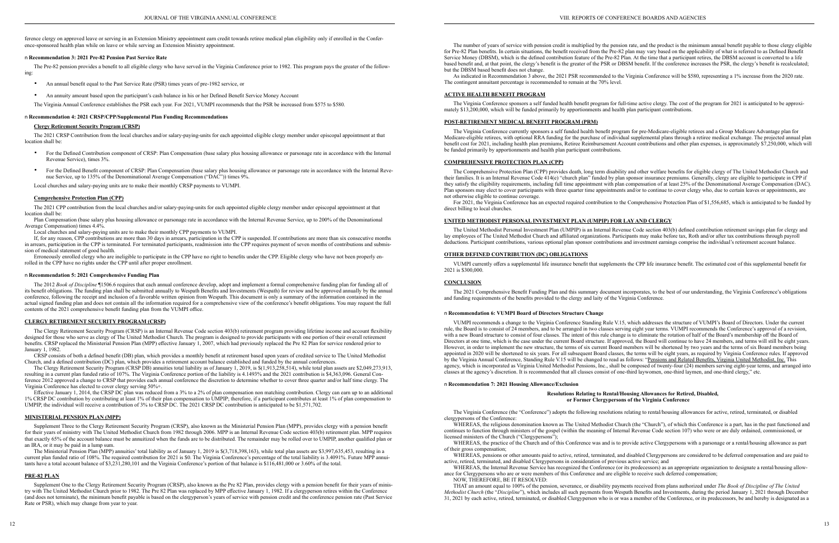ference clergy on approved leave or serving in an Extension Ministry appointment earn credit towards retiree medical plan eligibility only if enrolled in the Conference-sponsored health plan while on leave or while serving an Extension Ministry appointment.

#### n **Recommendation 3: 2021 Pre-82 Pension Past Service Rate**

The Pre-82 pension provides a benefit to all eligible clergy who have served in the Virginia Conference prior to 1982. This program pays the greater of the following:

- **•** An annual benefit equal to the Past Service Rate (PSR) times years of pre-1982 service, or
- **•** An annuity amount based upon the participant's cash balance in his or her Defined Benefit Service Money Account

The Virginia Annual Conference establishes the PSR each year. For 2021, VUMPI recommends that the PSR be increased from \$575 to \$580.

#### n **Recommendation 4: 2021 CRSP/CPP/Supplemental Plan Funding Recommendations**

#### **Clergy Retirement Security Program (CRSP)**

The 2021 CRSP Contribution from the local churches and/or salary-paying-units for each appointed eligible clergy member under episcopal appointment at that location shall be:

- **•** For the Defined Contribution component of CRSP: Plan Compensation (base salary plus housing allowance or parsonage rate in accordance with the Internal Revenue Service), times 3%.
- For the Defined Benefit component of CRSP: Plan Compensation (base salary plus housing allowance or parsonage rate in accordance with the Internal Revenue Service, up to 135% of the Denominational Average Compensation ("DAC")) times 9%.

The 2012 *Book of Discipline* ¶1506.6 requires that each annual conference develop, adopt and implement a formal comprehensive funding plan for funding all of its benefit obligations. The funding plan shall be submitted annually to Wespath Benefits and Investments (Wespath) for review and be approved annually by the annual conference, following the receipt and inclusion of a favorable written opinion from Wespath. This document is only a summary of the information contained in the actual signed funding plan and does not contain all the information required for a comprehensive view of the conference's benefit obligations. You may request the full contents of the 2021 comprehensive benefit funding plan from the VUMPI office.

Local churches and salary-paying units are to make their monthly CRSP payments to VUMPI.

#### **Comprehensive Protection Plan (CPP)**

The 2021 CPP contribution from the local churches and/or salary-paying-units for each appointed eligible clergy member under episcopal appointment at that location shall be:

Plan Compensation (base salary plus housing allowance or parsonage rate in accordance with the Internal Revenue Service, up to 200% of the Denominational Average Compensation) times 4.4%.

Local churches and salary-paying units are to make their monthly CPP payments to VUMPI.

If, for any reason, CPP contributions are more than 30 days in arrears, participation in the CPP is suspended. If contributions are more than six consecutive months in arrears, participation in the CPP is terminated. For terminated participants, readmission into the CPP requires payment of seven months of contributions and submission of medical statement of good health.

Erroneously enrolled clergy who are ineligible to participate in the CPP have no right to benefits under the CPP. Eligible clergy who have not been properly enrolled in the CPP have no rights under the CPP until after proper enrollment.

#### n **Recommendation 5: 2021 Comprehensive Funding Plan**

Supplement One to the Clergy Retirement Security Program (CRSP), also known as the Pre 82 Plan, provides clergy with a pension benefit for their years of ministry with The United Methodist Church prior to 1982. The Pre 82 Plan was replaced by MPP effective January 1, 1982. If a clergyperson retires within the Conference (and does not terminate), the minimum benefit payable is based on the clergyperson's years of service with pension credit and the conference pension rate (Past Service Rate or PSR), which may change from year to year.

### **CLERGY RETIREMENT SECURITY PROGRAM (CRSP)**

The Clergy Retirement Security Program (CRSP) is an Internal Revenue Code section 403(b) retirement program providing lifetime income and account flexibility designed for those who serve as clergy of The United Methodist Church. The program is designed to provide participants with one portion of their overall retirement benefits. CRSP replaced the Ministerial Pension Plan (MPP) effective January 1, 2007, which had previously replaced the Pre 82 Plan for service rendered prior to January 1, 1982.

CRSP consists of both a defined benefit (DB) plan, which provides a monthly benefit at retirement based upon years of credited service to The United Methodist Church, and a defined contribution (DC) plan, which provides a retirement account balance established and funded by the annual conferences.

The Clergy Retirement Security Program (CRSP DB) annuities total liability as of January 1, 2019, is \$(1,913,258,514), while total plan assets are \$2,049,273,913, resulting in a current plan funded ratio of 107%. The Virginia Conference portion of the liability is 4.1493% and the 2021 contribution is \$4,363,096. General Conference 2012 approved a change to CRSP that provides each annual conference the discretion to determine whether to cover three quarter and/or half time clergy. The Virginia Conference has elected to cover clergy serving 50%+.

Effective January 1, 2014, the CRSP DC plan was reduced from a 3% to a 2% of plan compensation non matching contribution. Clergy can earn up to an additional 1% CRSP DC contribution by contributing at least 1% of their plan compensation to UMPIP; therefore, if a participant contributes at least 1% of plan compensation to UMPIP, the individual will receive a contribution of 3% to CRSP DC. The 2021 CRSP DC contribution is anticipated to be \$1,571,702.

### **MINISTERIAL PENSION PLAN (MPP)**

Supplement Three to the Clergy Retirement Security Program (CRSP), also known as the Ministerial Pension Plan (MPP), provides clergy with a pension benefit for their years of ministry with The United Methodist Church from 1982 through 2006. MPP is an Internal Revenue Code section 403(b) retirement plan. MPP requires that exactly 65% of the account balance must be annuitized when the funds are to be distributed. The remainder may be rolled over to UMPIP, another qualified plan or an IRA, or it may be paid in a lump sum.

The Ministerial Pension Plan (MPP) annuities' total liability as of January 1, 2019 is \$(3,718,398,163), while total plan assets are \$3,997,635,453, resulting in a current plan funded ratio of 108%. The required contribution for 2021 is \$0. The Virginia Conference's percentage of the total liability is 3.4091%. Future MPP annuitants have a total account balance of \$3,231,280,101 and the Virginia Conference's portion of that balance is \$116,481,000 or 3.60% of the total.

WHEREAS, the religious denomination known as The United Methodist Church (the "Church"), of which this Conference is a part, has in the past functioned and continues to function through ministers of the gospel (within the meaning of Internal Revenue Code section 107) who were or are duly ordained, commissioned, or licensed ministers of the Church ("Clergypersons");

#### **PRE-82 PLAN**

WHEREAS, the practice of the Church and of this Conference was and is to provide active Clergypersons with a parsonage or a rental/housing allowance as part of their gross compensation;

WHEREAS, pensions or other amounts paid to active, retired, terminated, and disabled Clergypersons are considered to be deferred compensation and are paid to WHEREAS, pensions or other amounts paid to active, retired, terminated, and disabled Clergypersons in consideration of previous active service; and

WHEREAS, the Internal Revenue Service has recognized the Conference (or its predecessors) as an appropriate organization to designate a rental/housing allowance for Clergypersons who are or were members of this Conference and are eligible to receive such deferred compensation; NOW, THEREFORE, BE IT RESOLVED:

The number of years of service with pension credit is multiplied by the pension rate, and the product is the minimum annual benefit payable to those clergy eligible for Pre-82 Plan benefits. In certain situations, the benefit received from the Pre-82 plan may vary based on the applicability of what is referred to as Defined Benefit Service Money (DBSM), which is the defined contribution feature of the Pre-82 Plan. At the time that a participant retires, the DBSM account is converted to a life based benefit and, at that point, the clergy's benefit is the greater of the PSR or DBSM benefit. If the conference increases the PSR, the clergy's benefit is recalculated; but the DBSM based benefit does not change.

As indicated in Recommendation 3 above, the 2021 PSR recommended to the Virginia Conference will be \$580, representing a 1% increase from the 2020 rate. The contingent annuitant percentage is recommended to remain at the 70% level.

### **ACTIVE HEALTH BENEFIT PROGRAM**

The Virginia Conference sponsors a self funded health benefit program for full-time active clergy. The cost of the program for 2021 is anticipated to be approximately \$13,200,000, which will be funded primarily by apportionments and health plan participant contributions.

#### **POST-RETIREMENT MEDICAL BENEFIT PROGRAM (PRM)**

The Virginia Conference currently sponsors a self funded health benefit program for pre-Medicare-eligible retirees and a Group Medicare Advantage plan for Medicare-eligible retirees, with optional RRA funding for the purchase of individual supplemental plans through a retiree medical exchange. The projected annual plan benefit cost for 2021, including health plan premiums, Retiree Reimbursement Account contributions and other plan expenses, is approximately \$7,250,000, which will be funded primarily by apportionments and health plan participant contributions.

#### **COMPREHENSIVE PROTECTION PLAN (CPP)**

The Comprehensive Protection Plan (CPP) provides death, long term disability and other welfare benefits for eligible clergy of The United Methodist Church and their families. It is an Internal Revenue Code 414(e) "church plan" funded by plan sponsor insurance premiums. Generally, clergy are eligible to participate in CPP if they satisfy the eligibility requirements, including full time appointment with plan compensation of at least 25% of the Denominational Average Compensation (DAC). Plan sponsors may elect to cover participants with three quarter time appointments and/or to continue to cover clergy who, due to certain leaves or appointments, are not otherwise eligible to continue coverage.

For 2021, the Virginia Conference has an expected required contribution to the Comprehensive Protection Plan of \$1,556,685, which is anticipated to be funded by direct billing to local churches.

#### **UNITED METHODIST PERSONAL INVESTMENT PLAN (UMPIP) FOR LAY AND CLERGY**

The United Methodist Personal Investment Plan (UMPIP) is an Internal Revenue Code section 403(b) defined contribution retirement savings plan for clergy and lay employees of The United Methodist Church and affiliated organizations. Participants may make before tax, Roth and/or after tax contributions through payroll deductions. Participant contributions, various optional plan sponsor contributions and investment earnings comprise the individual's retirement account balance.

#### **OTHER DEFINED CONTRIBUTION (DC) OBLIGATIONS**

VUMPI currently offers a supplemental life insurance benefit that supplements the CPP life insurance benefit. The estimated cost of this supplemental benefit for 2021 is \$300,000.

#### **CONCLUSION**

The 2021 Comprehensive Benefit Funding Plan and this summary document incorporates, to the best of our understanding, the Virginia Conference's obligations and funding requirements of the benefits provided to the clergy and laity of the Virginia Conference.

#### n **Recommendation 6: VUMPI Board of Directors Structure Change**

VUMPI recommends a change to the Virginia Conference Standing Rule V.15, which addresses the structure of VUMPI's Board of Directors. Under the current rule, the Board is to consist of 24 members, and to be arranged in two classes serving eight year terms. VUMPI recommends the Conference's approval of a revision, with a new Board structure to consist of four classes. The intent of this rule change is to eliminate the rotation of half of the Board's membership off the Board of Directors at one time, which is the case under the current Board structure. If approved, the Board will continue to have 24 members, and terms will still be eight years. However, in order to implement the new structure, the terms of six current Board members will be shortened by two years and the terms of six Board members being appointed in 2020 will be shortened to six years. For all subsequent Board classes, the terms will be eight years, as required by Virginia Conference rules. If approved by the Virginia Annual Conference, Standing Rule V.15 will be changed to read as follows: "Pensions and Related Benefits, Virginia United Methodist, Inc. This agency, which is incorporated as Virginia United Methodist Pensions, Inc., shall be composed of twenty-four (24) members serving eight-year terms, and arranged into classes at the agency's discretion. It is recommended that all classes consist of one-third laywomen, one-third laymen, and one-third clergy," etc.

#### n **Recommendation 7: 2021 Housing Allowance/Exclusion**

#### **Resolutions Relating to Rental/Housing Allowances for Retired, Disabled, or Former Clergypersons of the Virginia Conference**

The Virginia Conference (the "Conference") adopts the following resolutions relating to rental/housing allowances for active, retired, terminated, or disabled clergypersons of the Conference:

THAT an amount equal to 100% of the pension, severance, or disability payments received from plans authorized under *The Book of Discipline of The United Methodist Church* (the "*Discipline*"), which includes all such payments from Wespath Benefits and Investments, during the period January 1, 2021 through December 31, 2021 by each active, retired, terminated, or disabled Clergyperson who is or was a member of the Conference, or its predecessors, be and hereby is designated as a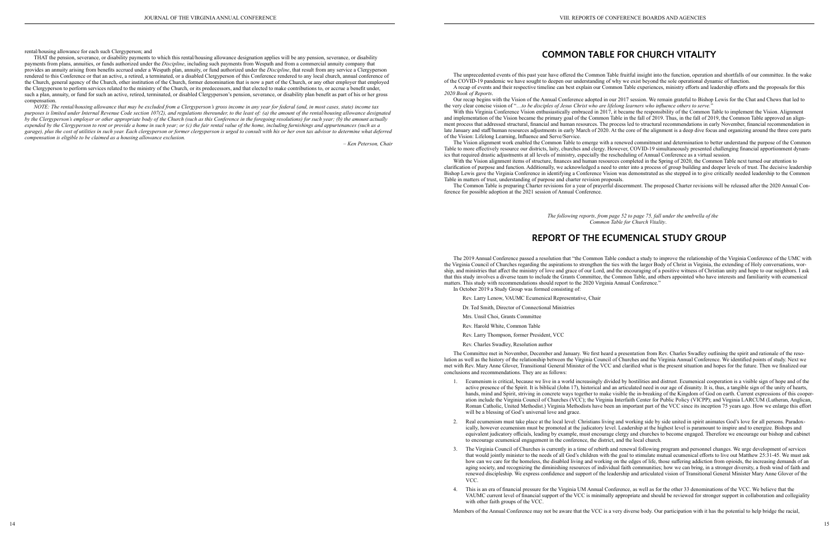rental/housing allowance for each such Clergyperson; and

THAT the pension, severance, or disability payments to which this rental/housing allowance designation applies will be any pension, severance, or disability payments from plans, annuities, or funds authorized under the *Discipline*, including such payments from Wespath and from a commercial annuity company that provides an annuity arising from benefits accrued under a Wespath plan, annuity, or fund authorized under the *Discipline*, that result from any service a Clergyperson rendered to this Conference or that an active, a retired, a terminated, or a disabled Clergyperson of this Conference rendered to any local church, annual conference of the Church, general agency of the Church, other institution of the Church, former denomination that is now a part of the Church, or any other employer that employed the Clergyperson to perform services related to the ministry of the Church, or its predecessors, and that elected to make contributions to, or accrue a benefit under, such a plan, annuity, or fund for such an active, retired, terminated, or disabled Clergyperson's pension, severance, or disability plan benefit as part of his or her gross compensation.

*NOTE: The rental/housing allowance that may be excluded from a Clergyperson's gross income in any year for federal (and, in most cases, state) income tax purposes is limited under Internal Revenue Code section 107(2), and regulations thereunder, to the least of: (a) the amount of the rental/housing allowance designated by the Clergyperson's employer or other appropriate body of the Church (such as this Conference in the foregoing resolutions) for such year; (b) the amount actually expended by the Clergyperson to rent or provide a home in such year; or (c) the fair rental value of the home, including furnishings and appurtenances (such as a garage), plus the cost of utilities in such year. Each clergyperson or former clergyperson is urged to consult with his or her own tax advisor to determine what deferred compensation is eligible to be claimed as a housing allowance exclusion.*

*– Ken Peterson, Chair*

## **COMMON TABLE FOR CHURCH VITALITY**

The unprecedented events of this past year have offered the Common Table fruitful insight into the function, operation and shortfalls of our committee. In the wake of the COVID-19 pandemic we have sought to deepen our understanding of why we exist beyond the sole operational dynamic of function. A recap of events and their respective timeline can best explain our Common Table experiences, ministry efforts and leadership efforts and the proposals for this *2020 Book of Reports*.

Our recap begins with the Vision of the Annual Conference adopted in our 2017 session. We remain grateful to Bishop Lewis for the Chat and Chews that led to the very clear concise vision of "…*to be disciples of Jesus Christ who are lifelong learners who influence others to serve.*"

With this Virginia Conference Vision enthusiastically embraced in 2017, it became the responsibility of the Common Table to implement the Vision. Alignment and implementation of the Vision became the primary goal of the Common Table in the fall of 2019. Thus, in the fall of 2019, the Common Table approved an alignment process that addressed structural, financial and human resources. The process led to structural recommendations in early November, financial recommendation in late January and staff/human resources adjustments in early March of 2020. At the core of the alignment is a deep dive focus and organizing around the three core parts of the Vision: Lifelong Learning, Influence and Serve/Service.

- will be a blessing of God's universal love and grace.
- to encourage ecumenical engagement in the conference, the district, and the local church.
- VCC.
- with other faith groups of the VCC.

The Vision alignment work enabled the Common Table to emerge with a renewed commitment and determination to better understand the purpose of the Common Table to more effectively resource our districts, laity, churches and clergy. However, COVID-19 simultaneously presented challenging financial apportionment dynamics that required drastic adjustments at all levels of ministry, especially the rescheduling of Annual Conference as a virtual session.

With the Vision alignment items of structure, finances and human resources completed in the Spring of 2020, the Common Table next turned our attention to clarification of purpose and function. Additionally, we acknowledged a need to enter into a process of group building and deeper levels of trust. The decisive leadership Bishop Lewis gave the Virginia Conference in identifying a Conference Vision was demonstrated as she stepped in to give critically needed leadership to the Common Table in matters of trust, understanding of purpose and charter revision proposals.

The Common Table is preparing Charter revisions for a year of prayerful discernment. The proposed Charter revisions will be released after the 2020 Annual Conference for possible adoption at the 2021 session of Annual Conference.

> *The following reports, from page 52 to page 75, fall under the umbrella of the Common Table for Church Vitality*.

## **REPORT OF THE ECUMENICAL STUDY GROUP**

The 2019 Annual Conference passed a resolution that "the Common Table conduct a study to improve the relationship of the Virginia Conference of the UMC with the Virginia Council of Churches regarding the aspirations to strengthen the ties with the larger Body of Christ in Virginia, the extending of Holy conversations, worship, and ministries that affect the ministry of love and grace of our Lord, and the encouraging of a positive witness of Christian unity and hope to our neighbors. I ask that this study involves a diverse team to include the Grants Committee, the Common Table, and others appointed who have interests and familiarity with ecumenical matters. This study with recommendations should report to the 2020 Virginia Annual Conference." In October 2019 a Study Group was formed consisting of:

Rev. Larry Lenow, VAUMC Ecumenical Representative, Chair

Dr. Ted Smith, Director of Connectional Ministries

Mrs. Unsil Choi, Grants Committee

Rev. Harold White, Common Table

Rev. Larry Thompson, former President, VCC

Rev. Charles Swadley, Resolution author

The Committee met in November, December and January. We first heard a presentation from Rev. Charles Swadley outlining the spirit and rationale of the resolution as well as the history of the relationship between the Virginia Council of Churches and the Virginia Annual Conference. We identified points of study. Next we met with Rev. Mary Anne Glover, Transitional General Minister of the VCC and clarified what is the present situation and hopes for the future. Then we finalized our conclusions and recommendations. They are as follows:

1. Ecumenism is critical, because we live in a world increasingly divided by hostilities and distrust. Ecumenical cooperation is a visible sign of hope and of the active presence of the Spirit. It is biblical (John 17), historical and an articulated need in our age of disunity. It is, thus, a tangible sign of the unity of hearts, hands, mind and Spirit, striving in concrete ways together to make visible the in-breaking of the Kingdom of God on earth. Current expressions of this cooperation include the Virginia Council of Churches (VCC); the Virginia Interfaith Center for Public Policy (VICPP); and Virginia LARCUM (Lutheran, Anglican, Roman Catholic, United Methodist.) Virginia Methodists have been an important part of the VCC since its inception 75 years ago. How we enlarge this effort

2. Real ecumenism must take place at the local level: Christians living and working side by side united in spirit animates God's love for all persons. Paradoxically, however ecumenism must be promoted at the judicatory level. Leadership at the highest level is paramount to inspire and to energize. Bishops and equivalent judicatory officials, leading by example, must encourage clergy and churches to become engaged. Therefore we encourage our bishop and cabinet

3. The Virginia Council of Churches is currently in a time of rebirth and renewal following program and personnel changes. We urge development of services that would jointly minister to the needs of all God's children with the goal to stimulate mutual ecumenical efforts to live out Matthew 25:31-45. We must ask how can we care for the homeless, the disabled living and working on the edges of life, those suffering addiction from opioids, the increasing demands of an aging society, and recognizing the diminishing resources of individual faith communities; how we can bring, in a stronger diversity, a fresh wind of faith and renewed discipleship. We express confidence and support of the leadership and articulated vision of Transitional General Minister Mary Anne Glover of the

4. This is an era of financial pressure for the Virginia UM Annual Conference, as well as for the other 33 denominations of the VCC. We believe that the VAUMC current level of financial support of the VCC is minimally appropriate and should be reviewed for stronger support in collaboration and collegiality

Members of the Annual Conference may not be aware that the VCC is a very diverse body. Our participation with it has the potential to help bridge the racial,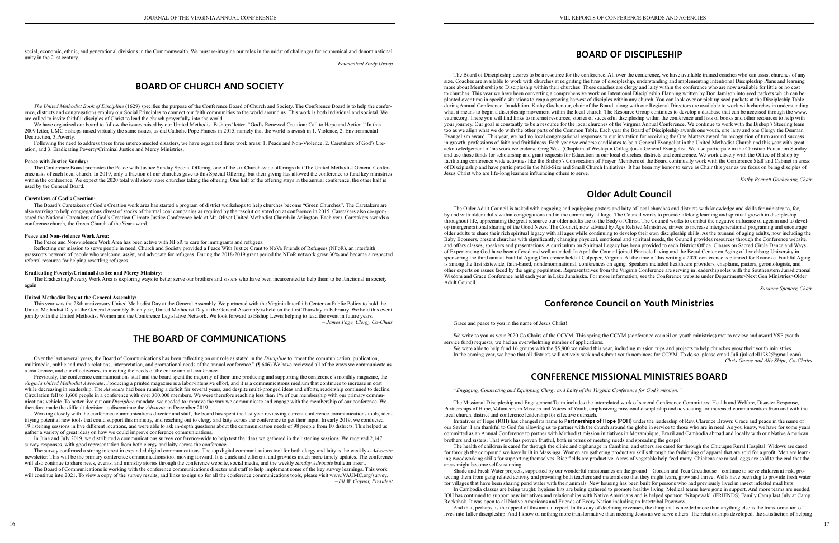social, economic, ethnic, and generational divisions in the Commonwealth. We must re-imagine our roles in the midst of challenges for ecumenical and denominational unity in the 21st century.

*– Ecumenical Study Group*

## **BOARD OF CHURCH AND SOCIETY**

*The United Methodist Book of Discipline* (1629) specifies the purpose of the Conference Board of Church and Society. The Conference Board is to help the conference, districts and congregations employ our Social Principles to connect our faith communities to the world around us. This work is both individual and societal. We are called to invite faithful disciples of Christ to lead the church prayerfully into the world.

We have organized our board to follow the issues raised by our United Methodist Bishops' letter: "God's Renewed Creation: Call to Hope and Action." In this 2009 letter, UMC bishops raised virtually the same issues, as did Catholic Pope Francis in 2015, namely that the world is awash in 1. Violence, 2. Environmental Destruction, 3.Poverty.

Following the need to address these three interconnected disasters, we have organized three work areas: 1. Peace and Non-Violence, 2. Caretakers of God's Creation, and 3. Eradicating Poverty/Criminal Justice and Mercy Ministries.

#### **Peace with Justice Sunday:**

The Conference Board promotes the Peace with Justice Sunday Special Offering, one of the six Church-wide offerings that The United Methodist General Conference asks of each local church. In 2019, only a fraction of our churches gave to this Special Offering, but their giving has allowed the conference to fund key ministries within the conference. We expect the 2020 total will show more churches taking the offering. One half of the offering stays in the annual conference, the other half is used by the General Board.

#### **Caretakers of God's Creation:**

The Board's Caretakers of God's Creation work area has started a program of district workshops to help churches become "Green Churches". The Caretakers are also working to help congregations divest of stocks of thermal coal companies as required by the resolution voted on at conference in 2015. Caretakers also co-sponsored the National Caretakers of God's Creation Climate Justice Conference held at Mt. Olivet United Methodist Church in Arlington. Each year, Caretakers awards a conference church, the Green Church of the Year award.

#### **Peace and Non-violence Work Area:**

Previously, the conference communications staff and the board spent the majority of their time producing and supporting the conference's monthly magazine, the *Virginia United Methodist Advocate*. Producing a printed magazine is a labor-intensive effort, and it is a communications medium that continues to increase in cost while decreasing in readership. The *Advocate* had been running a deficit for several years, and despite multi-pronged ideas and efforts, readership continued to decline. Circulation fell to 1,600 people in a conference with over 300,000 members. We were therefore reaching less than 1% of our membership with our primary communications vehicle. To better live out our *Discipline* mandate, we needed to improve the way we communicate and engage with the membership of our conference. We therefore made the difficult decision to discontinue the *Advocate* in December 2019.

The Peace and Non-violence Work Area has been active with NFoR to care for immigrants and refugees.

Reflecting our mission to serve people in need, Church and Society provided a Peace With Justice Grant to NoVa Friends of Refugees (NFoR), an interfaith grassroots network of people who welcome, assist, and advocate for refugees. During the 2018-2019 grant period the NFoR network grew 30% and became a respected referral resource for helping resettling refugees.

Working closely with the conference communications director and staff, the board has spent the last year reviewing current conference communications tools, identifying potential new tools that could support this ministry, and reaching out to clergy and laity across the conference to get their input. In early 2019, we conducted 19 listening sessions in five different locations, and were able to ask in-depth questions about the communication needs of 98 people from 10 districts. This helped us gather a variety of great ideas on how we could improve conference communications.

#### **Eradicating Poverty/Criminal Justice and Mercy Ministry:**

The Eradicating Poverty Work Area is exploring ways to better serve our brothers and sisters who have been incarcerated to help them to be functional in society again.

#### **United Methodist Day at the General Assembly:**

This year was the 28th anniversary United Methodist Day at the General Assembly. We partnered with the Virginia Interfaith Center on Public Policy to hold the United Methodist Day at the General Assembly. Each year, United Methodist Day at the General Assembly is held on the first Thursday in February. We hold this event jointly with the United Methodist Women and the Conference Legislative Network. We look forward to Bishop Lewis helping to lead the event in future years. *– James Page, Clergy Co-Chair*

## **THE BOARD OF COMMUNICATIONS**

Over the last several years, the Board of Communications has been reflecting on our role as stated in the *Discipline* to "meet the communication, publication, multimedia, public and media relations, interpretation, and promotional needs of the annual conference." (¶ 646) We have reviewed all of the ways we communicate as a conference, and our effectiveness in meeting the needs of the entire annual conference.

In June and July 2019, we distributed a communications survey conference-wide to help test the ideas we gathered in the listening sessions. We received 2,147 survey responses, with good representation from both clergy and laity across the conference.

The survey confirmed a strong interest in expanded digital communications. The top digital communications tool for both clergy and laity is the weekly *e-Advocate* newsletter. This will be the primary conference communications tool moving forward. It is quick and efficient, and provides much more timely updates. The conference will also continue to share news, events, and ministry stories through the conference website, social media, and the weekly *Sunday Advocate* bulletin insert.

The Board of Communications is working with the conference communications director and staff to help implement some of the key survey learnings. This work will continue into 2021. To view a copy of the survey results, and links to sign up for all the conference communications tools, please visit www.VAUMC.org/survey. *–Jill W. Gaynor, President*

## **BOARD OF DISCIPLESHIP**

The Board of Discipleship desires to be a resource for the conference. All over the conference, we have available trained coaches who can assist churches of any size. Coaches are available to work with churches at reigniting the fires of discipleship, understanding and implementing Intentional Discipleship Plans and learning more about Membership to Discipleship within their churches. These coaches are clergy and laity within the conference who are now available for little or no cost to churches. This year we have been converting a comprehensive work on Intentional Discipleship Planning written by Don Jamison into seed packets which can be planted over time in specific situations to reap a growing harvest of disciples within any church. You can look over or pick up seed packets at the Discipleship Table during Annual Conference. In addition, Kathy Gochenour, chair of the Board, along with our Regional Directors are available to work with churches in understanding what it means to begin a discipleship movement within the local church. The Resource Group continues to develop a database that can be accessed through the www. vaumc.org. There you will find links to internet resources, stories of successful discipleship within the conference and lists of books and other resources to help with your journey. Our goal is constantly to be a resource for the local churches of the Virginia Annual Conference. We continue to work with the Bishop's Steering team too as we align what we do with the other parts of the Common Table. Each year the Board of Discipleship awards one youth, one laity and one Clergy the Denman Evangelism award. This year, we had no local congregational responses to our invitation for receiving the One Matters award for recognition of turn around success in growth, professions of faith and fruitfulness. Each year we endorse candidates to be a General Evangelist in the United Methodist Church and this year with great acknowledgement of his work we endorse Greg West (Chaplain of Wesleyan College) as a General Evangelist. We also participate in the Christian Education Sunday and use those funds for scholarship and grant requests for Education in our local churches, districts and conference. We work closely with the Office of Bishop by facilitating conference wide activities like the Bishop's Convocation of Prayer. Members of the Board continually work with the Conference Staff and Cabinet in areas of Discipleship and have participated in the Mid-Size and Small Church Initiatives. It has been my honor to serve as Chair this year as we focus on being disciples of Jesus Christ who are life-long learners influencing others to serve.

*– Kathy Bennett Gochenour, Chair*

## **Older Adult Council**

The Older Adult Council is tasked with engaging and equipping pastors and laity of local churches and districts with knowledge and skills for ministry to, for, by and with older adults within congregations and in the community at large. The Council works to provide lifelong learning and spiritual growth in discipleship throughout life, appreciating the great resource our older adults are to the Body of Christ. The Council works to combat the negative influence of ageism and to develop intergenerational sharing of the Good News. The Council, now advised by Age Related Ministries, strives to increase intergenerational programing and encourage older adults to share their rich spiritual legacy with all ages while continuing to develop their own discipleship skills. As the tsunami of aging adults, now including the Baby Boomers, present churches with significantly changing physical, emotional and spiritual needs, the Council provides resources through the Conference website, and offers classes, speakers and presentations. A curriculum on Spiritual Legacy has been provided to each District Office. Classes on Sacred Circle Dance and Ways of Experiencing God have been offered and well attended. In April the Council joined Pinnacle Living and the Beard Center on Aging of Lynchburg University in sponsoring the third annual Faithful Aging Conference held at Culpeper, Virginia. At the time of this writing a 2020 conference is planned for Roanoke. Faithful Aging is among the first statewide, faith-based, nondenominational, conferences on aging. Speakers included healthcare providers, chaplains, pastors, gerontologists, and other experts on issues faced by the aging population. Representatives from the Virginia Conference are serving in leadership roles with the Southeastern Jurisdictional Wisdom and Grace Conference held each year in Lake Junaluska. For more information, see the Conference website under Departments>Next Gen Ministries>Older Adult Council.

*– Suzanne Spencer, Chair*

## **Conference Council on Youth Ministries**

Grace and peace to you in the name of Jesus Christ!

We write to you as your 2020 Co Chairs of the CCYM. This spring the CCYM (conference council on youth ministries) met to review and award YSF (youth service fund) requests, we had an overwhelming number of applications. We were able to help fund 16 groups with the \$5,900 we raised this year, including mission trips and projects to help churches grow their youth ministries. In the coming year, we hope that all districts will actively seek and submit youth nominees for CCYM. To do so, please email Juli (juliodell1982@gmail.com). *– Chris Ganoe and Ally Shipe, Co-Chairs* 

## **CONFERENCE MISSIONAL MINISTRIES BOARD**

*"Engaging, Connecting and Equipping Clergy and Laity of the Virginia Conference for God's mission."*

The Missional Discipleship and Engagement Team includes the interrelated work of several Conference Committees: Health and Welfare, Disaster Response, Partnerships of Hope, Volunteers in Mission and Voices of Youth, emphasizing missional discipleship and advocating for increased communication from and with the local church, district and conference leadership for effective outreach.

Initiatives of Hope (IOH) has changed its name to **Partnerships of Hope (POH)** under the leadership of Rev. Clarence Brown: Grace and peace in the name of our Savior! I am thankful to God for allowing us to partner with the church around the globe in service to those who are in need. As you know, we have for some years committed as an Annual Conference to partner with Methodist mission initiatives in Mozambique, Brazil and Cambodia abroad and locally with our Native American brothers and sisters. That work has proven fruitful, both in terms of meeting needs and spreading the gospel.

The health of children is cared for through the clinic and orphanage in Cambine, and others are cared for through the Chicuque Rural Hospital. Widows are cared for through the compound we have built in Massinga. Women are gathering productive skills through the fashioning of apparel that are sold for a profit. Men are learning woodworking skills for supporting themselves. Rice fields are productive. Acres of vegetable help feed many. Chickens are raised, eggs are sold to the end that the areas might become self-sustaining.

Shade and Fresh Water projects, supported by our wonderful missionaries on the ground – Gordon and Teca Greathouse – continue to serve children at risk, pro-In Cambodia classes are being taught; hygiene kits are being gathered to promote healthy living. Medical teams have gone in support. And more teams are needed.

tecting them from gang related activity and providing both teachers and materials so that they might learn, grow and thrive. Wells have been dug to provide fresh water for villages that have been sharing pond water with their animals. New housing has been built for persons who had previously lived in insect infested mud huts IOH has continued to support new initiatives and relationships with Native Americans and is helped sponsor "Nitapewak" (FRIENDS) Family Camp last July at Camp Rockahok. It was open to all Native Americans and Friends of Every Nation including an Intertribal Powwow.

And that, perhaps, is the appeal of this annual report. In this day of declining revenues, the thing that is needed more than anything else is the transformation of lives into fuller discipleship. And I know of nothing more transformative than meeting Jesus as we serve others. The relationships developed, the satisfaction of helping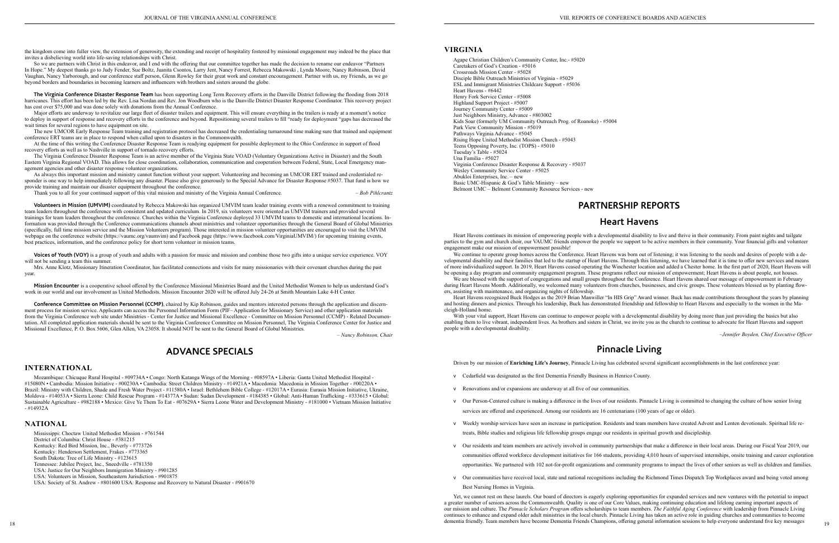the kingdom come into fuller view, the extension of generosity, the extending and receipt of hospitality fostered by missional engagement may indeed be the place that invites a disbelieving world into life-saving relationships with Christ.

So we are partners with Christ in this endeavor, and I end with the offering that our committee together has made the decision to rename our endeavor "Partners" In Hope." My deepest thanks go to Judy Fender, Sue Boltz, Juanita Csontos, Larry Jent, Nancy Forrest, Rebecca Makowski , Lynda Moore, Nancy Robinson, David Vaughan, Nancy Yarborough, and our conference staff person, Glenn Rowley for their great work and constant encouragement. Partner with us, my Friends, as we go beyond borders and boundaries in becoming learners and influencers with brothers and sisters around the globe.

**The Virginia Conference Disaster Response Team** has been supporting Long Term Recovery efforts in the Danville District following the flooding from 2018 hurricanes. This effort has been led by the Rev. Lisa Nordan and Rev. Jon Woodburn who is the Danville District Disaster Response Coordinator. This recovery project has cost over \$75,000 and was done solely with donations from the Annual Conference.

Major efforts are underway to revitalize our large fleet of disaster trailers and equipment. This will ensure everything in the trailers is ready at a moment's notice to deploy in support of response and recovery efforts in the conference and beyond. Repositioning several trailers to fill "ready for deployment "gaps has decreased the wait times for several regions to have equipment on site.

The new UMCOR Early Response Team training and registration protocol has decreased the credentialing turnaround time making sure that trained and equipment conference ERT teams are in place to respond when called upon to disasters in the Commonwealth.

At the time of this writing the Conference Disaster Response Team is readying equipment for possible deployment to the Ohio Conference in support of flood recovery efforts as well as to Nashville in support of tornado recovery efforts.

The Virginia Conference Disaster Response Team is an active member of the Virginia State VOAD (Voluntary Organizations Active in Disaster) and the South Eastern Virginia Regional VOAD. This allows for close coordination, collaboration, communication and cooperation between Federal, State, Local Emergency management agencies and other disaster response volunteer organizations.

As always this important mission and ministry cannot function without your support. Volunteering and becoming an UMCOR ERT trained and credentialed responder is one way to help immediately following any disaster. Please also give generously to the Special Advance for Disaster Response #5037. That fund is how we provide training and maintain our disaster equipment throughout the conference.

Mozambique: Chicuque Rural Hospital - #09734A • Congo: North Katanga Wings of the Morning - #08597A • Liberia: Ganta United Methodist Hospital - #15080N • Cambodia: Mission Initiative - #00230A • Cambodia: Street Children Ministry - #14921A • Macedonia: Macedonia in Mission Together - #00220A • Brazil: Ministry with Children, Shade and Fresh Water Project - #11580A • Israel: Bethlehem Bible College - #12017A • Eurasia: Eurasia Mission Initiative, Ukraine, Moldova - #14053A • Sierra Leone: Child Rescue Program - #14377A • Sudan: Sudan Development - #184385 • Global: Anti-Human Trafficking - #333615 • Global: Sustainable Agriculture - #982188 • Mexico: Give Ye Them To Eat - #07629A • Sierra Leone Water and Development Ministry - #181000 • Vietnam Mission Initiative  $-$  #14932A

Thank you to all for your continued support of this vital mission and ministry of the Virginia Annual Conference. *– Bob Pihlcrantz*

**Volunteers in Mission (UMVIM)** coordinated by Rebecca Makowski has organized UMVIM team leader training events with a renewed commitment to training team leaders throughout the conference with consistent and updated curriculum. In 2019, six volunteers were oriented as UMVIM trainers and provided several trainings for team leaders throughout the conference. Churches within the Virginia Conference deployed 33 UMVIM teams to domestic and international locations. Information was provided through the Conference communications channels about ministries and volunteer opportunities through the General Board of Global Ministries (specifically, full time mission service and the Mission Volunteers program). Those interested in mission volunteer opportunities are encouraged to visit the UMVIM webpage on the conference website (https://vaumc.org/vaumvim) and Facebook page (https://www.facebook.com/VirginiaUMVIM/) for upcoming training events, best practices, information, and the conference policy for short term volunteer in mission teams.

**Voices of Youth (VOY)** is a group of youth and adults with a passion for music and mission and combine those two gifts into a unique service experience. VOY will not be sending a team this summer.

Mrs. Anne Klotz, Missionary Itineration Coordinator, has facilitated connections and visits for many missionaries with their covenant churches during the past year.

**Mission Encounter** is a cooperative school offered by the Conference Missional Ministries Board and the United Methodist Women to help us understand God's work in our world and our involvement as United Methodists. Mission Encounter 2020 will be offered July 24-26 at Smith Mountain Lake 4-H Center.

**Conference Committee on Mission Personnel (CCMP)**, chaired by Kip Robinson, guides and mentors interested persons through the application and discernment process for mission service. Applicants can access the Personnel Information Form (PIF– Application for Missionary Service) and other application materials from the Virginia Conference web site under Ministries - Center for Justice and Missional Excellence - Committee on Mission Personnel (CCMP) - Related Documentation. All completed application materials should be sent to the Virginia Conference Committee on Mission Personnel, The Virginia Conference Center for Justice and Missional Excellence, P. O. Box 5606, Glen Allen, VA 23058. It should NOT be sent to the General Board of Global Ministries.

*– Nancy Robinson, Chair*

## **ADVANCE SPECIALS**

### **INTERNATIONAL**

dementia friendly. Team members have become Dementia Friends Champions, offering general information sessions to help everyone understand five key messages 19 Yet, we cannot rest on these laurels. Our board of directors is eagerly exploring opportunities for expanded services and new ventures with the potential to impact a greater number of seniors across the Commonwealth. Quality is one of our Core Values, making continuing education and lifelong earning important aspects of our mission and culture. The *Pinnacle Scholars Program* offers scholarships to team members. *The Faithful Aging Conference* with leadership from Pinnacle Living continues to enhance and expand older adult ministries in the local church. Pinnacle Living has taken an active role in guiding churches and communities to become

### **NATIONAL**

Mississippi: Choctaw United Methodist Mission - #761544 District of Columbia: Christ House - #381215 Kentucky: Red Bird Mission, Inc., Beverly - #773726 Kentucky: Henderson Settlement, Frakes - #773365 South Dakota: Tree of Life Ministry - #123615 Tennessee: Jubilee Project, Inc., Sneedville - #781350 USA: Justice for Our Neighbors Immigration Ministry - #901285 USA: Volunteers in Mission, Southeastern Jurisdiction - #901875 USA: Society of St. Andrew - #801600 USA: Response and Recovery to Natural Disaster - #901670

### **VIRGINIA**

Agape Christian Children's Community Center, Inc.- #5020 Caretakers of God's Creation - #5016 Crossroads Mission Center - #5028 Disciple Bible Outreach Ministries of Virginia - #5029 ESL and Immigrant Ministries Childcare Support - #5036 Heart Havens - #6442 Henry Fork Service Center - #5008 Highland Support Project - #5007 Journey Community Center - #5009 Just Neighbors Ministry, Advance - #803002 Kids Soar (formerly UM Community Outreach Prog. of Roanoke) - #5004 Park View Community Mission - #5019 Pathways Virginia Advance - #5045 Rising Hope United Methodist Mission Church - #5043 Teens Opposing Poverty, Inc. (TOPS) - #5010 Tuesday's Table - #5024 Una Familia - #5027 Virginia Conference Disaster Response & Recovery - #5037 Wesley Community Service Center - #5025 Abukloi Enterprises, Inc. – new Basic UMC-Hispanic & God's Table Ministry – new Belmont UMC – Belmont Community Resource Services - new

## **PARTNERSHIP REPORTS**

## **Heart Havens**

Heart Havens continues its mission of empowering people with a developmental disability to live and thrive in their community. From paint nights and tailgate parties to the gym and church choir, our VAUMC friends empower the people we support to be active members in their community. Your financial gifts and volunteer engagement make our mission of empowerment possible!

We continue to operate group homes across the Conference. Heart Havens was born out of listening; it was listening to the needs and desires of people with a developmental disability and their families that led to the startup of Heart Havens. Through this listening, we have learned that it is time to offer new services and means of more individualized support. In 2019, Heart Havens ceased operating the Winchester location and added a Chester home. In the first part of 2020, Heart Havens will be opening a day program and community engagement program. These programs reflect our mission of empowerment; Heart Havens is about people, not houses. We are blessed with the support of congregations and small groups throughout the Conference. Heart Havens shared our message of empowerment in February during Heart Havens Month. Additionally, we welcomed many volunteers from churches, businesses, and civic groups. These volunteers blessed us by planting flow-

ers, assisting with maintenance, and organizing nights of fellowship.

Heart Havens recognized Buck Hodges as the 2019 Brian Manwiller "In HIS Grip" Award winner. Buck has made contributions throughout the years by planning and hosting dinners and picnics. Through his leadership, Buck has demonstrated friendship and fellowship to Heart Havens and especially to the women in the Macleigh-Holland home.

With your vital support, Heart Havens can continue to empower people with a developmental disability by doing more than just providing the basics but also enabling them to live vibrant, independent lives. As brothers and sisters in Christ, we invite you as the church to continue to advocate for Heart Havens and support people with a developmental disability.

*–Jennifer Boyden, Chief Executive Officer*

## **Pinnacle Living**

Driven by our mission of **Enriching Life's Journey**, Pinnacle Living has celebrated several significant accomplishments in the last conference year:

- v Cedarfield was designated as the first Dementia Friendly Business in Henrico County.
- v Renovations and/or expansions are underway at all five of our communities.
- v Our Person-Centered culture is making a difference in the lives of our residents. Pinnacle Living is committed to changing the culture of how senior living services are offered and experienced. Among our residents are 16 centenarians (100 years of age or older).
- v Weekly worship services have seen an increase in participation. Residents and team members have created Advent and Lenten devotionals. Spiritual life retreats, Bible studies and religious life fellowship groups engage our residents in spiritual growth and discipleship.
- v Our residents and team members are actively involved in community partnerships that make a difference in their local areas. During our Fiscal Year 2019, our communities offered workforce development initiatives for 166 students, providing 4,010 hours of supervised internships, onsite training and career exploration opportunities. We partnered with 102 not-for-profit organizations and community programs to impact the lives of other seniors as well as children and families.
- v Our communities have received local, state and national recognitions including the Richmond Times Dispatch Top Workplaces award and being voted among Best Nursing Homes in Virginia.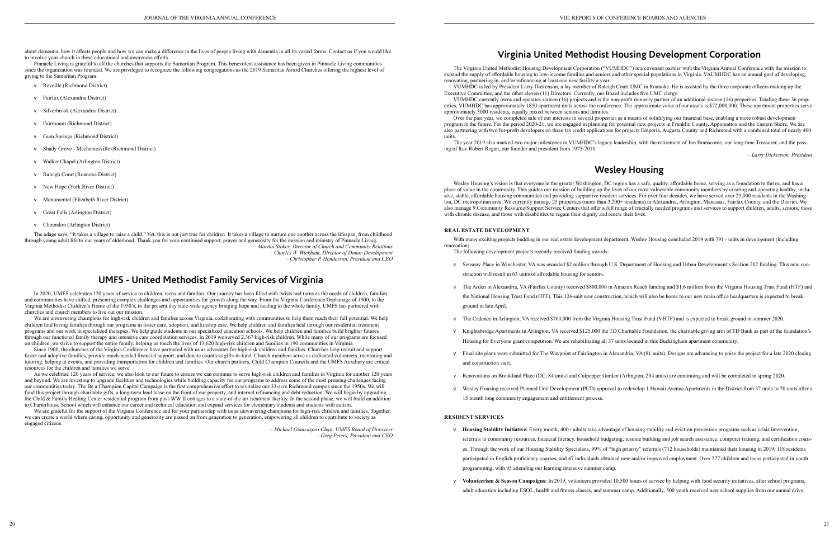about dementia, how it affects people and how we can make a difference in the lives of people living with dementia in all its varied forms. Contact us if you would like to involve your church in these educational and awareness efforts.

Pinnacle Living is grateful to all the churches that supports the Samaritan Program. This benevolent assistance has been given in Pinnacle Living communities since the organization was founded. We are privileged to recognize the following congregations as the 2019 Samaritan Award Churches offering the highest level of giving to the Samaritan Program:

- v Reveille (Richmond District)
- v Fairfax (Alexandria District)
- v Silverbrook (Alexandria District)
- v Fairmount (Richmond District)
- v Gum Springs (Richmond District)
- v Shady Grove Mechanicsville (Richmond District)
- v Walker Chapel (Arlington District)
- v Raleigh Court (Roanoke District)
- v New Hope (York River District)
- v Monumental (Elizabeth River District)
- v Great Falls (Arlington District)
- v Clarendon (Arlington District)

The adage says, "It takes a village to raise a child." Yet, this is not just true for children. It takes a village to nurture one another across the lifespan, from childhood through young adult life to our years of elderhood. Thank you for your continued support, prayer and generosity for the mission and ministry of Pinnacle Living. *– Martha Stokes, Director of Church and Community Relations*

We are unwavering champions for high-risk children and families across Virginia, collaborating with communities to help them reach their full potential. We help children find loving families through our programs in foster care, adoption, and kinship care. We help children and families heal through our residential treatment programs and our work in specialized therapies. We help guide students in our specialized education schools. We help children and families build brighter futures through our functional family therapy and intensive care coordination services. In 2019 we served 2,367 high-risk children. While many of our programs are focused on children, we strive to support the entire family, helping us touch the lives of 13,620 high-risk children and families in 190 communities in Virginia.

*– Charles W. Wickham, Director of Donor Development – Christopher P. Henderson, President and CEO*

## **UMFS - United Methodist Family Services of Virginia**

In 2020, UMFS celebrates 120 years of service to children, teens and families. Our journey has been filled with twists and turns as the needs of children, families and communities have shifted, presenting complex challenges and opportunities for growth along the way. From the Virginia Conference Orphanage of 1900, to the Virginia Methodist Children's Home of the 1950's, to the present day state-wide agency bringing hope and healing to the whole family, UMFS has partnered with churches and church members to live out our mission.

We are grateful for the support of the Virginia Conference and for your partnership with us as unwavering champions for high-risk children and families. Together, we can create a world where caring, opportunity and generosity are passed on from generation to generation, empowering all children to contribute to society as engaged citizens.

Since 1900, the churches of the Virginia Conference have partnered with us as advocates for high-risk children and families. Churches help recruit and support foster and adoptive families, provide much-needed financial support, and donate countless gifts-in-kind. Church members serve as dedicated volunteers, mentoring and tutoring, helping at events, and providing transportation for children and families. Our church partners, Child Champion Councils and the UMFS Auxiliary are critical resources for the children and families we serve.

Wesley Housing's vision is that everyone in the greater Washington, DC region has a safe, quality, affordable home, serving as a foundation to thrive, and has a place of value in the community. This guides our mission of building up the lives of our most vulnerable community members by creating and operating healthy, inclusive, stable, affordable housing communities and providing supportive resident services. For over four decades, we have served over 25,000 residents in the Washington, DC metropolitan area. We currently manage 25 properties (more than 3,200+ residents) in Alexandria, Arlington, Manassas, Fairfax County, and the District. We also manage 9 Community Resource/Support Service Centers that offer a full range of crucially needed programs and services to support children, adults, seniors, those with chronic disease, and those with disabilities to regain their dignity and renew their lives.

As we celebrate 120 years of service, we also look to our future to ensure we can continue to serve high-risk children and families in Virginia for another 120 years and beyond. We are investing to upgrade facilities and technologies while building capacity for our programs to address some of the most pressing challenges facing our communities today. The Be a Champion Capital Campaign is the first comprehensive effort to revitalize our 33-acre Richmond campus since the 1950s. We will fund this project through charitable gifts, a long-term land lease on the front of our property, and internal refinancing and debt reduction. We will begin by upgrading the Child & Family Healing Center residential program from post-WW II cottages to a state-of-the-art treatment facility. In the second phase, we will build an addition to Charterhouse School which will enhance our career and technical education and expand services for elementary students and students with autism.

> v **Housing Stability Initiative:** Every month, 400+ adults take advantage of housing stability and eviction prevention programs such as crisis intervention, referrals to community resources, financial literacy, household budgeting, resume building and job search assistance, computer training, and certification courses. Through the work of our Housing Stability Specialists, 99% of "high priority" referrals (712 households) maintained their housing in 2019, 118 residents participated in English proficiency courses, and 47 individuals obtained new and/or improved employment. Over 277 children and teens participated in youth

*– Michael Giancaspro Chair, UMFS Board of Directors – Greg Peters, President and CEO*

## **Virginia United Methodist Housing Development Corporation**

The Virginia United Methodist Housing Development Corporation ("VUMHDC") is a covenant partner with the Virginia Annual Conference with the mission to expand the supply of affordable housing to low-income families and seniors and other special populations in Virginia. VAUMHDC has an annual goal of developing, renovating, partnering in, and/or refinancing at least one new facility a year.

VUMHDC is led by President Larry Dickenson, a lay member of Raleigh Court UMC in Roanoke. He is assisted by the three corporate officers making up the Executive Committee, and the other eleven (11) Directors. Currently, our Board includes five UMC clergy.

VUMHDC currently owns and operates sixteen (16) projects and is the non-profit minority partner of an additional sixteen (16) properties. Totaling these 36 properties, VUMHDC has approximately 1850 apartment units across the conference. The approximate value of our assets is \$72,000,000. These apartment properties serve approximately 3000 residents, equally mixed between seniors and families.

Over the past year, we completed sale of our interests in several properties as a means of solidifying our financial base, enabling a more robust development program in the future. For the period 2020-21, we are engaged in planning for potential new projects in Franklin County, Appomattox and the Eastern Shore. We are also partnering with two for-profit developers on three tax credit applications for projects Emporia, Augusta County and Richmond with a combined total of nearly 400 units.

The year 2019 also marked two major milestones in VUMHDC's legacy leadership, with the retirement of Jim Branscome, our long-time Treasurer, and the passing of Rev Robert Regan, our founder and president from 1975-2010.

*– Larry Dickenson, President*

# **Wesley Housing**

#### **REAL ESTATE DEVELOPMENT**

With many exciting projects budding in our real estate development department, Wesley Housing concluded 2019 with 791+ units in development (including renovation).

The following development projects recently received funding awards:

v Senseny Place in Winchester, VA was awarded \$2 million through U.S. Department of Housing and Urban Development's Section 202 funding. This new con-

v The Arden in Alexandria, VA (Fairfax County) received \$800,000 in Amazon Reach funding and \$1.6 million from the Virginia Housing Trust Fund (HTF) and the National Housing Trust Fund (HTF). This 126-unit new construction, which will also be home to our new main office headquarters is expected to break

v The Cadence in Arlington, VA received \$700,000 from the Virginia Housing Trust Fund (VHTF) and is expected to break ground in summer 2020.

v Knightsbridge Apartments in Arlington, VA received \$125,000 the TD Charitable Foundation, the charitable giving arm of TD Bank as part of the foundation's

- struction will result in 63 units of affordable housing for seniors.
- ground in late April.
- 
- Housing for Everyone grant competition. We are rehabilitating all 37 units located in this Buckingham apartment community.
- and construction start.
- 
- 15 month long community engagement and entitlement process.

v Final site plans were submitted for The Waypoint at Fairlington in Alexandria, VA (81 units). Designs are advancing to poise the project for a late 2020 closing

v Renovations on Brookland Place (DC, 84 units) and Culpepper Garden (Arlington, 204 units) are continuing and will be completed in spring 2020.

v Wesley Housing received Planned Unit Development (PUD) approval to redevelop 1 Hawaii Avenue Apartments in the District from 37 units to 70 units after a

#### **RESIDENT SERVICES**

- programming, with 95 attending our learning intensive summer camp.
- 

v **Volunteerism & Season Campaigns:** In 2019, volunteers provided 10,500 hours of service by helping with food security initiatives, after school programs, adult education including ESOL, health and fitness classes, and summer camp. Additionally, 500 youth received new school supplies from our annual drive,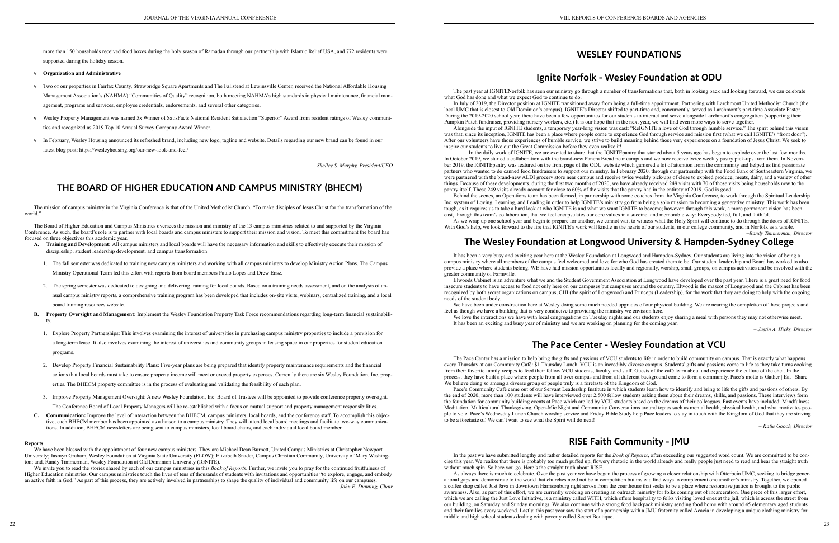more than 150 households received food boxes during the holy season of Ramadan through our partnership with Islamic Relief USA, and 772 residents were supported during the holiday season.

- v **Organization and Administrative**
- v Two of our properties in Fairfax County, Strawbridge Square Apartments and The Fallstead at Lewinsville Center, received the National Affordable Housing Management Association's (NAHMA) "Communities of Quality" recognition, both meeting NAHMA's high standards in physical maintenance, financial management, programs and services, employee credentials, endorsements, and several other categories.
- v Wesley Property Management was named 5x Winner of SatisFacts National Resident Satisfaction "Superior" Award from resident ratings of Wesley communities and recognized as 2019 Top 10 Annual Survey Company Award Winner.
- v In February, Wesley Housing announced its refreshed brand, including new logo, tagline and website. Details regarding our new brand can be found in our latest blog post: https://wesleyhousing.org/our-new-look-and-feel/

*– Shelley S. Murphy, President/CEO*

## **THE BOARD OF HIGHER EDUCATION AND CAMPUS MINISTRY (BHECM)**

The mission of campus ministry in the Virginia Conference is that of the United Methodist Church, "To make disciples of Jesus Christ for the transformation of the world."

The Board of Higher Education and Campus Ministries oversees the mission and ministry of the 13 campus ministries related to and supported by the Virginia Conference. As such, the board's role is to partner with local boards and campus ministers to support their mission and vision. To meet this commitment the board has focused on three objectives this academic year.

We invite you to read the stories shared by each of our campus ministries in this *Book of Reports*. Further, we invite you to pray for the continued fruitfulness of Higher Education ministries. Our campus ministries touch the lives of tens of thousands of students with invitations and opportunities "to explore, engage, and embody an active faith in God." As part of this process, they are actively involved in partnerships to shape the quality of individual and community life on our campuses. *– John E. Dunning, Chair*

- **A. Training and Development:** All campus ministers and local boards will have the necessary information and skills to effectively execute their mission of discipleship, student leadership development, and campus transformation.
	- 1. The fall semester was dedicated to training new campus ministers and working with all campus ministers to develop Ministry Action Plans. The Campus Ministry Operational Team led this effort with reports from board members Paulo Lopes and Drew Ensz.
	- 2. The spring semester was dedicated to designing and delivering training for local boards. Based on a training needs assessment, and on the analysis of annual campus ministry reports, a comprehensive training program has been developed that includes on-site visits, webinars, centralized training, and a local board training resources website.
- **B. Property Oversight and Management:** Implement the Wesley Foundation Property Task Force recommendations regarding long-term financial sustainability.
	- 1. Explore Property Partnerships: This involves examining the interest of universities in purchasing campus ministry properties to include a provision for a long-term lease. It also involves examining the interest of universities and community groups in leasing space in our properties for student education programs.
	- 2. Develop Property Financial Sustainability Plans: Five-year plans are being prepared that identify property maintenance requirements and the financial actions that local boards must take to ensure property income will meet or exceed property expenses. Currently there are six Wesley Foundation, Inc. properties. The BHECM property committee is in the process of evaluating and validating the feasibility of each plan.
	- 3. Improve Property Management Oversight: A new Wesley Foundation, Inc. Board of Trustees will be appointed to provide conference property oversight. The Conference Board of Local Property Managers will be re-established with a focus on mutual support and property management responsibilities.
- **C. Communication:** Improve the level of interaction between the BHECM, campus ministers, local boards, and the conference staff. To accomplish this objective, each BHECM member has been appointed as a liaison to a campus ministry. They will attend local board meetings and facilitate two-way communications. In addition, BHECM newsletters are being sent to campus ministers, local board chairs, and each individual local board member.

As we wrap up one school year and begin to prepare for another, we cannot wait to witness what the Holy Spirit will continue to do through the doors of IGNITE. With God's help, we look forward to the fire that IGNITE's work will kindle in the hearts of our students, in our college community, and in Norfolk as a whole.

#### **Reports**

We have been blessed with the appointment of four new campus ministers. They are Michael Dean Burnett, United Campus Ministries at Christopher Newport University; Jasmyn Graham, Wesley Foundation at Virginia State University (FLOW); Elizabeth Snader, Campus Christian Community, University of Mary Washington; and, Randy Timmerman, Wesley Foundation at Old Dominion University (IGNITE).

We love the interactions we have with local congregations on Tuesday nights and our students enjoy sharing a meal with persons they may not otherwise meet It has been an exciting and busy year of ministry and we are working on planning for the coming year.

# **WESLEY FOUNDATIONS**

## **Ignite Norfolk - Wesley Foundation at ODU**

The past year at IGNITENorfolk has seen our ministry go through a number of transformations that, both in looking back and looking forward, we can celebrate what God has done and what we expect God to continue to do.

In July of 2019, the Director position at IGNITE transitioned away from being a full-time appointment. Partnering with Larchmont United Methodist Church (the local UMC that is closest to Old Dominion's campus), IGNITE's Director shifted to part-time and, concurrently, served as Larchmont's part-time Associate Pastor. During the 2019-2020 school year, there have been a few opportunities for our students to interact and serve alongside Larchmont's congregation (supporting their Pumpkin Patch fundraiser, providing nursery workers, etc.) It is our hope that in the next year, we will find even more ways to serve together.

Alongside the input of IGNITE students, a temporary year-long vision was cast: "ReIGNITE a love of God through humble service." The spirit behind this vision was that, since its inception, IGNITE has been a place where people come to experience God through service and mission first (what we call IGNITE's "front door"). After our volunteers have those experiences of humble service, we strive to build meaning behind those very experiences on a foundation of Jesus Christ. We seek to inspire our students to live out the Great Commission before they even realize it!

As always there is much to celebrate. Over the past year we have began the process of growing a closer relationship with Otterbein UMC, seeking to bridge generational gaps and demonstrate to the world that churches need not be in competition but instead find ways to complement one another's ministry. Together, we opened a coffee shop called Just Java in downtown Harrisonburg right across from the courthouse that seeks to be a place where restorative justice is brought to the public awareness. Also, as part of this effort, we are currently working on creating an outreach ministry for folks coming out of incarceration. One piece of this larger effort, which we are calling the Just Love Initiative, is a ministry called WITH, which offers hospitality to folks visiting loved ones at the jail, which is across the street from our building, on Saturday and Sunday mornings. We also continue with a strong food backpack ministry sending food home with around 45 elementary aged students and their families every weekend. Lastly, this past year saw the start of a partnership with a JMU fraternity called Acacia in developing a unique clothing ministry for middle and high school students dealing with poverty called Secret Boutique.

In the daily work of IGNITE, we are excited to share that the IGNITEpantry that started about 5 years ago has begun to explode over the last few months. In October 2019, we started a collaboration with the brand-new Panera Bread near campus and we now receive twice weekly pastry pick-ups from them. In November 2019, the IGNITEpantry was featured on the front page of the ODU website which garnered a lot of attention from the community and helped us find passionate partners who wanted to do canned food fundraisers to support our ministry. In February 2020, through our partnership with the Food Bank of Southeastern Virginia, we were partnered with the brand-new ALDI grocery store near campus and receive twice weekly pick-ups of close to expired produce, meats, dairy, and a variety of other things. Because of these developments, during the first two months of 2020, we have already received 249 visits with 70 of those visits being households new to the pantry itself. These 249 visits already account for close to 60% of the visits that the pantry had in the entirety of 2019. God is good!

Behind the scenes, an Operations team has been formed, in partnership with some coaches from the Virginia Conference, to work through the Spiritual Leadership Inc. system of Loving, Learning, and Leading in order to help IGNITE's ministry go from being a solo mission to becoming a generative ministry. This work has been tough, as it requires us to take a hard look at who IGNITE is and what we want IGNITE to become; however, through this work, a more permanent vision has been cast, through this team's collaboration, that we feel encapsulates our core values in a succinct and memorable way: Everybody fed, full, and faithful.

*–Randy Timmerman, Director*

# **The Wesley Foundation at Longwood University & Hampden-Sydney College**

It has been a very busy and exciting year here at the Wesley Foundation at Longwood and Hampden-Sydney. Our students are living into the vision of being a campus ministry where all members of the campus feel welcomed and love for who God has created them to be. Our student leadership and Board has worked to also provide a place where students belong. WE have had mission opportunities locally and regionally, worship, small groups, on campus activities and be involved with the greater community of Farmville.

Elwoods Cabinet is an adventure what we and the Student Government Association at Longwood have developed over the past year. There is a great need for food insecure students to have access to food not only here on our campuses but campuses around the country. Elwood is the mascot of Longwood and the Cabinet has been recognized by both secret organizations on campus, CHI (the spirit of Longwood) and Princeps (Leadership), for the work that they are doing to help with the ongoing needs of the student body.

We have been under construction here at Wesley doing some much needed upgrades of our physical building. We are nearing the completion of these projects and feel as though we have a building that is very conducive to providing the ministry we envision here.

*– Justin A. Hicks, Director*

# **The Pace Center - Wesley Foundation at VCU**

The Pace Center has a mission to help bring the gifts and passions of VCU students to life in order to build community on campus. That is exactly what happens every Thursday at our Community Café: \$1 Thursday Lunch. VCU is an incredibly diverse campus. Students' gifts and passions come to life as they take turns cooking from their favorite family recipes to feed their fellow VCU students, faculty, and staff. Guests of the café learn about and experience the culture of the chef. In the process, they have built a place where people from all over campus and from all different background come to form a community. Pace's motto is Gather | Eat | Share. We believe doing so among a diverse group of people truly is a foretaste of the Kingdom of God.

Pace's Community Café came out of our Servant Leadership Institute in which students learn how to identify and bring to life the gifts and passions of others. By the end of 2020, more than 100 students will have interviewed over 2,500 fellow students asking them about their dreams, skills, and passions. These interviews form the foundation for community building events at Pace which are led by VCU students based on the dreams of their colleagues. Past events have included: Mindfulness Meditation, Multicultural Thanksgiving, Open-Mic Night and Community Conversations around topics such as mental health, physical health, and what motivates people to vote. Pace's Wednesday Lunch Church worship service and Friday Bible Study help Pace leaders to stay in touch with the Kingdom of God that they are striving to be a foretaste of. We can't wait to see what the Spirit will do next!

*– Katie Gooch, Director*

## **RISE Faith Community - JMU**

In the past we have submitted lengthy and rather detailed reports for the *Book of Reports*, often exceeding our suggested word count. We are committed to be concise this year. We realize that there is probably too much puffed up, flowery rhetoric in the world already and really people just need to read and hear the straight truth without much spin. So here you go. Here's the straight truth about RISE.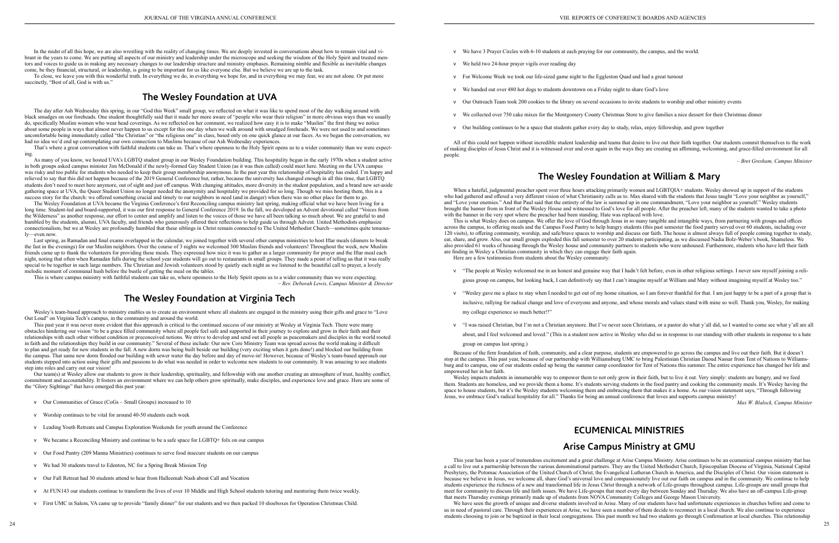To close, we leave you with this wonderful truth. In everything we do, in everything we hope for, and in everything we may fear, we are not alone. Or put more succinctly, "Best of all, God is with us."

In the midst of all this hope, we are also wrestling with the reality of changing times. We are deeply invested in conversations about how to remain vital and vibrant in the years to come. We are putting all aspects of our ministry and leadership under the microscope and seeking the wisdom of the Holy Spirit and trusted mentors and voices to guide us in making any necessary changes to our leadership structure and ministry emphases. Remaining nimble and flexible as inevitable changes come, be they financial, structural, or leadership, is going to be important for us like everyone else. But we believe we are up to the task.

## **The Wesley Foundation at UVA**

The day after Ash Wednesday this spring, in our "God this Week" small group, we reflected on what it was like to spend most of the day walking around with black smudges on our foreheads. One student thoughtfully said that it made her more aware of "people who wear their religion" in more obvious ways than we usually do, specifically Muslim women who wear head coverings. As we reflected on her comment, we realized how easy it is to make "Muslim" the first thing we notice about some people in ways that almost never happen to us except for this one day when we walk around with smudged foreheads. We were not used to and sometimes uncomfortable being immediately called "the Christian" or "the religious one" in class, based only on one quick glance at our faces. As we began the conversation, we had no idea we'd end up contemplating our own connection to Muslims because of our Ash Wednesday experiences.

That's where a great conversation with faithful students can take us. That's where openness to the Holy Spirit opens us to a wider community than we were expecting.

Last spring, as Ramadan and final exams overlapped in the calendar, we joined together with several other campus ministries to host Iftar meals (dinners to break the fast in the evenings) for our Muslim neighbors. Over the course of 3 nights we welcomed 300 Muslim friends and volunteers! Throughout the week, new Muslim friends came up to thank the volunteers for providing these meals. They expressed how nice it was to gather as a larger community for prayer and the Iftar meal each night, noting that often when Ramadan falls during the school year students will go out to restaurants in small groups. They made a point of telling us that it was really special to be together in such large numbers. The Christian and Jewish volunteers stood by quietly each night as we listened to the beautiful call to prayer, a lovely melodic moment of communal hush before the bustle of getting the meal on the tables.

As many of you know, we hosted UVA's LGBTQ student group in our Wesley Foundation building. This hospitality began in the early 1970s when a student active in both groups asked campus minister Jim McDonald if the newly-formed Gay Student Union (as it was then called) could meet here. Meeting on the UVA campus was risky and too public for students who needed to keep their group membership anonymous. In the past year this relationship of hospitality has ended. I'm happy and relieved to say that this did not happen because of the 2019 General Conference but, rather, because the university has changed enough in all this time, that LGBTQ students don't need to meet here anymore, out of sight and just off campus. With changing attitudes, more diversity in the student population, and a brand new set-aside gathering space at UVA, the Queer Student Union no longer needed the anonymity and hospitality we provided for so long. Though we miss hosting them, this is a success story for the church: we offered something crucial and timely to our neighbors in need (and in danger) when there was no other place for them to go.

This past year it was never more evident that this approach is critical to the continued success of our ministry at Wesley at Virginia Tech. There were many obstacles hindering our vision "to be a grace filled community where all people feel safe and supported in their journey to explore and grow in their faith and their relationships with each other without condition or preconceived notions. We strive to develop and send out all people as peacemakers and disciples in the world rooted in faith and the relationships they build in our community." Several of these include: Our new Core Ministry Team was spread across the world making it difficult to plan and get ready for new students in the fall. A new dorm was being built beside our building (very exciting when it gets done!) and blocked our building from the campus. That same new dorm flooded our building with sewer water the day before and day of move-in! However, because of Wesley's team-based approach our students stepped into action using their gifts and passions to do what was needed in order to welcome new students to our community. It was amazing to see students step into roles and carry out our vision!

The Wesley Foundation at UVA became the Virginia Conference's first Reconciling campus ministry last spring, making official what we have been living for a long time. Student-led and board-supported, it was our first response to General Conference 2019. In the fall, we developed an Advent devotional called "Voices from the Wilderness" as another response, our effort to center and amplify and listen to the voices of those we have all been talking so much about. We are grateful to and humbled by the students, alumni, UVA faculty, and friends who generously offered their reflections to help guide us through Advent. United Methodists emphasize connectionalism, but we at Wesley are profoundly humbled that these siblings in Christ remain connected to The United Methodist Church—sometimes quite tenuously—even now.

This is where campus ministry with faithful students can take us, where openness to the Holy Spirit opens us to a wider community than we were expecting. *– Rev. Deborah Lewis, Campus Minister & Director*

## **The Wesley Foundation at Virginia Tech**

Wesley's team-based approach to ministry enables us to create an environment where all students are engaged in the ministry using their gifts and grace to "Love Out Loud" on Virginia Tech's campus, in the community and around the world.

Our team(s) at Wesley allow our students to grow in their leadership, spirituality, and fellowship with one another creating an atmosphere of trust, healthy conflict, commitment and accountability. It fosters an environment where we can help others grow spiritually, make disciples, and experience love and grace. Here are some of the "Glory Sightings" that have emerged this past year:

- v Our Communities of Grace (CoGs Small Groups) increased to 10
- v Worship continues to be vital for around 40-50 students each week
- v Leading Youth Retreats and Campus Exploration Weekends for youth around the Conference
- v We became a Reconciling Ministry and continue to be a safe space for LGBTQ+ folx on our campus
- v Our Food Pantry (209 Manna Ministries) continues to serve food insecure students on our campus
- v We had 30 students travel to Edenton, NC for a Spring Break Mission Trip
- v Our Fall Retreat had 30 students attend to hear from Halleemah Nash about Call and Vocation
- v At FUN143 our students continue to transform the lives of over 10 Middle and High School students tutoring and mentoring them twice weekly.
- v First UMC in Salem, VA came up to provide "family dinner" for our students and we then packed 10 shoeboxes for Operation Christmas Child.
- v We have 3 Prayer Circles with 6-10 students at each praying for our community, the campus, and the world.
- v We held two 24-hour prayer vigils over reading day
- v For Welcome Week we took our life-sized game night to the Eggleston Quad and had a great turnout
- v We handed out over 480 hot dogs to students downtown on a Friday night to share God's love
- v Our Outreach Team took 200 cookies to the library on several occasions to invite students to worship and other ministry events
- v We collected over 750 cake mixes for the Montgomery County Christmas Store to give families a nice dessert for their Christmas dinner
- v Our building continues to be a space that students gather every day to study, relax, enjoy fellowship, and grow together

All of this could not happen without incredible student leadership and teams that desire to live out their faith together. Our students commit themselves to the work of making disciples of Jesus Christ and it is witnessed over and over again in the ways they are creating an affirming, welcoming, and grace-filled environment for all people.

*– Bret Gresham, Campus Minister*

## **The Wesley Foundation at William & Mary**

When a hateful, judgmental preacher spent over three hours attacking primarily women and LGBTQIA+ students. Wesley showed up in support of the students who had gathered and offered a very different vision of what Christianity calls us to. Max shared with the students that Jesus taught "Love your neighbor as yourself," and "Love your enemies." And that Paul said that the entirety of the law is summed up in one commandment, "Love your neighbor as yourself." Wesley students brought the banner from in front of the Wesley House and witnessed to God's love for all people. After the preacher left, many of the students wanted to take a photo with the banner in the very spot where the preacher had been standing. Hate was replaced with love.

This is what Wesley does on campus. We offer the love of God through Jesus in so many tangible and intangible ways, from partnering with groups and offices across the campus, to offering meals and the Campus Food Pantry to help hungry students (this past semester the food pantry served over 60 students, including over 120 visits), to offering community, worship, and safe/brave spaces to worship and discuss our faith. The house is almost always full of people coming together to study, eat, share, and grow. Also, our small groups exploded this fall semester to over 20 students participating, as we discussed Nadia Bolz-Weber's book, Shameless. We also provided 61 weeks of housing through the Wesley house and community partners to students who were unhoused. Furthermore, students who have left their faith are finding in Wesley a Christian community in which they can engage their faith again. Here are a few testimonies from students about the Wesley community:

v "The people at Wesley welcomed me in an honest and genuine way that I hadn't felt before, even in other religious settings. I never saw myself joining a reli-

v "Wesley gave me a place to stay when I needed to get out of my home situation, so I am forever thankful for that. I am just happy to be a part of a group that is

- 
- gious group on campus, but looking back, I can definitively say that I can't imagine myself at William and Mary without imagining myself at Wesley too."
- inclusive, rallying for radical change and love of everyone and anyone, and whose morals and values stand with mine so well. Thank you, Wesley, for making my college experience so much better!!"
- 
- 

v "I was raised Christian, but I'm not a Christian anymore. But I've never seen Christians, or a pastor do what y'all did, so I wanted to come see what y'all are all

about, and I feel welcomed and loved." (This is a student now active in Wesley who did so in response to our standing with other students in response to a hate

group on campus last spring.)

Because of the firm foundation of faith, community, and a clear purpose, students are empowered to go across the campus and live out their faith. But it doesn't stop at the campus. This past year, because of our partnership with Williamsburg UMC to bring Palestinian Christian Daoud Nassar from Tent of Nations to Williamsburg and to campus, one of our students ended up being the summer camp coordinator for Tent of Nations this summer. The entire experience has changed her life and empowered her in her faith.

Wesley impacts students in innumerable way to empower them to not only grow in their faith, but to live it out. Very simply: students are hungry, and we feed them. Students are homeless, and we provide them a home. It's students serving students in the food pantry and cooking the community meals. It's Wesley having the space to house students, but it's the Wesley students welcoming them and embracing them that makes it a home. As our vision statement says, "Through following Jesus, we embrace God's radical hospitality for all." Thanks for being an annual conference that loves and supports campus ministry!

*Max W. Blalock, Campus Minister*

# **ECUMENICAL MINISTRIES**

## **Arise Campus Ministry at GMU**

This year has been a year of tremendous excitement and a great challenge at Arise Campus Ministry. Arise continues to be an ecumenical campus ministry that has a call to live out a partnership between the various denominational partners. They are the United Methodist Church, Episcopalian Diocese of Virginia, National Capital Presbytery, the Potomac Association of the United Church of Christ, the Evangelical Lutheran Church in America, and the Disciples of Christ. Our vision statement is because we believe in Jesus, we welcome all, share God's universal love and compassionately live out our faith on campus and in the community. We continue to help students experience the richness of a new and transformed life in Jesus Christ through a network of Life-groups throughout campus. Life-groups are small groups that meet for community to discuss life and faith issues. We have Life-groups that meet every day between Sunday and Thursday. We also have an off-campus Life-group that meets Thursday evenings primarily made up of students from NOVA Community Colleges and George Mason University.

We have seen the growth of unique and diverse students involved in Arise. Many of our students have had unfortunate experiences in churches before and come to us in need of pastoral care. Through their experiences at Arise, we have seen a number of them decide to reconnect in a local church. We also continue to experience students choosing to join or be baptized in their local congregations. This past month we had two students go through Confirmation at local churches. This relationship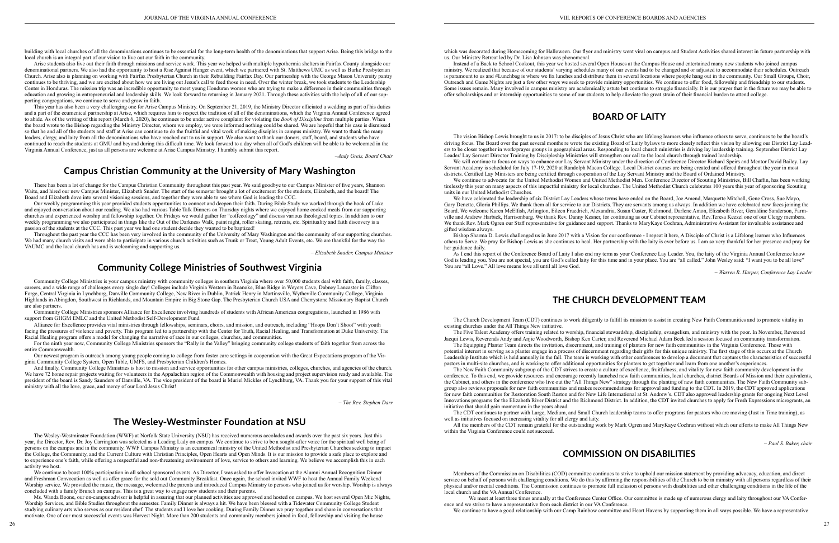building with local churches of all the denominations continues to be essential for the long-term health of the denominations that support Arise. Being this bridge to the local church is an integral part of our vision to live out our faith in the community.

Arise students also live out their faith through missions and service work. This year we helped with multiple hypothermia shelters in Fairfax County alongside our denominational partners. We also had the opportunity to host a Rise Against Hunger event, which we partnered with St. Matthews UMC as well as Burke Presbyterian Church. Arise also is planning on working with Fairfax Presbyterian Church in their Rebuilding Fairfax Day. Our partnership with the George Mason University pantry continues to be thriving, and we are excited about how we are living out Jesus's call to feed those in need. Over the winter break, we took students to the Leadership Center in Honduras. The mission trip was an incredible opportunity to meet young Honduran women who are trying to make a difference in their communities through education and growing in entrepreneurial and leadership skills. We look forward to returning in January 2021. Through these activities with the help of all of our supporting congregations, we continue to serve and grow in faith.

This year has also been a very challenging one for Arise Campus Ministry. On September 21, 2019, the Ministry Director officiated a wedding as part of his duties and a part of the ecumenical partnership at Arise, which requires him to respect the tradition of all of the denominations, which the Virginia Annual Conference agreed to abide. As of the writing of this report (March 6, 2020), he continues to be under active complaint for violating the *Book of Discipline* from multiple parties. When the board wrote to the Bishop regarding the Ministry Director, whom we employ, we were informed nothing could be shared. We are hopeful that his case is dismissed so that he and all of the students and staff at Arise can continue to do the fruitful and vital work of making disciples in campus ministry. We want to thank the many leaders, clergy, and laity from all the denominations who have reached out to us in support. We also want to thank our donors, staff, board, and students who have continued to reach the students at GMU and beyond during this difficult time. We look forward to a day when all of God's children will be able to be welcomed in the Virginia Annual Conference, just as all persons are welcome at Arise Campus Ministry. I humbly submit this report.

*–Andy Greis, Board Chair*

## **Campus Christian Community at the University of Mary Washington**

There has been a lot of change for the Campus Christian Community throughout this past year. We said goodbye to our Campus Minister of five years, Shannon Waite, and hired our new Campus Minister, Elizabeth Snader. The start of the semester brought a lot of excitement for the students, Elizabeth, and the board! The Board and Elizabeth dove into several visioning sessions, and together they were able to see where God is leading the CCC.

And finally, Community College Ministries is host to mission and service opportunities for other campus ministries, colleges, churches, and agencies of the church. We have 72 home repair projects waiting for volunteers in the Appalachian region of the Commonwealth with housing and project supervision ready and available. The president of the board is Sandy Saunders of Danville, VA. The vice president of the board is Muriel Mickles of Lynchburg, VA. Thank you for your support of this vital ministry with all the love, grace, and mercy of our Lord Jesus Christ!

Our weekly programming this year provided students opportunities to connect and deepen their faith. During Bible Study we worked through the book of Luke and enjoyed conversation about our reading. We also had various Table Talk Dinners on Thursday nights where we enjoyed home cooked meals from our supporting churches and experienced worship and fellowship together. On Fridays we would gather for "coffeeology" and discuss various theological topics. In addition to our weekly programming we also participated in things like the Out of the Darkness Walk, paint night, roller skating, retreats, etc. Spirituality and faith discovery is a passion of the students at the CCC. This past year we had one student decide they wanted to be baptized!

We continue to boast 100% participation in all school sponsored events. As Director, I was asked to offer Invocation at the Alumni Annual Recognition Dinner and Freshman Convocation as well as offer grace for the sold out Community Breakfast. Once again, the school invited WWF to host the Annual Family Weekend Worship service. We provided the music, the message, welcomed the parents and introduced Campus Ministry to persons who joined us for worship. Worship is always concluded with a family Brunch on campus. This is a great way to engage new students and their parents.

Throughout the past year the CCC has been very involved in the community of the University of Mary Washington and the community of our supporting churches. We had many church visits and were able to participate in various church activities such as Trunk or Treat, Young Adult Events, etc. We are thankful for the way the VAUMC and the local church has and is welcoming and supporting us.

*– Elizabeth Snader, Campus Minister*

## **Community College Ministries of Southwest Virginia**

which was decorated during Homecoming for Halloween. Our flyer and ministry went viral on campus and Student Activities shared interest in future partnership with us. Our Ministry Retreat led by Dr. Lisa Johnson was phenomenal.

Community College Ministries is your campus ministry with community colleges in southern Virginia where over 50,000 students deal with faith, family, classes, careers, and a wide range of challenges every single day! Colleges include Virginia Western in Roanoke, Blue Ridge in Weyers Cave, Dabney Lancaster in Clifton Forge, Central Virginia in Lynchburg, Danville Community College, New River in Dublin, Patrick Henry in Martinsville, Wytheville Community College, Virginia Highlands in Abingdon, Southwest in Richlands, and Mountain Empire in Big Stone Gap. The Presbyterian Church USA and Cherrystone Missionary Baptist Church are also partners.

Community College Ministries sponsors Alliance for Excellence involving hundreds of students with African American congregations, launched in 1986 with support from GHGM EMLC and the United Methodist Self-Development Fund.

Alliance for Excellence provides vital ministries through fellowships, seminars, choirs, and mission, and outreach, including "Hoops Don't Shoot" with youth facing the pressures of violence and poverty. This program led to a partnership with the Center for Truth, Racial Healing, and Transformation at Duke University. The Racial Healing program offers a model for changing the narrative of race in our colleges, churches, and communities.

We will continue to focus on ways to enhance our Lay Servant Ministry under the direction of Conference Director Richard Speirs and Mentor David Bailey. Lay Servant Academy is scheduled for July 17-19, 2020 at Randolph Macon College. Local District courses are being created and offered throughout the year in most districts. Certified Lay Ministers are being certified through cooperation of the Lay Servant Ministry and the Board of Ordained Ministry.

We continue to advocate for the United Methodist Women and United Methodist Men. Conference Director of Scouting Ministries, Bill Chaffin, has been working tirelessly this year on many aspects of this impactful ministry for local churches. The United Methodist Church celebrates 100 years this year of sponsoring Scouting units in our United Methodist Churches.

For the ninth year now, Community College Ministries sponsors the "Rally in the Valley" bringing community college students of faith together from across the entire Commonwealth.

Our newest program is outreach among young people coming to college from foster care settings in cooperation with the Great Expectations program of the Virginia Community College System, Open Table, UMFS, and Presbyterian Children's Homes.

*– The Rev. Stephen Darr* 

## **The Wesley-Westminster Foundation at NSU**

The Wesley-Westminster Foundation (WWF) at Norfolk State University (NSU) has received numerous accolades and awards over the past six years. Just this year, the Director, Rev. Dr. Joy Carrington was selected as a Leading Lady on campus. We continue to strive to be a sought-after voice for the spiritual well being of persons on the campus and in the community. WWF Campus Ministry is an ecumenical ministry of the United Methodist and Presbyterian Churches seeking to impact the College, the Community, and the Current Culture with Christian Principles, Open Hearts and Open Minds. It is our mission to provide a safe place to explore and to experience one's faith, while offering a respectful and non-threatening environment of love, service to others and learning. We believe we accomplish this in each activity we host.

Ms. Wanda Boone, our on-campus advisor is helpful in assuring that our planned activities are approved and hosted on campus. We host several Open Mic Nights, Worship Services, and Bible Studies throughout the semester. Family Dinner is always a hit. We have been blessed with a Tidewater Community College Student studying culinary arts who serves as our resident chef. The students and I love her cooking. During Family Dinner we pray together and share in conversations that motivate. One of our most successful events was Harvest Night. More than 200 students and community members joined in food, fellowship and visiting the house

Instead of a Back to School Cookout, this year we hosted several Open Houses at the Campus House and entertained many new students who joined campus ministry. We realized that because of our students' varying schedules many of our events had to be changed and or adjusted to accommodate their schedules. Outreach is paramount to us and #Lunchbag is where we fix lunches and distribute them in several locations where people hang out in the community. Our Small Groups, Choir, Outreach and Game Nights are just a few other ways we seek to provide ministry opportunities. We continue to offer food, fellowship and friendship to our students. Some issues remain. Many involved in campus ministry are academically astute but continue to struggle financially. It is our prayer that in the future we may be able to offer scholarships and or internship opportunities to some of our students to help alleviate the great strain of their financial burden to attend college.

## **BOARD OF LAITY**

The vision Bishop Lewis brought to us in 2017: to be disciples of Jesus Christ who are lifelong learners who influence others to serve, continues to be the board's driving focus. The Board over the past several months re wrote the existing Board of Laity bylaws to more closely reflect this vision by allowing our District Lay Leaders to be closer together in work/prayer groups in geographical areas. Responding to local church ministries is driving lay leadership training. September District Lay Leader/ Lay Servant Director Training by Discipleship Ministries will strengthen our call to the local church through trained leadership.

We have celebrated the leadership of six District Lay Leaders whose terms have ended on the Board, Joe Amend, Marquette Mitchell, Gene Cross, Sue Mayo, Gary Denette, Gloria Phillips. We thank them all for service to our Districts. They are servants among us always. In addition we have celebrated new faces joining the Board. We welcome Karen McElfish, Arlington, Eileen Fraedrich, Alexandria, Susan Custer, Richmond, Darlene Amon, Elizabeth River, Geraldine Sanderson, Farmville and Andrew Harbick, Harrisonburg. We thank Rev. Danny Kesner, for continuing as our Cabinet representative, Rev.Teresa Keezel one of our Clergy members. We thank Rev. Mark Ogren our Staff representative for guidance and support. Thanks to MaryKaye Cochran, Administrative Assistant for invaluable assistance and gifted wisdom always.

Bishop Sharma D. Lewis challenged us in June 2017 with a Vision for our conference - I repeat it here, A Disciple of Christ is a Lifelong learner who Influences others to Serve. We pray for Bishop Lewis as she continues to heal. Her partnership with the laity is ever before us. I am so very thankful for her presence and pray for her guidance daily.

As I end this report of the Conference Board of Laity I also end my term as your Conference Lay Leader. You, the laity of the Virginia Annual Conference know God is leading you. You are not special, you are God's called laity for this time and in your place. You are "all called." John Wesley said: "I want you to be all love" You are "all Love." All love means love all until all love God.

*– Warren R. Harper, Conference Lay Leader*

## **THE CHURCH DEVELOPMENT TEAM**

The Church Development Team (CDT) continues to work diligently to fulfill its mission to assist in creating New Faith Communities and to promote vitality in existing churches under the All Things New initiative.

The Five Talent Academy offers training related to worship, financial stewardship, discipleship, evangelism, and ministry with the poor. In November, Reverend Jacqui Lewis, Reverends Andy and Anjie Woodworth, Bishop Ken Carter, and Reverend Michael Adam Beck led a session focused on community transformation. The Equipping Planter Team directs the invitation, discernment, and training of planters for new faith communities in the Virginia Conference. Those with potential interest in serving as a planter engage in a process of discernment regarding their gifts for this unique ministry. The first stage of this occurs at the Church Leadership Institute which is held annually in the fall. The team is working with other conferences to develop a document that captures the characteristics of successful pastors in multi-site churches, and is working to offer additional opportunities for planters to get together and learn from one another's experiences.

The New Faith Community subgroup of the CDT strives to create a culture of excellence, fruitfulness, and vitality for new faith community development in the conference. To this end, we provide resources and encourage recently launched new faith communities, local churches, district Boards of Mission and their equivalents, the Cabinet, and others in the conference who live out the "All Things New" strategy through the planting of new faith communities. The New Faith Community subgroup also reviews proposals for new faith communities and makes recommendations for approval and funding to the CDT. In 2019, the CDT approved applications for new faith communities for Restoration South Reston and for New Life International at St. Andrew's. CDT also approved leadership grants for ongoing Next Level Innovations programs for the Elizabeth River District and the Richmond District. In addition, the CDT invited churches to apply for Fresh Expressions microgrants, an initiative that should gain momentum in the years ahead.

The CDT continues to partner with Large, Medium, and Small Church leadership teams to offer programs for pastors who are moving (Just in Time training), as well as initiatives focused on increasing vitality for all clergy and laity.

All the members of the CDT remain grateful for the outstanding work by Mark Ogren and MaryKaye Cochran without which our efforts to make All Things New within the Virginia Conference could not succeed.

*– Paul S. Baker, chair*

## **COMMISSION ON DISABILITIES**

Members of the Commission on Disabilities (COD) committee continues to strive to uphold our mission statement by providing advocacy, education, and direct service on behalf of persons with challenging conditions. We do this by affirming the responsibilities of the Church to be in ministry with all persons regardless of their physical and/or mental conditions. The Commission continues to promote full inclusion of persons with disabilities and other challenging conditions in the life of the local church and the VA Annual Conference.

We meet at least three times annually at the Conference Center Office. Our committee is made up of numerous clergy and laity throughout our VA Conference and we strive to have a representative from each district in our VA Conference. We continue to have a good relationship with our Camp Rainbow committee and Heart Havens by supporting them in all ways possible. We have a representative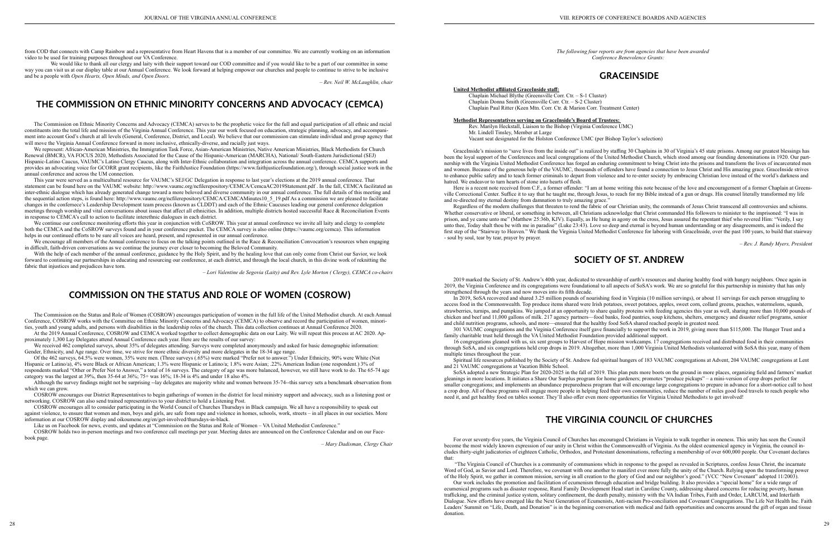from COD that connects with Camp Rainbow and a representative from Heart Havens that is a member of our committee. We are currently working on an information video to be used for training purposes throughout our VA Conference.

We would like to thank all our clergy and laity with their support toward our COD committee and if you would like to be a part of our committee in some way you can visit us at our display table at our Annual Conference. We look forward at helping empower our churches and people to continue to strive to be inclusive and be a people with *Open Hearts, Open Minds, and Open Doors.*

*– Rev. Neil W. McLaughlin, chair*

## **THE COMMISSION ON ETHNIC MINORITY CONCERNS AND ADVOCACY (CEMCA)**

The Commission on Ethnic Minority Concerns and Advocacy (CEMCA) serves to be the prophetic voice for the full and equal participation of all ethnic and racial constituents into the total life and mission of the Virginia Annual Conference. This year our work focused on education, strategic planning, advocacy, and accompaniment into account God's church at all levels (General, Conference, District, and Local). We believe that our commission can stimulate individual and group agency that will move the Virginia Annual Conference forward in more inclusive, ethnically-diverse, and racially just ways.

We represent: African-American Ministries, the Immigration Task Force, Asian-American Ministries, Native American Ministries, Black Methodists for Church Renewal (BMCR), VA FOCUS 2020, Methodists Associated for the Cause of the Hispanic-American (MARCHA), National/ South-Eastern Jurisdictional (SEJ) Hispanic-Latino Caucus, VAUMC's Latino Clergy Caucus, along with Inter-Ethnic collaboration and integration across the annual conference. CEMCA supports and provides an advocating voice for GCORR grant recipients, like the FaithJustice Foundation (https://www.faithjusticefoundation.org/), through social justice work in the annual conference and across the UM connection.

We encourage all members of the Annual conference to focus on the talking points outlined in the Race & Reconciliation Convocation's resources when engaging in difficult, faith-driven conversations as we continue the journey ever closer to becoming the Beloved Community.

This year were served as a multicultural resource for VAUMC's SEJ/GC Delegation in response to last year's elections at the 2019 annual conference. That statement can be found here on the VAUMC website: http://www.vaumc.org/ncfilerepository/CEMCA/CemcaAC2019Statement.pdf . In the fall, CEMCA facilitated an inter-ethnic dialogue which has already generated change toward a more beloved and diverse community in our annual conference. The full details of this meeting and the sequential action steps, is found here: http://www.vaumc.org/ncfilerepository/CEMCA/CEMCAMinutes10\_5\_19.pdf As a commission we are pleased to facilitate changes in the confernece's Leadership Development team process (known as CLDDT) and each of the Ethnic Caucuses leading our general conference delegation meetings through worship and vital conversations about issues that affect all ethnicities. In addition, multiple districts hosted successful Race & Reconciliation Events in response to CEMCA's call to action to facilitate interethnic dialogues in each district.

We continue our conference monitoring efforts this year in conjunction with CoSROW. This year at annual conference we invite all laity and clergy to complete both the CEMCA and the CoSROW surveys found and in your conference packet. The CEMCA survey is also online (https://vaumc.org/cemca). This information helps in our continued efforts to be sure all voices are heard, present, and represented in our annual conference.

With the help of each member of the annual conference, guidance by the Holy Spirit, and by the healing love that can only come from Christ our Savior, we look forward to continuing our partnerships in educating and resourcing our conference, at each district, and through the local church, in this divine work of reknitting the fabric that injustices and prejudices have torn.

*– Lori Valentine de Segovia (Laity) and Rev. Lyle Morton ( Clergy), CEMCA co-chairs*

## **COMMISSION ON THE STATUS AND ROLE OF WOMEN (COSROW)**

Here is a recent note received from C.F., a former offender: "I am at home writing this note because of the love and encouragement of a former Chaplain at Greensville Correctional Center. Suffice it to say that he taught me, through Jesus, to reach for my Bible instead of a gun or drugs. His counsel literally transformed my life and re-directed my eternal destiny from damnation to truly amazing grace."

The Commission on the Status and Role of Women (COSROW) encourages participation of women in the full life of the United Methodist church. At each Annual Conference, COSROW works with the Committee on Ethnic Minority Concerns and Advocacy (CEMCA) to observe and record the participation of women, minorities, youth and young adults, and persons with disabilities in the leadership roles of the church. This data collection continues at Annual Conference 2020.

Regardless of the modern challenges that threaten to rend the fabric of our Christian unity, the commands of Jesus Christ transcend all controversies and schisms. Whether conservative or liberal, or something in between, all Christians acknowledge that Christ commanded His followers to minister to the imprisoned: "I was in prison, and ye came unto me" (Matthew 25:36b, KJV). Equally, as He hung in agony on the cross, Jesus assured the repentant thief who revered Him: "Verily, I say unto thee, Today shalt thou be with me in paradise" (Luke 23:43). Love so deep and eternal is beyond human understanding or any disagreements, and is indeed the first step of the "Stairway to Heaven." We thank the Virginia United Methodist Conference for laboring with GraceInside, over the past 100 years, to build that stairway - soul by soul, tear by tear, prayer by prayer.

At the 2019 Annual Conference, COSROW and CEMCA worked together to collect demographic data on our Laity. We will repeat this process at AC 2020. Approximately 1,300 Lay Delegates attend Annual Conference each year. Here are the results of our survey:

We received 462 completed surveys, about 35% of delegates attending. Surveys were completed anonymously and asked for basic demographic information: Gender, Ethnicity, and Age range. Over time, we strive for more ethnic diversity and more delegates in the 18-34 age range.

Of the 462 surveys, 64.5% were women, 35% were men. (Three surveys (.65%) were marked "Prefer not to answer.") Under Ethnicity, 90% were White (Not Hispanic or Latino/a), 4% were Black or African American; 1.3% were Hispanic or Latino/a; 1.8% were Asian; .22% American Indian (one respondent.) 3% of respondents marked "Other or Prefer Not to Answer," a total of 16 surveys. The category of age was more balanced, however, we still have work to do. The 65-74 age category was the largest at 39%, then 35-64 at 36%; 75+ was 16%; 18-34 is 4% and under 18 also 4%.

Although the survey findings might not be surprising --lay delegates are majority white and women between 35-74--this survey sets a benchmark observation from which we can grow.

COSROW encourages our District Representatives to begin gatherings of women in the district for local ministry support and advocacy, such as a listening post or networking. COSROW can also send trained representatives to your district to hold a Listening Post.

COSROW encourages all to consider participating in the World Council of Churches Thursdays in Black campaign. We all have a responsibility to speak out against violence, to ensure that women and men, boys and girls, are safe from rape and violence in homes, schools, work, streets – in all places in our societies. More information at our COSROW display and oikoumene.org/en/get-involved/thursdays-in-black.

Like us on Facebook for news, events, and updates at "Commission on the Status and Role of Women – VA United Methodist Conference."

COSROW holds two in-person meetings and two conference call meetings per year. Meeting dates are announced on the Conference Calendar and on our Facebook page.

– *Mary Dadisman, Clergy Chair*

*The following four reports are from agencies that have been awarded Conference Benevolence Grants:*

# **GRACEINSIDE**

#### **United Methodist affiliated GraceInside staff:**

Chaplain Michael Blythe (Greensville Corr. Ctr. – S-1 Cluster) Chaplain Donna Smith (Greensville Corr. Ctr. – S-2 Cluster) Chaplain Paul Ritter (Keen Mtn. Corr. Ctr. & Marion Corr. Treatment Center)

#### **Methodist Representatives serving on GraceInside's Board of Trustees:**

Rev. Marilyn Heckstall, Liaison to the Bishop (Virginia Conference UMC) Mr. Lindell Tinsley, Member at Large Vacant seat designated for the Holston Conference UMC (per Bishop Taylor's selection)

GraceInside's mission to "save lives from the inside out" is realized by staffing 30 Chaplains in 30 of Virginia's 45 state prisons. Among our greatest blessings has been the loyal support of the Conferences and local congregations of the United Methodist Church, which stood among our founding denominations in 1920. Our partnership with the Virginia United Methodist Conference has forged an enduring commitment to bring Christ into the prisons and transform the lives of incarcerated men and women. Because of the generous help of the VAUMC, thousands of offenders have found a connection to Jesus Christ and His amazing grace. GraceInside strives to enhance public safety and to teach former criminals to depart from violence and to re-enter society by embracing Christian love instead of the world's darkness and hatred. We endeavor to turn hearts of stone into hearts of flesh.

*– Rev. J. Randy Myers, President*

## **SOCIETY OF ST. ANDREW**

2019 marked the Society of St. Andrew's 40th year, dedicated to stewardship of earth's resources and sharing healthy food with hungry neighbors. Once again in 2019, the Virginia Conference and its congregations were foundational to all aspects of SoSA's work. We are so grateful for this partnership in ministry that has only strengthened through the years and now moves into its fifth decade.

In 2019, SoSA recovered and shared 3.25 million pounds of nourishing food in Virginia (10 million servings), or about 11 servings for each person struggling to access food in the Commonwealth. Top produce items shared were Irish potatoes, sweet potatoes, apples, sweet corn, collard greens, peaches, watermelons, squash, strawberries, turnips, and pumpkins. We jumped at an opportunity to share quality proteins with feeding agencies this year as well, sharing more than 10,000 pounds of chicken and beef and 11,000 gallons of milk. 217 agency partners—food banks, food pantries, soup kitchens, shelters, emergency and disaster relief programs, senior and child nutrition programs, schools, and more—ensured that the healthy food SoSA shared reached people in greatest need.

301 VAUMC congregations and the Virginia Conference itself gave financially to support the work in 2019, giving more than \$115,000. The Hunger Trust and a family charitable trust held through the VA United Methodist Foundation provided additional support.

16 congregations gleaned with us, six sent groups to Harvest of Hope mission workcamps. 17 congregations received and distributed food in their communities through SoSA, and six congregations held crop drops in 2019. Altogether, more than 1,000 Virginia United Methodists volunteered with SoSA this year, many of them multiple times throughout the year.

Spiritual life resources published by the Society of St. Andrew fed spiritual hungers of 183 VAUMC congregations at Advent, 204 VAUMC congregations at Lent and 21 VAUMC congregations at Vacation Bible School.

SoSA adopted a new Strategic Plan for 2020-2025 in the fall of 2019. This plan puts more boots on the ground in more places, organizing field and farmers' market gleanings in more locations. It initiates a Share Our Surplus program for home gardeners; promotes "produce pickups" – a mini-version of crop drops perfect for smaller congregations; and implements an abundance preparedness program that will encourage large congregations to prepare in advance for a short-notice call to host a crop drop. All of these programs will engage more people in helping feed their own communities, reduce the number of miles good food travels to reach people who need it, and get healthy food on tables sooner. They'll also offer even more opportunities for Virginia United Methodists to get involved!

## **THE VIRGINIA COUNCIL OF CHURCHES**

For over seventy-five years, the Virginia Council of Churches has encouraged Christians in Virginia to walk together in oneness. This unity has seen the Council become the most widely known expression of our unity in Christ within the Commonwealth of Virginia. As the oldest ecumenical agency in Virginia, the council includes thirty-eight judicatories of eighteen Catholic, Orthodox, and Protestant denominations, reflecting a membership of over 600,000 people. Our Covenant declares that:

 "The Virginia Council of Churches is a community of communions which in response to the gospel as revealed in Scriptures, confess Jesus Christ, the incarnate Word of God, as Savior and Lord. Therefore, we covenant with one another to manifest ever more fully the unity of the Church. Relying upon the transforming power of the Holy Spirit, we gather in common mission, serving in all creation to the glory of God and our neighbor's good." (VCC "New Covenant" adopted 11/2003). Our work includes the promotion and facilitation of ecumenism through education and bridge building. It also provides a "special home" for a wide range of ecumenical programs such as disaster response, Rural Family Development Head start in Caroline County, addressing shared concerns for reducing poverty, human trafficking, and the criminal justice system, solitary confinement, the death penalty, ministry with the VA Indian Tribes, Faith and Order, LARCUM, and Interfaith Dialogue. New efforts have emerged like the Next Generation of Ecumenists, Anti-racism Pro-conciliation and Covenant Congregations. The Life Net Health Inc. Faith

Leaders' Summit on "Life, Death, and Donation" is in the beginning conversation with medical and faith opportunities and concerns around the gift of organ and tissue donation.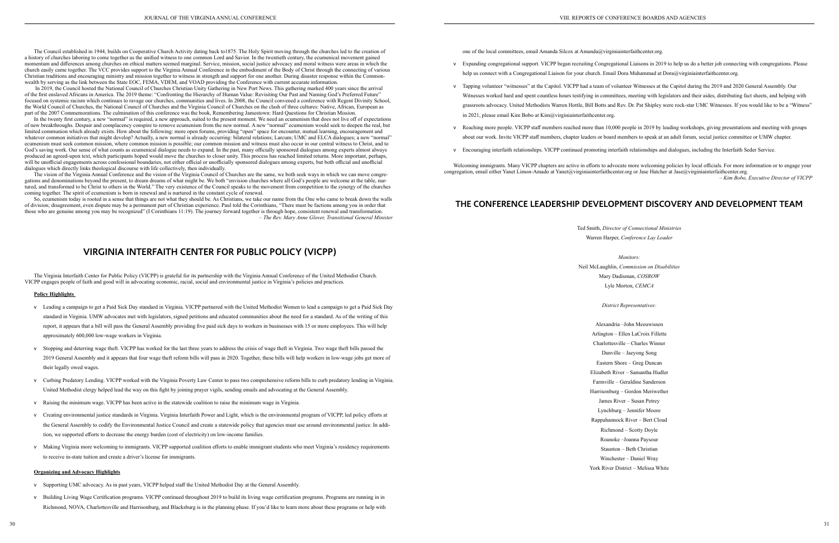The Council established in 1944, builds on Cooperative Church Activity dating back to1875. The Holy Spirit moving through the churches led to the creation of a history of churches laboring to come together as the unified witness to one common Lord and Savior. In the twentieth century, the ecumenical movement gained momentum and differences among churches on ethical matters seemed marginal. Service, mission, social justice advocacy and moral witness were areas in which the church easily came together. The VCC provides support to the Virginia Annual Conference in the embodiment of the Body of Christ through the connecting of various Christian traditions and encouraging ministry and mission together to witness in strength and support for one another. During disaster response within the Commonwealth by serving as the link between the State EOC, FEMA, VDEM, and VOAD providing the Conference with current accurate information.

 In 2019, the Council hosted the National Council of Churches Christian Unity Gathering in New Port News. This gathering marked 400 years since the arrival of the first enslaved Africans in America. The 2019 theme: "Confronting the Hierarchy of Human Value: Revisiting Our Past and Naming God's Preferred Future" focused on systemic racism which continues to ravage our churches, communities and lives. In 2008, the Council convened a conference with Regent Divinity School, the World Council of Churches, the National Council of Churches and the Virginia Council of Churches on the clash of three cultures: Native, African, European as part of the 2007 Commemorations. The culmination of this conference was the book, Remembering Jamestown: Hard Questions for Christian Mission.

In the twenty first century, a new "normal" is required, a new approach, suited to the present moment. We need an ecumenism that does not live off of expectations of new breakthroughs. Despair and complacency conspire to remove ecumenism from the new normal. A new "normal" ecumenism would seek to deepen the real, but limited communion which already exists. How about the following: more open forums, providing "open" space for encounter, mutual learning, encouragement and whatever common initiatives that might develop? Actually, a new normal is already occurring: bilateral relations; Larcum; UMC and ELCA dialogues; a new "normal" ecumenism must seek common mission, where common mission is possible; our common mission and witness must also occur in our central witness to Christ, and to God's saving work. Our sense of what counts as ecumenical dialogue needs to expand. In the past, many officially sponsored dialogues among experts almost always produced an agreed-upon text, which participants hoped would move the churches to closer unity. This process has reached limited returns. More important, perhaps, will be unofficial engagements across confessional boundaries, not either official or unofficially sponsored dialogues among experts, but both official and unofficial dialogues which directly links theological discourse with life collectively, then individually.

The vision of the Virginia Annual Conference and the vision of the Virginia Council of Churches are the same, we both seek ways in which we can move congregations and denominations beyond the present, to dream dreams of what might be. We both "envision churches where all God's people are welcome at the table, nurtured, and transformed to be Christ to others in the World." The very existence of the Council speaks to the movement from competition to the synergy of the churches coming together. The spirit of ecumenism is born in renewal and is nurtured in the constant cycle of renewal.

So, ecumenism today is rooted in a sense that things are not what they should be. As Christians, we take our name from the One who came to break down the walls of division; disagreement, even dispute may be a permanent part of Christian experience. Paul told the Corinthians, "There must be factions among you in order that those who are genuine among you may be recognized" (I Corinthians 11:19). The journey forward together is through hope, consistent renewal and transformation. *– The Rev. Mary Anne Glover, Transitional General Minister*

## **VIRGINIA INTERFAITH CENTER FOR PUBLIC POLICY (VICPP)**

The Virginia Interfaith Center for Public Policy (VICPP) is grateful for its partnership with the Virginia Annual Conference of the United Methodist Church. VICPP engages people of faith and good will in advocating economic, racial, social and environmental justice in Virginia's policies and practices.

#### **Policy Highlights**

- v Leading a campaign to get a Paid Sick Day standard in Virginia. VICPP partnered with the United Methodist Women to lead a campaign to get a Paid Sick Day standard in Virginia. UMW advocates met with legislators, signed petitions and educated communities about the need for a standard. As of the writing of this report, it appears that a bill will pass the General Assembly providing five paid sick days to workers in businesses with 15 or more employees. This will help approximately 600,000 low-wage workers in Virginia.
- v Stopping and deterring wage theft. VICPP has worked for the last three years to address the crisis of wage theft in Virginia. Two wage theft bills passed the 2019 General Assembly and it appears that four wage theft reform bills will pass in 2020. Together, these bills will help workers in low-wage jobs get more of their legally owed wages.
- v Curbing Predatory Lending. VICPP worked with the Virginia Poverty Law Center to pass two comprehensive reform bills to curb predatory lending in Virginia. United Methodist clergy helped lead the way on this fight by joining prayer vigils, sending emails and advocating at the General Assembly.
- v Raising the minimum wage. VICPP has been active in the statewide coalition to raise the minimum wage in Virginia.
- v Creating environmental justice standards in Virginia. Virginia Interfaith Power and Light, which is the environmental program of VICPP, led policy efforts at the General Assembly to codify the Environmental Justice Council and create a statewide policy that agencies must use around environmental justice. In addition, we supported efforts to decrease the energy burden (cost of electricity) on low-income families.
- v Making Virginia more welcoming to immigrants. VICPP supported coalition efforts to enable immigrant students who meet Virginia's residency requirements to receive in-state tuition and create a driver's license for immigrants.

#### **Organizing and Advocacy Highlights**

- v Supporting UMC advocacy. As in past years, VICPP helped staff the United Methodist Day at the General Assembly.
- v Building Living Wage Certification programs. VICPP continued throughout 2019 to build its living wage certification programs. Programs are running in in Richmond, NOVA, Charlottesville and Harrisonburg, and Blacksburg is in the planning phase. If you'd like to learn more about these programs or help with

one of the local committees, email Amanda Silcox at Amanda@virginiainterfaithcenter.org.

- v Expanding congregational support. VICPP began recruiting Congregational Liaisons in 2019 to help us do a better job connecting with congregations. Please help us connect with a Congregational Liaison for your church. Email Dora Muhammad at Dora@virginiainterfaithcenter.org.
- v Tapping volunteer "witnesses" at the Capitol. VICPP had a team of volunteer Witnesses at the Capitol during the 2019 and 2020 General Assembly. Our Witnesses worked hard and spent countless hours testifying in committees, meeting with legislators and their aides, distributing fact sheets, and helping with grassroots advocacy. United Methodists Warren Hottle, Bill Botts and Rev. Dr. Pat Shipley were rock-star UMC Witnesses. If you would like to be a "Witness" in 2021, please email Kim Bobo at Kim@virginiainterfaithcenter.org.
- v Reaching more people. VICPP staff members reached more than 10,000 people in 2019 by leading workshops, giving presentations and meeting with groups about our work. Invite VICPP staff members, chapter leaders or board members to speak at an adult forum, social justice committee or UMW chapter.
- v Encouraging interfaith relationships. VICPP continued promoting interfaith relationships and dialogues, including the Interfaith Seder Service.

Welcoming immigrants. Many VICPP chapters are active in efforts to advocate more welcoming policies by local officials. For more information or to engage your congregation, email either Yanet Limon-Amado at Yanet@virginiainterfaithcenter.org or Jase Hatcher at Jase@virginiainterfaithcenter.org. *– Kim Bobo, Executive Director of VICPP*

## **THE CONFERENCE LEADERSHIP DEVELOPMENT DISCOVERY AND DEVELOPMENT TEAM**

31

Ted Smith, *Director of Connectional Ministries* Warren Harper, *Conference Lay Leader*

*Monitors:* Neil McLaughlin, *Commission on Disabilities* Mary Dadisman, *COSROW* Lyle Morton, *CEMCA*

*District Representatives:*

Alexandria –John Meeuwissen Arlington – Ellen LaCroix Fillette Charlottesville – Charles Winner Danville – Jaeyong Song Eastern Shore – Greg Duncan Elizabeth River – Samantha Hudler Farmville – Geraldine Sanderson Harrisonburg – Gordon Meriwether James River – Susan Petrey Lynchburg – Jennifer Moore Rappahannock River – Bert Cloud Richmond – Scotty Doyle Roanoke –Joanna Paysour Staunton – Beth Christian Winchester – Daniel Wray York River District – Melissa White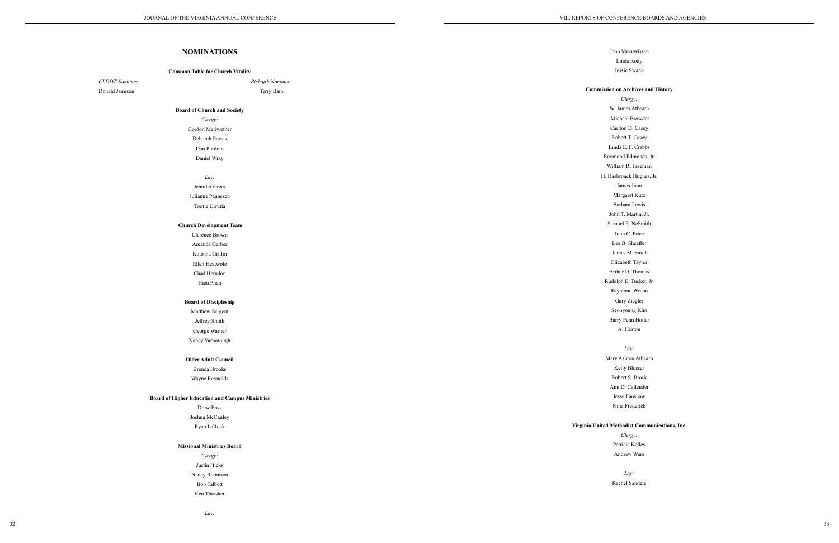*Clergy:* s Athearn **Browder** 0. Casey Casey E. Crabbs dmonds, Jr. . Freeman k Hughes, Jr. John ret Kutz a Lewis Iartin, Jr. NeSmith . Price Sheaffer I. Smith 1 Taylor  $\Gamma$  Thomas Rucker, Jr. 1 Wrenn Ziegler ng Kim enn Hollar orton

|                | <b>NOMINATIONS</b>                                                  | John Mee                 |
|----------------|---------------------------------------------------------------------|--------------------------|
|                |                                                                     | Linda<br>Jessie S        |
| CLDDT Nominee: | <b>Common Table for Church Vitality</b><br><b>Bishop's Nominee:</b> |                          |
| Donald Jamison | Terry Bain                                                          | <b>Commission on Arc</b> |
|                |                                                                     | Cler                     |
|                | <b>Board of Church and Society</b>                                  | W. James                 |
|                | Clergy:                                                             | Michael 1                |
|                | Gordon Meriwether                                                   | Carlton D                |
|                | Deborah Porras                                                      | Robert T                 |
|                | Dan Purdom                                                          | Linda E. F               |
|                | Daniel Wray                                                         | Raymond Eo               |
|                |                                                                     | William R.               |
|                | Lay:                                                                | H. Hasbrouck             |
|                | Jennifer Greer                                                      | James                    |
|                | Julianne Paunescu                                                   | Margare                  |
|                | Tootie Urrutia                                                      | Barbara                  |
|                |                                                                     | John T. M                |
|                | <b>Church Development Team</b>                                      | Samuel E.                |
|                | Clarence Brown                                                      | John C.                  |
|                | Amanda Garber                                                       | Lee B. S                 |
|                | Kotosha Griffin                                                     | James M<br>Elizabeth     |
|                | Ellen Heatwole                                                      | Arthur D.                |
|                | Chad Herndon                                                        | Rudolph E.               |
|                | Hieu Phan                                                           | Raymond                  |
|                | <b>Board of Discipleship</b>                                        | Gary Z                   |
|                | Matthew Sergent                                                     | Seonyou                  |
|                | Jeffrey Smith                                                       | Barry Pen                |
|                | George Warner                                                       | Al Ho                    |
|                | Nancy Yarborough                                                    |                          |
|                |                                                                     | La                       |
|                | <b>Older Adult Council</b>                                          | Mary Ashto               |
|                | <b>Brenda Brooks</b>                                                | Kelly B                  |
|                | Wayne Reynolds                                                      | Robert S                 |
|                |                                                                     | Ann D. C                 |
|                | <b>Board of Higher Education and Campus Ministries</b>              | Jesse Fa                 |
|                | Drew Ensz                                                           | Nina Fre                 |
|                | Joshua McCauley                                                     |                          |
|                | Ryan LaRock                                                         | Virginia United Methodis |
|                |                                                                     | Cler,                    |
|                | <b>Missional Ministries Board</b>                                   | Patricia                 |
|                | Clergy:                                                             | Andrew                   |
|                | Justin Hicks                                                        |                          |
|                | Nancy Robinson                                                      | La                       |
|                | <b>Bob Talbott</b>                                                  | Rachel S                 |
|                | Ken Thrasher                                                        |                          |

*Clergy:* a Kelley / Ware

 $\ddot{y}$ : Sanders

#### *Lay:*

euwissen Rody Swann

### **Commission on Archives and History**

#### *Lay:*

ton Athearn Blosser . Brock Callender anshaw ederick

#### ist Communications, Inc.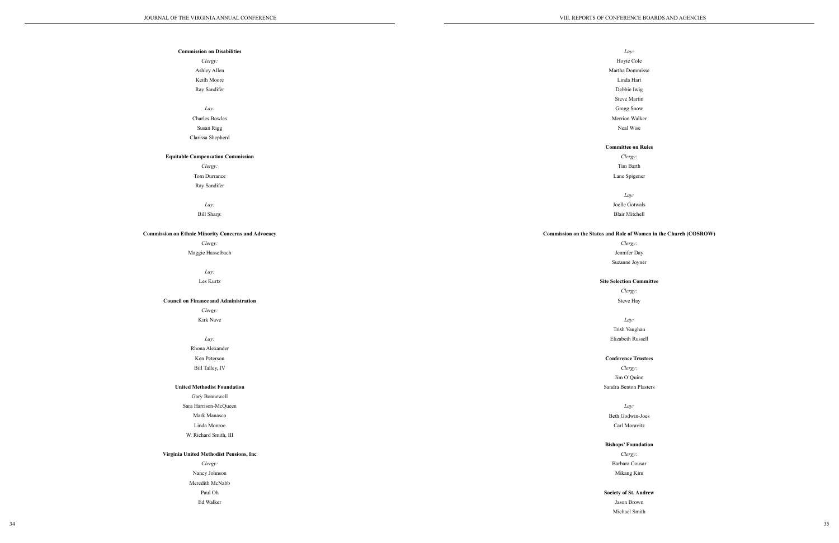Commission

| <b>Commission on Disabilities</b>              |                                |
|------------------------------------------------|--------------------------------|
| Clergy:                                        | $\mathbf H$                    |
| Ashley Allen                                   | Mart                           |
| Keith Moore                                    | L                              |
| Ray Sandifer                                   | $\mathbf D$                    |
|                                                | St                             |
| Lay:                                           | G <sub>1</sub>                 |
| Charles Bowles                                 | Mei                            |
| Susan Rigg                                     | Ŋ                              |
| Clarissa Shepherd                              |                                |
|                                                | Comm                           |
| <b>Equitable Compensation Commission</b>       |                                |
| Clergy:                                        | Π                              |
| Tom Durrance                                   | La                             |
| Ray Sandifer                                   |                                |
|                                                |                                |
| Lay:                                           | Joe                            |
| Bill Sharp:                                    | Bk                             |
|                                                |                                |
| ssion on Ethnic Minority Concerns and Advocacy | Commission on the Status and R |
| Clergy:                                        |                                |
| Maggie Hasselbach                              | Je                             |
|                                                | Suz                            |
| Lay:                                           |                                |
| Les Kurtz                                      | Site Sele                      |
|                                                |                                |
| <b>Council on Finance and Administration</b>   | S                              |
| Clergy:                                        |                                |
| Kirk Nave                                      |                                |
|                                                | Tri                            |
| Lay:                                           | Eliza                          |
| Rhona Alexander                                |                                |
| Ken Peterson                                   | Confe                          |
| Bill Talley, IV                                |                                |
|                                                | Jir                            |
| <b>United Methodist Foundation</b>             | Sandra                         |
| Gary Bonnewell                                 |                                |
| Sara Harrison-McQueen                          |                                |
| Mark Manasco                                   | Beth                           |
| Linda Monroe                                   | Ca                             |
| W. Richard Smith, III                          |                                |
|                                                | Bishop                         |
| Virginia United Methodist Pensions, Inc        |                                |
| Clergy:                                        | Bar                            |
| Nancy Johnson                                  | M                              |
| Meredith McNabb                                |                                |
| Paul Oh                                        |                                |
|                                                | Society                        |
| Ed Walker                                      | Ja:                            |
|                                                | Mi                             |

*Clergy:* Tim Barth ne Spigener

*Clergy:* ennifer Day zanne Joyner

### **Section Committee**

*Clergy:* m O'Quinn Benton Plasters

*Clergy:* rbara Cousar likang Kim

### **y** of St. Andrew

son Brown chael Smith

### *Lay:*

Hoyte Cole

tha Dommisse

Linda Hart

Debbie Iwig

teve Martin

Gregg Snow

rrion Walker

Neal Wise

### **Committee on Rules**

*Lay:*

elle Gotwals air Mitchell

### **Cole of Women in the Church (COSROW)**

*Clergy:* Steve Hay

*Lay:*

ish Vaughan abeth Russell

### **Conference Trustees**

*Lay:*

Godwin-Joes arl Moravitz

### **Bishops' Foundation**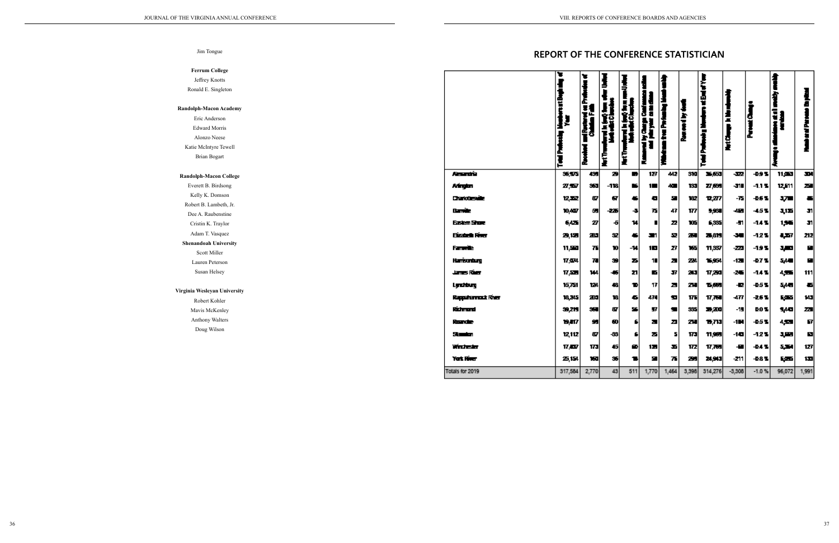Eric Anderson  $E$ Alonzo Neese Katie

#### **Randol**

Eve Ke<sup>l</sup> Robert B. Dee Cri Ad **Shena** La

#### **Virginia**

### Jim Tongue

### $Fe$

Ron

#### **Randolp**

| errum College              |                          | ъ             |                                        |      |                                       |       |        |     |               |                          |               |                           |       |
|----------------------------|--------------------------|---------------|----------------------------------------|------|---------------------------------------|-------|--------|-----|---------------|--------------------------|---------------|---------------------------|-------|
| Jeffrey Knotts             |                          |               | ъ                                      |      |                                       |       |        |     | Į             |                          |               |                           |       |
| nald E. Singleton          |                          |               |                                        |      | ţ                                     |       |        |     |               |                          |               |                           |       |
|                            |                          | rentBag       | ni Rostovni oz Prefs<br>Chintina Falli |      |                                       |       | H      |     | Į             |                          |               | 省                         |       |
| ph-Macon Academy           |                          |               |                                        |      | aland is (ag) form<br>Hatala (Chacles |       |        |     |               | NutChange is his release |               | E,                        |       |
| Eric Anderson              |                          | ļ.            |                                        | 建筑   |                                       |       |        | È   |               |                          |               |                           |       |
| Edward Morris              |                          |               |                                        |      |                                       |       | i<br>E |     | ŧ             |                          | Perez Ca      | $\mathbf{F}_{\mathbf{z}}$ | ÷     |
| Alonzo Neese               |                          |               |                                        | H    |                                       | Î     |        | Į   |               |                          |               |                           |       |
| e McIntyre Tewell          |                          |               |                                        |      |                                       |       |        |     | £             |                          |               |                           |       |
| <b>Brian Bogart</b>        |                          | na pr         | J                                      | Į    | Į                                     | Ł     |        |     |               |                          |               |                           |       |
|                            |                          |               |                                        |      |                                       |       |        |     |               |                          |               |                           |       |
| Iph-Macon College          | America                  | 35,575        | 435                                    | Э    | Б                                     | 127   | 442    | 31d | 36,653        | $\overline{\mathbf{z}}$  | -09%          | 11,000                    | 패     |
| erett B. Birdsong          | Afrytm                   | 27,527        | 353                                    | -118 | ĸ,                                    | 12    | 40     | 133 | 27,639        | -311                     | $-1.1 -$      | 12,511                    | ᅎ     |
| elly K. Domson             | Charlotteraile           | 12.52         | 87                                     | σ    |                                       | о     | 모      | 182 | <b>12,277</b> | -75                      | -0.5 %        | щ.                        | 두     |
| ert B. Lambeth, Jr.        |                          |               |                                        |      |                                       |       |        |     |               |                          |               |                           |       |
| e A. Raubenstine           | Danisla                  | 10,407        | 题                                      | -225 | -31                                   | 75    | 47     | 177 | 5,931         | -42                      | $-1.5 -$      | <b>국1포</b>                | 31    |
| ristin K. Traylor          | Eastern Shore            | 6425          | $\boldsymbol{x}$                       | -51  | 14                                    |       | z      | 105 | 6,335         | -51                      | $-1.4 - 1.5$  | 1,56                      | -and  |
| dam T. Vasquez             | Eizabeth River           | 2,12          | 283                                    | 32   |                                       | J٣    | 52     | 25  | 25,819        | $\overline{\phantom{a}}$ | $-127$        | 4,57                      | 212   |
| andoah University          | Famoule.                 | 11,500        | 피                                      | 10   | -14                                   | 10    | zī     | 165 | 11,337        | $\mathbb{Z}^n$           | $-19.5$       | 平                         | Е     |
| Scott Miller               |                          |               |                                        |      |                                       |       |        |     |               |                          |               |                           |       |
| auren Peterson             | <b>Harrisonburg</b>      | 17,074        | 78                                     | 39   | 즤                                     | 1     | z      | 234 | 16,954        | -12                      | $-0.7 -$      | 54-1                      | П     |
| Susan Helsey               | James River              | 17,538        | 144                                    | -46  | Z1                                    | Б     | л      | 243 | 77,23         | $\mathbf{z}$             | $-14 -$       | 4.956                     | 111   |
|                            | Lynthury                 | 15,751        | 124                                    | 48   | ъ                                     | 17    | z      | 21  | 书题            | −₽                       | -0.5%         | 54-8                      | 특     |
| <b>Wesleyan University</b> |                          |               |                                        |      |                                       |       |        |     |               |                          |               |                           |       |
| Robert Kohler              | <b>Reportement River</b> | 18,245        | 2001                                   | 18   | 51                                    | 474   | Е      | πı  | 17,754        | -477                     | $-26.5$       | <b>E</b> 2005             | 143   |
| lavis McKenley             | Richmand                 | <b>99,219</b> | 350                                    | 87   | SS.                                   | П     |        | 335 | 35,200        | -15                      | <b>D.O.S.</b> | 540                       | z     |
| nthony Walters             | <b>Rounder</b>           | 19,817        | 95                                     | 60   | Б                                     | а     | z      | 21  | 국자과           | $-114$                   | -0.5%         | 4.50                      | 57    |
| Doug Wilson                | Standard                 | 12,112        | 87                                     | -33  |                                       | æ     |        | 173 | 11,959        | -19                      | $-127$        | ąш                        | ø     |
|                            |                          |               |                                        |      |                                       |       | ы      |     |               |                          |               |                           |       |
|                            | Wintesta                 | 17,07         | 173                                    | 45   | Ð                                     | 135   | 革      | 172 | $T$ , $T$     | -91                      | $-0.4 - 1$    | 5,354                     | 127   |
|                            | Yat Hive                 | 25,154        | юı                                     | 35   | ы                                     | э     | 71     | 29  | 24,943        | $-211$                   | $-0.8 -$      | انتصبت                    | 133   |
|                            | Totals for 2019          | 317,584       | 2,770                                  | 43   | 511                                   | 1,770 | 1,464  |     | 3,398 314,276 | $-3,308$                 | $-1.0%$       | 96,072                    | 1,991 |
|                            |                          |               |                                        |      |                                       |       |        |     |               |                          |               |                           |       |

Robert Kohler  $M\varepsilon$ Anthony Walters

# **REPORT OF THE CONFERENCE STATISTICIAN**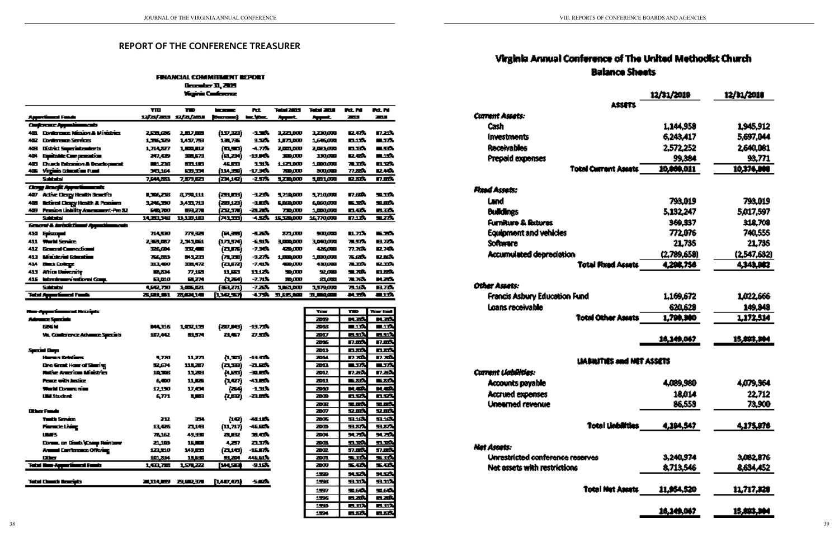# Virginia Annual Conference of The United Methodist Church **Balance Sheets**

|                                  | 12/31/2019  | 12/11/2010  |
|----------------------------------|-------------|-------------|
| ASSETS                           |             |             |
| Carrent Assets:                  |             |             |
| Cash                             | 1,144,958   | 1.945.912   |
| <b>Investments</b>               | 6.243.417   | 5.697.044   |
| <b>Receivables</b>               | 2,572,252   | 2.640.081   |
| <b>Prepaid expenses</b>          | 99.384      | 93.771      |
| <b>Total Current Assets</b>      | 10,000.011  | 10,374,000  |
| <b>Flood Assets:</b>             |             |             |
| Land                             | 793.019     | 793.019     |
| <b>Buildings</b>                 | 5,132,247   | 5.017.597   |
| <b>Furniture &amp; listures</b>  | 369.337     | 318.708     |
| <b>Equipment and vehicles</b>    | 772.076     | 740,555     |
| <b>Software</b>                  | 21.735      | 21.735      |
| <b>Accumulated depreciation</b>  | (2,789,658) | (2,547,632) |
| <b>Total Phond Accets</b>        | 4.208.756   | 4,343,982   |
| Other Assets:                    |             |             |
| Francis Asbury Education Fund    | 1.169.672   | 1.022.666   |
| Loans receivable                 | 620.629     | 149.848     |
| <b>Total Other Asiats</b>        | 1,700,900   | 1,172,514   |
|                                  | 10.149.067  | 15,443,304  |
| LiABHITIES and MET ASSETS        |             |             |
| Coment Liabilities:              |             |             |
| Accounts payable                 | 4,089,980   | 4,079.364   |
| <b>Accrued expenses</b>          | 18.014      | 22.712      |
| <b>Unearned revenue</b>          | 86.553      | 73.900      |
| <b>Total Linkilities</b>         | 4,194,547   | 4,175,576   |
| Net Assets:                      |             |             |
| Unrestricted conference reserves | 3.240.974   | 3.082.876   |
| Net assets with restrictions     | 8.713.546   | 8.634,452   |
| <b>Total Net Assets</b>          | 11.954,520  | 11.717.320  |
|                                  |             |             |

## **REPORT OF THE CONFERENCE TREASURER**

### **FINANCIAL COMMITMENT REPORT** December 31, 2009 **Yuginia Conference**

|      |                                                    | ŦЮ                  | T.               | <b>Ingenieur</b> | Fd.       | Tatal 7674      | Tatul 2010    | <b>FLL FA</b>  | <b>Pri M</b> |
|------|----------------------------------------------------|---------------------|------------------|------------------|-----------|-----------------|---------------|----------------|--------------|
|      | <u>Apprimed</u> Fast                               | 12/11/2011          | 12/31/2010       | [Decreas]        | ten, gaze | فسيرية          | <u>agent </u> | <u>2004 - </u> | 2 M I        |
|      | <b>Conference Approximates in</b>                  |                     |                  |                  |           |                 |               |                |              |
| 40.  | <b>Contenente Micron &amp; Ministries</b>          | 2.531.636           | 1.017.000        | (13738)          | -1.30%    | 3,221,000       | 1,200,000     | 取材料            | 87.21%       |
| 402  | <b>Doniensure Services</b>                         | 1.756.TB            | <b>1,417,768</b> | 137L755          | 9.SCA     | 1,571,600       | 1,646,000     | <b>MATA</b>    | 医环光          |
| 463  | District Separintendents                           | 1,714,327           | 1.500.012        | السبال           | -4.77%    | 2.000.000       | 2.023.000     | <b>num</b>     | 医反应          |
| 424  | <b>Equitable Compression</b>                       | 217.42 <del>0</del> | 335,579          | (D.BI)           | -19.00%   | 330,000         | 330.000       | ID 47          | <u>mast</u>  |
| 451  | <b>Church Extension &amp; Deadopment</b>           | <b>MAL 238</b>      | 60.10            | 46. CCH          | 131%      | 1.121.00        | 1,000,000     | 不工夫            | IB 327       |
| 435. | <b>Virginia Education Fund</b>                     | 30.164              | 63.DI            | (الكار)          | -17.34%   | 700,000         | 200,000       | 77.33%         | IZ. 445      |
|      | Suidhich                                           | 7,544,223.          | 7,579,523        | (24,1Q)          | -2.97%    | 5,230,000       | ww            | 医双角            | IT.RGA       |
|      | <b>Clong Acacid Approximatesis</b>                 |                     |                  |                  |           |                 |               |                |              |
| 407  | Active Clergy Health Beachts                       | <b>LEATE</b>        | 8.FA.ILI         | (西瓜时)            | 九石市       | 5,710,000       | 5,710,000     | IT ST.         | 도니하          |
| 455  | <b>Retired Clergy Health &amp; Pensions</b>        | 3,246,350           | 3,433,713        | (28,12)          | 一旦回家。     | <b>ELECTROP</b> | 6.860.000     | na mili        | 50. DE 76    |
| 423. | Pension Listing Amendment-Pre 22                   | <b>PE, 700</b>      | 医电无相             | الاحمد           | -21.20%   | 70 M.           | 1,50,000      | ID. 477.       | ПIJ.         |
|      | Subtrated                                          | 14.333.348          | 11,131,161       | أسديم            | 4.50%     | 15, 120, 000    | 16,770,000    | 17.134         | エスウ          |
|      | <b>General &amp; AristicTional Approximates in</b> |                     |                  |                  |           |                 |               |                |              |
| 419  | Episonyal                                          | 714,530             | 779,325          | (FL.331)         | 化不定       | 873,000         | 500,000       | BL71%          | na mb        |
| 411  | Warid Sening                                       | 233.057             | 2.343.061        | (LAJM)           | 七出版       | 3.000.000       | 3.040.000     | 不可杂            | ЕΜ.          |
| 412  | <b>General Connectional</b>                        | 326.604             | 332,433          | (aux)            | -7.34%    | 420.000         | 426.000       | 77.764         | IZ 70.       |
| 413  | <b>Marketed Education</b>                          | 766.223             | 641.280          | استدارا          | 一头无力。     | 1,000,000       | 土田切贞村         | 不成             | IZ DS.       |
| 414  | <b>Basic College</b>                               | 313.CO              | 玉贵师兄             | (الاقرام)        | -7.41%    | بيب معه         | 430,000       | 不工作            | <u>ie Tõ</u> |
| 413  | <b>Amos University</b>                             | 医双体                 | 77.15            | 11.80            | 11175     | 50.000          | 54.000        | SIL 70%        | 13. SSS      |
|      | 415 Interdemovimetrical Comp.                      | 63,640              | ЕЦИИ             | 化平止              | -7.71%    | 30.000          | 紀加國           | 71.76%         | M.ZÓ         |
|      | Suidhimi                                           | 4.EQ.730            | 北西山区             | (mazn)           | $-7.33$   | 18400           | 1,579,000     | 71164          | <b>ELTS</b>  |
|      | Total Appendicum Fords                             | <b>TELE1</b>        | 法解决者             | 化双环              | 4.75%     | 五丘氏上面           | 31. MA 400    | 루네 그리아         | بارده        |
|      |                                                    |                     |                  |                  |           |                 |               |                |              |

#### **Plane Japane General Planetpits**

| Advance Specials                     |                                                                                                                                                                                                                                |                       |                          |                    |
|--------------------------------------|--------------------------------------------------------------------------------------------------------------------------------------------------------------------------------------------------------------------------------|-----------------------|--------------------------|--------------------|
| EX H                                 |                                                                                                                                                                                                                                | <b>Bultis Localis</b> | (2014) -19.73%           |                    |
| Va. Conference Advance Specials      | 187,442                                                                                                                                                                                                                        | BL STYL               | 21,457 -                 | 农工作                |
| Special Corp                         |                                                                                                                                                                                                                                |                       |                          |                    |
| Herrer Retailers                     | 5,710                                                                                                                                                                                                                          | 11,273                |                          | (1700) -1330)      |
| <b>Dre Great Hoar of Staring</b>     | 모모                                                                                                                                                                                                                             | 111,207 -             |                          | (고프) -고교초          |
| Rathe American Ministries            |                                                                                                                                                                                                                                | 10,306 13,269         |                          | $(1, 22)$ - 20.2%  |
| <b>Peace with lastice</b>            |                                                                                                                                                                                                                                | 6,400 11,525          |                          | $(1, 07)$ $-43.05$ |
| World Communist                      | 17,190 - 17,190                                                                                                                                                                                                                | 17,04                 |                          | (254) -1.11%       |
| <b>UM Student</b>                    | 6,771                                                                                                                                                                                                                          | وي ال                 |                          | (1992) - 23.00%    |
| What Final                           |                                                                                                                                                                                                                                |                       |                          |                    |
| Twith Service                        | 212.                                                                                                                                                                                                                           | 334.                  | (19) -                   | -40.1876           |
| <b>Financie Living</b>               |                                                                                                                                                                                                                                | 13,426 23,161         | (U,N7)                   | 46.90%             |
| U 5                                  | 75,162 and the set of the set of the set of the set of the set of the set of the set of the set of the set of the set of the set of the set of the set of the set of the set of the set of the set of the set of the set of th | 49.350                | zuer de                  | <b>not</b>         |
| <b>Donne on Doub (Comp Reinterer</b> | 21,100                                                                                                                                                                                                                         | <u> 16. mai</u>       |                          | 4,277 20.77%       |
| Armul Conference Offering            | 121,510                                                                                                                                                                                                                        | 149,000               | (البط)                   | -16.87%            |
| Diese i                              | 181,534                                                                                                                                                                                                                        | 10,630 m              | 医反应性                     | <u> 445.51% </u>   |
| Total than Appentioned Foods         |                                                                                                                                                                                                                                | 10173 15422           | [WC32]                   | -9.15%             |
|                                      |                                                                                                                                                                                                                                |                       |                          |                    |
| <b>Total Claust Bearings</b>         |                                                                                                                                                                                                                                |                       | 2014년 2022년 (107,01) 5호가 |                    |

| тс     | n 7           | ш<br>7 E        |
|--------|---------------|-----------------|
| æß     | لاتحت         | <u>н эр</u>     |
| æн     | U 174         | mari.           |
| ZС     | m w Y         | <u>mut</u>      |
| ÆЪ     | 17.00%        | 17.00%          |
| 2013   | 医动物           | m.st.           |
| 2014   | त. तक         | हा, जर्के       |
| 2013.  | 드고치           | 드고층             |
| 2012   | П.Ж.          | П.Ж.            |
| 2011   | 드코라니          | <u>s 230.</u>   |
| 75 M   | ظیر پر        | a astr          |
| 20B    | n st          | <u>от</u>       |
| 20 O B | لراسي         | 도로스             |
| 20V    | 꼬펴게           | 모퍼게             |
| 7305   | <u>916</u>    | 916.            |
| 20 M   | 고자노           | 五万九             |
| 2004.  | 94.79%        | 94.75%          |
| 20 Q.  | فيسد          | su sek          |
| ÆΦ     | 57.DCM        | 57.ESS          |
| 201    | 도고치           | 5.37.           |
| 200    | 玉瓜            | 도자              |
| 158    | <b>NJON</b>   | HJZ.            |
| 1566   | <u>sm</u>     | <u>ent</u>      |
| 150    | 鬼がみ           | 鬼の赤             |
| 156    | n. aik        | 医发射             |
| 156    | <u>m ví</u> t | 83.             |
| 1954   | <u>m satu</u> | <u>in 33</u> 5. |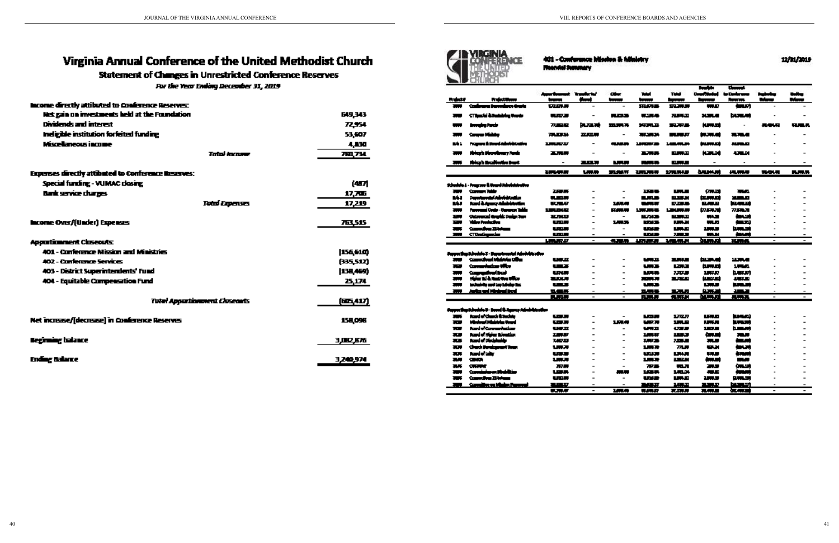# Virginia Annual Conference of the United Methodist Church

## **Statement of Changes in Unrestricted Conference Reserves**

For the Year Ending December 31, 2019

| <b>Income directly attibuted to Conference Reserves:</b> |                  |
|----------------------------------------------------------|------------------|
| Net gain on investments held at the Foundation           | 649,343          |
| Dividends and interest.                                  | 7254             |
| <b>Indigible institution forfatted funding</b>           | 53,607           |
| Miscellaneous income                                     | 4,130            |
| Tatal income                                             | <b>781,734</b>   |
| Expenses directly attibuted to Conference Reserves:      |                  |
| Special funding - VUMAC closing                          | (47개             |
| <b>Bank service charges</b>                              | 17,705           |
| <b>Total Expenses</b>                                    | 17,219           |
|                                                          |                  |
| Income Over/(Under) Expenses                             | 763,515          |
| <b>Apportionment Closeouts:</b>                          |                  |
| 401 - Conference Mission and Ministries                  | 156,610)         |
| 402 - Conference Services                                | (335,512)        |
| <b>403 - District Superintendents' Fund</b>              | <b>[138,469)</b> |
| 404 - Equitable Compensation Fund                        | 25,174           |
|                                                          |                  |
| <b>Totel Appartimenent Closeants</b>                     | (66,417)         |
| Net increase/[decrease] in Conference Reserves           | <b>158,096</b>   |
| <b>Beginning Indance</b>                                 | 3.002.676        |
| Ending Balance                                           | 3,240,974        |
|                                                          |                  |



401 - Conference Mission & Ministry Recorded Seminary

| Conference transmission despite<br>172171.19<br>取読書<br>300<br><b>mans</b><br>فساف<br><b>MAD</b><br>CT has folk Standard og Ungels<br>burumi<br>.<br>天王王<br>医生物学<br>不要不可<br><b>XXX</b><br>-<br>termina Parcia<br>花草根<br>医心理的<br>一つのみ<br><b>MORLE</b><br>東東縣<br>机原本<br>見楽しな<br>ويبي<br>Course Middle<br>71.0.1<br>花面房<br><b>REMOVAL</b><br>تبهين<br>机不整<br>天下の日<br><b>Bill</b><br>-<br>Przypara ili Downi Administrativa<br>M.<br>1201037<br>先はま<br><b>LEMMA</b><br>فسيجسخ<br>从事时<br>Philaph Phontinum Node<br>机高压的<br>高原原<br>三方形式<br>سيجب<br>التكاتب<br>300<br>$\overline{a}$<br>Phiscola Maculination Brank<br>2.Q.R<br><b>MARINA</b><br><b>PLANES</b><br><b>TANK AN</b><br>₩<br>利用模拟性<br>174,745<br><b>SALMARI</b><br>1,000,00<br>五米万<br>お食い気味<br>机果果<br><b>3404.41</b><br>Schedule L - Fragers & Beard Administrative<br>ملفلا سيجمئ<br>2.12.15<br>فسيبوغ<br>1534<br><b>Links</b><br>30.00<br>₩<br>$\overline{a}$<br><b>Departmental Administration</b><br>فسيسيط<br>MJ 2<br>电压频<br><b>BURGER</b><br>电平极<br><b>MARKET</b><br>$\overline{\phantom{a}}$<br>Rand & Agency Administration<br>M.<br>医下层<br>医不明度<br>日本語<br>تعجدا<br>1,679.99<br>医療の病<br>Personal Code - Caracter Table<br><b>134002</b><br>上京大学大学<br>上海山東山市<br>机原料<br>77.50.71<br>-<br>医腹膜膜<br>Outrouwed Graphic Darius Supr<br><b>THE</b><br><b>RAID</b><br>부거부<br>سيجدد<br>استان<br>د ده<br>$\overline{\phantom{0}}$<br>Video Pandagitan<br><b>MARINE</b><br><b>Links</b><br>نجحا<br>m<br>والمتعالية<br>1,000,00<br>u.s<br>Conveilles 21 Intern<br>usur<br><b>Links</b><br><b>Little</b><br>كبيب<br>استبريط<br>मान<br>-<br><u>croatigada</u><br>ومحالة<br>والمتعالية<br>كالنجاب<br><b>ABO</b><br><b>WA 20</b><br>表示<br>$\overline{\phantom{0}}$<br>$\blacksquare$<br>$\overline{\phantom{a}}$<br><b>SURVEY</b><br><b>LUMBER AT</b><br>信用品<br><b>LEWIS 20</b><br>1.7<br><b>BARAN</b><br>花期の<br>$\overline{\phantom{a}}$<br>$\overline{\phantom{a}}$<br>Super By Rhobin ? - Dywinwiai Adobitication<br>Convertised Middelein Oliver<br>백주조<br><b>LAND</b><br>3,53,5<br>加速道<br>12,374,40<br>≖<br>-<br>$\qquad \qquad \blacksquare$<br>مرااب سينطرسوس<br>wz<br><b>URS</b><br>والروتي<br>فسيبست<br>1,000<br><b>RO</b><br>أنوط أسباقهمهم<br>uxw<br><b>MARINE</b><br>7333<br><b>buscuri</b><br>1,57,57<br>-<br>$\overline{a}$<br>Holen ad & Hastriye Uffice<br>فسعين<br>和歌曲<br>電吹け<br>天文天天<br>三次之间<br>₩<br>-<br>ويبا مشرفها بعيا أربي برابراي ليرج<br>내내고<br>كالله<br>منسد<br>n an an a<br>-<br><br>Jacks and Minimal Incol.<br><b>BARBAR</b><br>دست<br>دهد<br><b>The Contract</b><br>私無罪<br>.<br>۰<br>-<br><b>RAMA</b><br>医尿病<br>無罪地<br><b>MARK</b><br>長春天<br>$\overline{\phantom{a}}$<br>$\overline{\phantom{a}}$<br>$\overline{\phantom{a}}$<br>Superflucture(s): 3- Send & Agency Administration<br><b>Randel Chards &amp; Sedate</b><br><b>Litrus</b><br>مبيين<br>نصوبها<br>-<br>ta a<br>1727<br>Minimul Ministria Urani<br><b>MAR</b><br>فليبيذ<br>hamani<br>us.v<br>1.原来<br><b>IJWA</b><br>≖<br><b>Randel Communications</b><br><b>MARITA</b><br>化不正常<br>زربيسيا<br><b>The S</b><br>발달교<br>1873<br><b>Road of History Adventiser</b><br>1,000,07<br>æ<br>2.00.07<br>والمحاذ<br>نسبحة<br><b>BALL</b><br>$\overline{a}$<br><b>Rand of Distributio</b><br><b>LAVE</b><br>र क<br>740.D<br>733630<br>ᇒ<br>ی سا<br>Chuck Bendessant Tour<br>1,000<br>78.8<br>يست<br>राज<br>リルス<br>때서<br>tanda lain<br>राज<br>リスズ<br><b>WALK</b><br><b>LIMA</b><br>ی ہے<br>يسببه<br>-<br><b>CRADE</b><br>1,000<br>132.00<br>ومرود<br>再帰<br>もまま<br>زیر بربر<br>$\overline{a}$<br>استان<br>再移<br><b>CRAIN</b><br>77.77<br>77.5<br>医耳的<br>23<br>$\overline{\phantom{0}}$<br>Correiniaren Medelitar<br>1,010,<br>بسبب<br><br>1,53.75<br>シロボ<br>هدي<br>₩<br>Conventions 23 Interna<br><b>LUXUS</b><br><b>LUNATI</b><br>استبرارا<br><b>LUTTER</b><br>20. J.H<br><b>The S</b><br>$\blacksquare$<br><u> Carrollien en Minim Parross</u><br>استكادا<br>TIME TO<br>an an<br>1444<br>الأباكة<br><b>The Second Second</b><br>$\blacksquare$<br>$\blacksquare$ |                 |                      | Associatement Transfer to!    |       | ai-   | <b>Table</b> | Tubi     | <b>Readers</b><br>Desertated in | <b>Cleaned:</b><br>to Conference | Partner by | ستلبث                    |
|------------------------------------------------------------------------------------------------------------------------------------------------------------------------------------------------------------------------------------------------------------------------------------------------------------------------------------------------------------------------------------------------------------------------------------------------------------------------------------------------------------------------------------------------------------------------------------------------------------------------------------------------------------------------------------------------------------------------------------------------------------------------------------------------------------------------------------------------------------------------------------------------------------------------------------------------------------------------------------------------------------------------------------------------------------------------------------------------------------------------------------------------------------------------------------------------------------------------------------------------------------------------------------------------------------------------------------------------------------------------------------------------------------------------------------------------------------------------------------------------------------------------------------------------------------------------------------------------------------------------------------------------------------------------------------------------------------------------------------------------------------------------------------------------------------------------------------------------------------------------------------------------------------------------------------------------------------------------------------------------------------------------------------------------------------------------------------------------------------------------------------------------------------------------------------------------------------------------------------------------------------------------------------------------------------------------------------------------------------------------------------------------------------------------------------------------------------------------------------------------------------------------------------------------------------------------------------------------------------------------------------------------------------------------------------------------------------------------------------------------------------------------------------------------------------------------------------------------------------------------------------------------------------------------------------------------------------------------------------------------------------------------------------------------------------------------------------------------------------------------------------------------------------------------------------------------------------------------------------------------------------------------------------------------------------------------------------------------------------------------------------------------------------------------------------------------------------------------------------------------------------------------------------------------------------------------------------------------------------------------------------------------------------------------------------------------------------------------------------------------------------------------------------------------------------------------------------------------------------------------------------------------------------------------------------------------------------------------------------------|-----------------|----------------------|-------------------------------|-------|-------|--------------|----------|---------------------------------|----------------------------------|------------|--------------------------|
|                                                                                                                                                                                                                                                                                                                                                                                                                                                                                                                                                                                                                                                                                                                                                                                                                                                                                                                                                                                                                                                                                                                                                                                                                                                                                                                                                                                                                                                                                                                                                                                                                                                                                                                                                                                                                                                                                                                                                                                                                                                                                                                                                                                                                                                                                                                                                                                                                                                                                                                                                                                                                                                                                                                                                                                                                                                                                                                                                                                                                                                                                                                                                                                                                                                                                                                                                                                                                                                                                                                                                                                                                                                                                                                                                                                                                                                                                                                                                                                          | <b>Reductor</b> | <b>Project Moone</b> | <b><i><u>Property</u></i></b> | استاذ | سيبيا | t            | بيجيبهما | مسجا                            | <b>Bank and</b>                  | Manu       | Water                    |
|                                                                                                                                                                                                                                                                                                                                                                                                                                                                                                                                                                                                                                                                                                                                                                                                                                                                                                                                                                                                                                                                                                                                                                                                                                                                                                                                                                                                                                                                                                                                                                                                                                                                                                                                                                                                                                                                                                                                                                                                                                                                                                                                                                                                                                                                                                                                                                                                                                                                                                                                                                                                                                                                                                                                                                                                                                                                                                                                                                                                                                                                                                                                                                                                                                                                                                                                                                                                                                                                                                                                                                                                                                                                                                                                                                                                                                                                                                                                                                                          |                 |                      |                               |       |       |              |          |                                 |                                  |            |                          |
|                                                                                                                                                                                                                                                                                                                                                                                                                                                                                                                                                                                                                                                                                                                                                                                                                                                                                                                                                                                                                                                                                                                                                                                                                                                                                                                                                                                                                                                                                                                                                                                                                                                                                                                                                                                                                                                                                                                                                                                                                                                                                                                                                                                                                                                                                                                                                                                                                                                                                                                                                                                                                                                                                                                                                                                                                                                                                                                                                                                                                                                                                                                                                                                                                                                                                                                                                                                                                                                                                                                                                                                                                                                                                                                                                                                                                                                                                                                                                                                          |                 |                      |                               |       |       |              |          |                                 |                                  |            |                          |
|                                                                                                                                                                                                                                                                                                                                                                                                                                                                                                                                                                                                                                                                                                                                                                                                                                                                                                                                                                                                                                                                                                                                                                                                                                                                                                                                                                                                                                                                                                                                                                                                                                                                                                                                                                                                                                                                                                                                                                                                                                                                                                                                                                                                                                                                                                                                                                                                                                                                                                                                                                                                                                                                                                                                                                                                                                                                                                                                                                                                                                                                                                                                                                                                                                                                                                                                                                                                                                                                                                                                                                                                                                                                                                                                                                                                                                                                                                                                                                                          |                 |                      |                               |       |       |              |          |                                 |                                  |            | uu a                     |
|                                                                                                                                                                                                                                                                                                                                                                                                                                                                                                                                                                                                                                                                                                                                                                                                                                                                                                                                                                                                                                                                                                                                                                                                                                                                                                                                                                                                                                                                                                                                                                                                                                                                                                                                                                                                                                                                                                                                                                                                                                                                                                                                                                                                                                                                                                                                                                                                                                                                                                                                                                                                                                                                                                                                                                                                                                                                                                                                                                                                                                                                                                                                                                                                                                                                                                                                                                                                                                                                                                                                                                                                                                                                                                                                                                                                                                                                                                                                                                                          |                 |                      |                               |       |       |              |          |                                 |                                  |            |                          |
|                                                                                                                                                                                                                                                                                                                                                                                                                                                                                                                                                                                                                                                                                                                                                                                                                                                                                                                                                                                                                                                                                                                                                                                                                                                                                                                                                                                                                                                                                                                                                                                                                                                                                                                                                                                                                                                                                                                                                                                                                                                                                                                                                                                                                                                                                                                                                                                                                                                                                                                                                                                                                                                                                                                                                                                                                                                                                                                                                                                                                                                                                                                                                                                                                                                                                                                                                                                                                                                                                                                                                                                                                                                                                                                                                                                                                                                                                                                                                                                          |                 |                      |                               |       |       |              |          |                                 |                                  |            |                          |
|                                                                                                                                                                                                                                                                                                                                                                                                                                                                                                                                                                                                                                                                                                                                                                                                                                                                                                                                                                                                                                                                                                                                                                                                                                                                                                                                                                                                                                                                                                                                                                                                                                                                                                                                                                                                                                                                                                                                                                                                                                                                                                                                                                                                                                                                                                                                                                                                                                                                                                                                                                                                                                                                                                                                                                                                                                                                                                                                                                                                                                                                                                                                                                                                                                                                                                                                                                                                                                                                                                                                                                                                                                                                                                                                                                                                                                                                                                                                                                                          |                 |                      |                               |       |       |              |          |                                 |                                  |            |                          |
|                                                                                                                                                                                                                                                                                                                                                                                                                                                                                                                                                                                                                                                                                                                                                                                                                                                                                                                                                                                                                                                                                                                                                                                                                                                                                                                                                                                                                                                                                                                                                                                                                                                                                                                                                                                                                                                                                                                                                                                                                                                                                                                                                                                                                                                                                                                                                                                                                                                                                                                                                                                                                                                                                                                                                                                                                                                                                                                                                                                                                                                                                                                                                                                                                                                                                                                                                                                                                                                                                                                                                                                                                                                                                                                                                                                                                                                                                                                                                                                          |                 |                      |                               |       |       |              |          |                                 |                                  |            |                          |
|                                                                                                                                                                                                                                                                                                                                                                                                                                                                                                                                                                                                                                                                                                                                                                                                                                                                                                                                                                                                                                                                                                                                                                                                                                                                                                                                                                                                                                                                                                                                                                                                                                                                                                                                                                                                                                                                                                                                                                                                                                                                                                                                                                                                                                                                                                                                                                                                                                                                                                                                                                                                                                                                                                                                                                                                                                                                                                                                                                                                                                                                                                                                                                                                                                                                                                                                                                                                                                                                                                                                                                                                                                                                                                                                                                                                                                                                                                                                                                                          |                 |                      |                               |       |       |              |          |                                 |                                  |            | 医尿病                      |
|                                                                                                                                                                                                                                                                                                                                                                                                                                                                                                                                                                                                                                                                                                                                                                                                                                                                                                                                                                                                                                                                                                                                                                                                                                                                                                                                                                                                                                                                                                                                                                                                                                                                                                                                                                                                                                                                                                                                                                                                                                                                                                                                                                                                                                                                                                                                                                                                                                                                                                                                                                                                                                                                                                                                                                                                                                                                                                                                                                                                                                                                                                                                                                                                                                                                                                                                                                                                                                                                                                                                                                                                                                                                                                                                                                                                                                                                                                                                                                                          |                 |                      |                               |       |       |              |          |                                 |                                  |            |                          |
|                                                                                                                                                                                                                                                                                                                                                                                                                                                                                                                                                                                                                                                                                                                                                                                                                                                                                                                                                                                                                                                                                                                                                                                                                                                                                                                                                                                                                                                                                                                                                                                                                                                                                                                                                                                                                                                                                                                                                                                                                                                                                                                                                                                                                                                                                                                                                                                                                                                                                                                                                                                                                                                                                                                                                                                                                                                                                                                                                                                                                                                                                                                                                                                                                                                                                                                                                                                                                                                                                                                                                                                                                                                                                                                                                                                                                                                                                                                                                                                          |                 |                      |                               |       |       |              |          |                                 |                                  |            |                          |
|                                                                                                                                                                                                                                                                                                                                                                                                                                                                                                                                                                                                                                                                                                                                                                                                                                                                                                                                                                                                                                                                                                                                                                                                                                                                                                                                                                                                                                                                                                                                                                                                                                                                                                                                                                                                                                                                                                                                                                                                                                                                                                                                                                                                                                                                                                                                                                                                                                                                                                                                                                                                                                                                                                                                                                                                                                                                                                                                                                                                                                                                                                                                                                                                                                                                                                                                                                                                                                                                                                                                                                                                                                                                                                                                                                                                                                                                                                                                                                                          |                 |                      |                               |       |       |              |          |                                 |                                  |            |                          |
|                                                                                                                                                                                                                                                                                                                                                                                                                                                                                                                                                                                                                                                                                                                                                                                                                                                                                                                                                                                                                                                                                                                                                                                                                                                                                                                                                                                                                                                                                                                                                                                                                                                                                                                                                                                                                                                                                                                                                                                                                                                                                                                                                                                                                                                                                                                                                                                                                                                                                                                                                                                                                                                                                                                                                                                                                                                                                                                                                                                                                                                                                                                                                                                                                                                                                                                                                                                                                                                                                                                                                                                                                                                                                                                                                                                                                                                                                                                                                                                          |                 |                      |                               |       |       |              |          |                                 |                                  |            |                          |
|                                                                                                                                                                                                                                                                                                                                                                                                                                                                                                                                                                                                                                                                                                                                                                                                                                                                                                                                                                                                                                                                                                                                                                                                                                                                                                                                                                                                                                                                                                                                                                                                                                                                                                                                                                                                                                                                                                                                                                                                                                                                                                                                                                                                                                                                                                                                                                                                                                                                                                                                                                                                                                                                                                                                                                                                                                                                                                                                                                                                                                                                                                                                                                                                                                                                                                                                                                                                                                                                                                                                                                                                                                                                                                                                                                                                                                                                                                                                                                                          |                 |                      |                               |       |       |              |          |                                 |                                  |            |                          |
|                                                                                                                                                                                                                                                                                                                                                                                                                                                                                                                                                                                                                                                                                                                                                                                                                                                                                                                                                                                                                                                                                                                                                                                                                                                                                                                                                                                                                                                                                                                                                                                                                                                                                                                                                                                                                                                                                                                                                                                                                                                                                                                                                                                                                                                                                                                                                                                                                                                                                                                                                                                                                                                                                                                                                                                                                                                                                                                                                                                                                                                                                                                                                                                                                                                                                                                                                                                                                                                                                                                                                                                                                                                                                                                                                                                                                                                                                                                                                                                          |                 |                      |                               |       |       |              |          |                                 |                                  |            |                          |
|                                                                                                                                                                                                                                                                                                                                                                                                                                                                                                                                                                                                                                                                                                                                                                                                                                                                                                                                                                                                                                                                                                                                                                                                                                                                                                                                                                                                                                                                                                                                                                                                                                                                                                                                                                                                                                                                                                                                                                                                                                                                                                                                                                                                                                                                                                                                                                                                                                                                                                                                                                                                                                                                                                                                                                                                                                                                                                                                                                                                                                                                                                                                                                                                                                                                                                                                                                                                                                                                                                                                                                                                                                                                                                                                                                                                                                                                                                                                                                                          |                 |                      |                               |       |       |              |          |                                 |                                  |            |                          |
|                                                                                                                                                                                                                                                                                                                                                                                                                                                                                                                                                                                                                                                                                                                                                                                                                                                                                                                                                                                                                                                                                                                                                                                                                                                                                                                                                                                                                                                                                                                                                                                                                                                                                                                                                                                                                                                                                                                                                                                                                                                                                                                                                                                                                                                                                                                                                                                                                                                                                                                                                                                                                                                                                                                                                                                                                                                                                                                                                                                                                                                                                                                                                                                                                                                                                                                                                                                                                                                                                                                                                                                                                                                                                                                                                                                                                                                                                                                                                                                          |                 |                      |                               |       |       |              |          |                                 |                                  |            |                          |
|                                                                                                                                                                                                                                                                                                                                                                                                                                                                                                                                                                                                                                                                                                                                                                                                                                                                                                                                                                                                                                                                                                                                                                                                                                                                                                                                                                                                                                                                                                                                                                                                                                                                                                                                                                                                                                                                                                                                                                                                                                                                                                                                                                                                                                                                                                                                                                                                                                                                                                                                                                                                                                                                                                                                                                                                                                                                                                                                                                                                                                                                                                                                                                                                                                                                                                                                                                                                                                                                                                                                                                                                                                                                                                                                                                                                                                                                                                                                                                                          |                 |                      |                               |       |       |              |          |                                 |                                  |            |                          |
|                                                                                                                                                                                                                                                                                                                                                                                                                                                                                                                                                                                                                                                                                                                                                                                                                                                                                                                                                                                                                                                                                                                                                                                                                                                                                                                                                                                                                                                                                                                                                                                                                                                                                                                                                                                                                                                                                                                                                                                                                                                                                                                                                                                                                                                                                                                                                                                                                                                                                                                                                                                                                                                                                                                                                                                                                                                                                                                                                                                                                                                                                                                                                                                                                                                                                                                                                                                                                                                                                                                                                                                                                                                                                                                                                                                                                                                                                                                                                                                          |                 |                      |                               |       |       |              |          |                                 |                                  |            | $\overline{\phantom{a}}$ |
|                                                                                                                                                                                                                                                                                                                                                                                                                                                                                                                                                                                                                                                                                                                                                                                                                                                                                                                                                                                                                                                                                                                                                                                                                                                                                                                                                                                                                                                                                                                                                                                                                                                                                                                                                                                                                                                                                                                                                                                                                                                                                                                                                                                                                                                                                                                                                                                                                                                                                                                                                                                                                                                                                                                                                                                                                                                                                                                                                                                                                                                                                                                                                                                                                                                                                                                                                                                                                                                                                                                                                                                                                                                                                                                                                                                                                                                                                                                                                                                          |                 |                      |                               |       |       |              |          |                                 |                                  |            |                          |
|                                                                                                                                                                                                                                                                                                                                                                                                                                                                                                                                                                                                                                                                                                                                                                                                                                                                                                                                                                                                                                                                                                                                                                                                                                                                                                                                                                                                                                                                                                                                                                                                                                                                                                                                                                                                                                                                                                                                                                                                                                                                                                                                                                                                                                                                                                                                                                                                                                                                                                                                                                                                                                                                                                                                                                                                                                                                                                                                                                                                                                                                                                                                                                                                                                                                                                                                                                                                                                                                                                                                                                                                                                                                                                                                                                                                                                                                                                                                                                                          |                 |                      |                               |       |       |              |          |                                 |                                  |            | -                        |
|                                                                                                                                                                                                                                                                                                                                                                                                                                                                                                                                                                                                                                                                                                                                                                                                                                                                                                                                                                                                                                                                                                                                                                                                                                                                                                                                                                                                                                                                                                                                                                                                                                                                                                                                                                                                                                                                                                                                                                                                                                                                                                                                                                                                                                                                                                                                                                                                                                                                                                                                                                                                                                                                                                                                                                                                                                                                                                                                                                                                                                                                                                                                                                                                                                                                                                                                                                                                                                                                                                                                                                                                                                                                                                                                                                                                                                                                                                                                                                                          |                 |                      |                               |       |       |              |          |                                 |                                  |            |                          |
|                                                                                                                                                                                                                                                                                                                                                                                                                                                                                                                                                                                                                                                                                                                                                                                                                                                                                                                                                                                                                                                                                                                                                                                                                                                                                                                                                                                                                                                                                                                                                                                                                                                                                                                                                                                                                                                                                                                                                                                                                                                                                                                                                                                                                                                                                                                                                                                                                                                                                                                                                                                                                                                                                                                                                                                                                                                                                                                                                                                                                                                                                                                                                                                                                                                                                                                                                                                                                                                                                                                                                                                                                                                                                                                                                                                                                                                                                                                                                                                          |                 |                      |                               |       |       |              |          |                                 |                                  |            |                          |
|                                                                                                                                                                                                                                                                                                                                                                                                                                                                                                                                                                                                                                                                                                                                                                                                                                                                                                                                                                                                                                                                                                                                                                                                                                                                                                                                                                                                                                                                                                                                                                                                                                                                                                                                                                                                                                                                                                                                                                                                                                                                                                                                                                                                                                                                                                                                                                                                                                                                                                                                                                                                                                                                                                                                                                                                                                                                                                                                                                                                                                                                                                                                                                                                                                                                                                                                                                                                                                                                                                                                                                                                                                                                                                                                                                                                                                                                                                                                                                                          |                 |                      |                               |       |       |              |          |                                 |                                  |            |                          |
|                                                                                                                                                                                                                                                                                                                                                                                                                                                                                                                                                                                                                                                                                                                                                                                                                                                                                                                                                                                                                                                                                                                                                                                                                                                                                                                                                                                                                                                                                                                                                                                                                                                                                                                                                                                                                                                                                                                                                                                                                                                                                                                                                                                                                                                                                                                                                                                                                                                                                                                                                                                                                                                                                                                                                                                                                                                                                                                                                                                                                                                                                                                                                                                                                                                                                                                                                                                                                                                                                                                                                                                                                                                                                                                                                                                                                                                                                                                                                                                          |                 |                      |                               |       |       |              |          |                                 |                                  |            |                          |
|                                                                                                                                                                                                                                                                                                                                                                                                                                                                                                                                                                                                                                                                                                                                                                                                                                                                                                                                                                                                                                                                                                                                                                                                                                                                                                                                                                                                                                                                                                                                                                                                                                                                                                                                                                                                                                                                                                                                                                                                                                                                                                                                                                                                                                                                                                                                                                                                                                                                                                                                                                                                                                                                                                                                                                                                                                                                                                                                                                                                                                                                                                                                                                                                                                                                                                                                                                                                                                                                                                                                                                                                                                                                                                                                                                                                                                                                                                                                                                                          |                 |                      |                               |       |       |              |          |                                 |                                  |            |                          |
|                                                                                                                                                                                                                                                                                                                                                                                                                                                                                                                                                                                                                                                                                                                                                                                                                                                                                                                                                                                                                                                                                                                                                                                                                                                                                                                                                                                                                                                                                                                                                                                                                                                                                                                                                                                                                                                                                                                                                                                                                                                                                                                                                                                                                                                                                                                                                                                                                                                                                                                                                                                                                                                                                                                                                                                                                                                                                                                                                                                                                                                                                                                                                                                                                                                                                                                                                                                                                                                                                                                                                                                                                                                                                                                                                                                                                                                                                                                                                                                          |                 |                      |                               |       |       |              |          |                                 |                                  |            | $\overline{\phantom{a}}$ |
|                                                                                                                                                                                                                                                                                                                                                                                                                                                                                                                                                                                                                                                                                                                                                                                                                                                                                                                                                                                                                                                                                                                                                                                                                                                                                                                                                                                                                                                                                                                                                                                                                                                                                                                                                                                                                                                                                                                                                                                                                                                                                                                                                                                                                                                                                                                                                                                                                                                                                                                                                                                                                                                                                                                                                                                                                                                                                                                                                                                                                                                                                                                                                                                                                                                                                                                                                                                                                                                                                                                                                                                                                                                                                                                                                                                                                                                                                                                                                                                          |                 |                      |                               |       |       |              |          |                                 |                                  |            |                          |
|                                                                                                                                                                                                                                                                                                                                                                                                                                                                                                                                                                                                                                                                                                                                                                                                                                                                                                                                                                                                                                                                                                                                                                                                                                                                                                                                                                                                                                                                                                                                                                                                                                                                                                                                                                                                                                                                                                                                                                                                                                                                                                                                                                                                                                                                                                                                                                                                                                                                                                                                                                                                                                                                                                                                                                                                                                                                                                                                                                                                                                                                                                                                                                                                                                                                                                                                                                                                                                                                                                                                                                                                                                                                                                                                                                                                                                                                                                                                                                                          |                 |                      |                               |       |       |              |          |                                 |                                  |            |                          |
|                                                                                                                                                                                                                                                                                                                                                                                                                                                                                                                                                                                                                                                                                                                                                                                                                                                                                                                                                                                                                                                                                                                                                                                                                                                                                                                                                                                                                                                                                                                                                                                                                                                                                                                                                                                                                                                                                                                                                                                                                                                                                                                                                                                                                                                                                                                                                                                                                                                                                                                                                                                                                                                                                                                                                                                                                                                                                                                                                                                                                                                                                                                                                                                                                                                                                                                                                                                                                                                                                                                                                                                                                                                                                                                                                                                                                                                                                                                                                                                          |                 |                      |                               |       |       |              |          |                                 |                                  |            |                          |
|                                                                                                                                                                                                                                                                                                                                                                                                                                                                                                                                                                                                                                                                                                                                                                                                                                                                                                                                                                                                                                                                                                                                                                                                                                                                                                                                                                                                                                                                                                                                                                                                                                                                                                                                                                                                                                                                                                                                                                                                                                                                                                                                                                                                                                                                                                                                                                                                                                                                                                                                                                                                                                                                                                                                                                                                                                                                                                                                                                                                                                                                                                                                                                                                                                                                                                                                                                                                                                                                                                                                                                                                                                                                                                                                                                                                                                                                                                                                                                                          |                 |                      |                               |       |       |              |          |                                 |                                  |            |                          |
|                                                                                                                                                                                                                                                                                                                                                                                                                                                                                                                                                                                                                                                                                                                                                                                                                                                                                                                                                                                                                                                                                                                                                                                                                                                                                                                                                                                                                                                                                                                                                                                                                                                                                                                                                                                                                                                                                                                                                                                                                                                                                                                                                                                                                                                                                                                                                                                                                                                                                                                                                                                                                                                                                                                                                                                                                                                                                                                                                                                                                                                                                                                                                                                                                                                                                                                                                                                                                                                                                                                                                                                                                                                                                                                                                                                                                                                                                                                                                                                          |                 |                      |                               |       |       |              |          |                                 |                                  |            |                          |
|                                                                                                                                                                                                                                                                                                                                                                                                                                                                                                                                                                                                                                                                                                                                                                                                                                                                                                                                                                                                                                                                                                                                                                                                                                                                                                                                                                                                                                                                                                                                                                                                                                                                                                                                                                                                                                                                                                                                                                                                                                                                                                                                                                                                                                                                                                                                                                                                                                                                                                                                                                                                                                                                                                                                                                                                                                                                                                                                                                                                                                                                                                                                                                                                                                                                                                                                                                                                                                                                                                                                                                                                                                                                                                                                                                                                                                                                                                                                                                                          |                 |                      |                               |       |       |              |          |                                 |                                  |            |                          |
|                                                                                                                                                                                                                                                                                                                                                                                                                                                                                                                                                                                                                                                                                                                                                                                                                                                                                                                                                                                                                                                                                                                                                                                                                                                                                                                                                                                                                                                                                                                                                                                                                                                                                                                                                                                                                                                                                                                                                                                                                                                                                                                                                                                                                                                                                                                                                                                                                                                                                                                                                                                                                                                                                                                                                                                                                                                                                                                                                                                                                                                                                                                                                                                                                                                                                                                                                                                                                                                                                                                                                                                                                                                                                                                                                                                                                                                                                                                                                                                          |                 |                      |                               |       |       |              |          |                                 |                                  |            |                          |
|                                                                                                                                                                                                                                                                                                                                                                                                                                                                                                                                                                                                                                                                                                                                                                                                                                                                                                                                                                                                                                                                                                                                                                                                                                                                                                                                                                                                                                                                                                                                                                                                                                                                                                                                                                                                                                                                                                                                                                                                                                                                                                                                                                                                                                                                                                                                                                                                                                                                                                                                                                                                                                                                                                                                                                                                                                                                                                                                                                                                                                                                                                                                                                                                                                                                                                                                                                                                                                                                                                                                                                                                                                                                                                                                                                                                                                                                                                                                                                                          |                 |                      |                               |       |       |              |          |                                 |                                  |            |                          |
|                                                                                                                                                                                                                                                                                                                                                                                                                                                                                                                                                                                                                                                                                                                                                                                                                                                                                                                                                                                                                                                                                                                                                                                                                                                                                                                                                                                                                                                                                                                                                                                                                                                                                                                                                                                                                                                                                                                                                                                                                                                                                                                                                                                                                                                                                                                                                                                                                                                                                                                                                                                                                                                                                                                                                                                                                                                                                                                                                                                                                                                                                                                                                                                                                                                                                                                                                                                                                                                                                                                                                                                                                                                                                                                                                                                                                                                                                                                                                                                          |                 |                      |                               |       |       |              |          |                                 |                                  |            |                          |
|                                                                                                                                                                                                                                                                                                                                                                                                                                                                                                                                                                                                                                                                                                                                                                                                                                                                                                                                                                                                                                                                                                                                                                                                                                                                                                                                                                                                                                                                                                                                                                                                                                                                                                                                                                                                                                                                                                                                                                                                                                                                                                                                                                                                                                                                                                                                                                                                                                                                                                                                                                                                                                                                                                                                                                                                                                                                                                                                                                                                                                                                                                                                                                                                                                                                                                                                                                                                                                                                                                                                                                                                                                                                                                                                                                                                                                                                                                                                                                                          |                 |                      |                               |       |       |              |          |                                 |                                  |            |                          |
|                                                                                                                                                                                                                                                                                                                                                                                                                                                                                                                                                                                                                                                                                                                                                                                                                                                                                                                                                                                                                                                                                                                                                                                                                                                                                                                                                                                                                                                                                                                                                                                                                                                                                                                                                                                                                                                                                                                                                                                                                                                                                                                                                                                                                                                                                                                                                                                                                                                                                                                                                                                                                                                                                                                                                                                                                                                                                                                                                                                                                                                                                                                                                                                                                                                                                                                                                                                                                                                                                                                                                                                                                                                                                                                                                                                                                                                                                                                                                                                          |                 |                      |                               |       |       |              |          |                                 |                                  |            |                          |
|                                                                                                                                                                                                                                                                                                                                                                                                                                                                                                                                                                                                                                                                                                                                                                                                                                                                                                                                                                                                                                                                                                                                                                                                                                                                                                                                                                                                                                                                                                                                                                                                                                                                                                                                                                                                                                                                                                                                                                                                                                                                                                                                                                                                                                                                                                                                                                                                                                                                                                                                                                                                                                                                                                                                                                                                                                                                                                                                                                                                                                                                                                                                                                                                                                                                                                                                                                                                                                                                                                                                                                                                                                                                                                                                                                                                                                                                                                                                                                                          |                 |                      |                               |       |       |              |          |                                 |                                  |            |                          |
|                                                                                                                                                                                                                                                                                                                                                                                                                                                                                                                                                                                                                                                                                                                                                                                                                                                                                                                                                                                                                                                                                                                                                                                                                                                                                                                                                                                                                                                                                                                                                                                                                                                                                                                                                                                                                                                                                                                                                                                                                                                                                                                                                                                                                                                                                                                                                                                                                                                                                                                                                                                                                                                                                                                                                                                                                                                                                                                                                                                                                                                                                                                                                                                                                                                                                                                                                                                                                                                                                                                                                                                                                                                                                                                                                                                                                                                                                                                                                                                          |                 |                      |                               |       |       |              |          |                                 |                                  |            |                          |
| والمراجعين<br>1,000.00<br>ويحمي<br>有限期<br>in an an T<br>真理工<br>$\overline{\phantom{0}}$<br>$\blacksquare$                                                                                                                                                                                                                                                                                                                                                                                                                                                                                                                                                                                                                                                                                                                                                                                                                                                                                                                                                                                                                                                                                                                                                                                                                                                                                                                                                                                                                                                                                                                                                                                                                                                                                                                                                                                                                                                                                                                                                                                                                                                                                                                                                                                                                                                                                                                                                                                                                                                                                                                                                                                                                                                                                                                                                                                                                                                                                                                                                                                                                                                                                                                                                                                                                                                                                                                                                                                                                                                                                                                                                                                                                                                                                                                                                                                                                                                                                |                 |                      |                               |       |       |              |          |                                 |                                  |            | $\blacksquare$           |

### 12/31/2019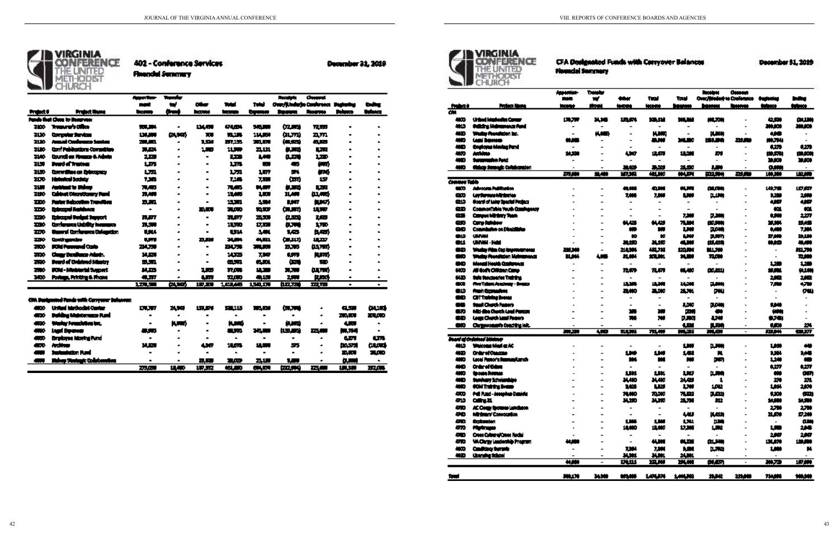## CFA Designated Funds with Conyover Balances

### **December 81, 2019**



402 - Conference Services

**Financial Semmary** 

|             |                                             | Anne Ann-      | Teacher                   |                |                         |                                                                   | <b>Personal</b>                            | <b>Cheesest</b>          |                       |                |
|-------------|---------------------------------------------|----------------|---------------------------|----------------|-------------------------|-------------------------------------------------------------------|--------------------------------------------|--------------------------|-----------------------|----------------|
|             |                                             |                | w                         | ويغو           | لمسح                    | الضي                                                              |                                            | Over/jUnderje Conference | <u> De altar de a</u> | <b>Culture</b> |
| Project O   | <b>Project Hame</b>                         | <b>Albany</b>  | <b><i><u>they</u></i></b> | ha anns        | فسيجيب                  | <b>Legender</b>                                                   | <u> Tanzania de la provincia de la pro</u> | <b>Program</b>           | <b>Delance</b>        | tuhan          |
|             | <b>Funds that Class to Reservect</b>        |                |                           |                |                         |                                                                   |                                            |                          |                       |                |
| 2000        | Transre's Olice                             | 有限的            | $\blacksquare$            | 北大原地           | <b>GLOW</b>             | 手足的                                                               | 仅用                                         | <b>77.77</b>             | $\blacksquare$        |                |
| 3130        | Computer Services                           | 134.000        | 여전                        | 20.            | <b>TAT.</b>             | 11459                                                             | لارتبا                                     | 고,ㅠ                      |                       |                |
| 2130        | James Conference Senton                     | 29.JRL         | $\blacksquare$            | 1.54           | 27.17.                  | 20.AV                                                             | (M.SCS)                                    | 兵馬                       |                       |                |
| 2130        | Conf Publications Committee                 | 71.54          | ×.                        | 1.7            | 11.777                  | 21.111                                                            | فيجه                                       | <b>Page</b>              |                       |                |
| 7140        | Council on Playman & Admin                  | 2,220          |                           | $\blacksquare$ | 2.73                    | <b>LAW</b>                                                        | لاتتلأ                                     | 1.770                    |                       |                |
| 21.77       | Fourt of Trustees                           | 1,373          |                           | $\blacksquare$ | 1.75                    | <b>Latin</b>                                                      | 偏                                          | (au)                     |                       |                |
| 21.00       | Committee on Entropyce                      | 1.771          |                           |                | 1.771                   | <b>2.77</b>                                                       | ŊИ,                                        | mе                       |                       |                |
| 200         | Holydyd Jodgir                              | 7,365          |                           |                | 7.165                   | 7.77.                                                             | <b>Cart</b>                                | 157                      |                       |                |
| 31.50       | fastdant in Månn                            | 71.45          |                           |                | 71.475                  | <b>DATE</b>                                                       | is. and                                    | <b>Lay</b>               |                       |                |
| 7190        | <b>Cabinet Directionery Pand</b>            | 71,400         | <b>A</b>                  | н.             | 11,495                  | IJ.                                                               | 11,444                                     | 似似                       |                       |                |
| <b>TEO</b>  | Padar Reboution Transition                  | D.M            | ×.                        |                | 15.701                  | 5.74                                                              | <b>MAT</b>                                 | 血力                       |                       |                |
| 220         | Estraged Ratchers                           | $\blacksquare$ | ×.                        | 高原市            | 7.OD                    | <b>TART</b>                                                       | 保护力                                        | 机索                       |                       |                |
| 330         | Extremed Turket Surveyt                     | 花杯             | ÷                         | $\blacksquare$ | <b>71.877</b>           | 25.SU                                                             | فسال                                       | 1,52                     |                       |                |
| <b>THE</b>  | Conference Unidity Incorpora                | 71,577         | ×                         |                | 11.TD                   | 17,500                                                            | <b>D.TTT</b>                               | 1. ND                    |                       |                |
| 72 O        | <b>Universit Comformation Culturation</b>   | UNA.           | $\blacksquare$            |                | UH.                     | 5.444                                                             | 1,53                                       | 民間                       |                       |                |
| <b>THE</b>  | <b>Contingente</b>                          | ĻП.            | $\blacksquare$            | EJR.           | 74.274                  | 44,971.                                                           | 信加功                                        | 11.ZP                    |                       |                |
| <b>THE</b>  | Militê Permunel Costo                       | ZM. 750        | ×                         |                | <b>NJS</b>              | $\overline{z}$ , $\overline{z}$ , $\overline{z}$ , $\overline{z}$ | <b>ELTS</b>                                | 妈面                       |                       |                |
| <b>TIM</b>  | Cargy Doubless Adoby.                       | <b>M.E.T</b>   |                           |                | 1435                    | 7.747                                                             | <b>LST</b>                                 | (UTT)                    |                       |                |
| <b>TIM</b>  | <b>Deard of Cedated Master</b>              | <b>M.STL</b>   | ×                         |                | لاركاك                  | GJD.                                                              | ليرين                                      | SU)                      |                       |                |
| <b>TH</b> O | ICA - Makintal Supert                       | 以本             | ×                         | 21 m           | TIOT.                   | 12.7                                                              | $\overline{11}$                            | 血质                       |                       |                |
| 740         | Podaga, Printing 6. Phone                   | 得取             | $\blacksquare$            | 4.77           | 鬼頭                      | 44.1.15                                                           | 25.                                        | p.com                    | $\blacksquare$        |                |
|             |                                             | 1.271.500      | 医麻                        | 1.7.20         | 1.011.445               | 154104                                                            | وبهت                                       | $\mathbf{m}_{\text{H}}$  | $\blacksquare$        | $\mathbf{u}_i$ |
|             |                                             |                |                           |                |                         |                                                                   |                                            |                          |                       |                |
|             | CIA Designated Fonds with Converse Informat |                |                           |                |                         |                                                                   |                                            |                          |                       |                |
| Æ۰          | United Mathedat Conter                      | <b>TLAT</b>    | 74.99                     | 151,576        | 52115                   | <b>TELET</b>                                                      | <b>CRATE</b>                               | ×                        | C.S.T                 | لسبح           |
| æ٠          | Puhing Mukturanga Pumi                      | $\blacksquare$ | $\bullet$                 | $\blacksquare$ | $\mathbf{r}_\mathrm{c}$ |                                                                   | $\blacksquare$                             | ×                        | 20. Juni              | 23.CH)         |
| æ۰          | Türke kondeks ist.                          | $\blacksquare$ | h. an I                   |                | h. an b                 | п                                                                 | il. Ist                                    | ×                        | 4. W                  | $\blacksquare$ |
| - 0         | سمحوا أسبا                                  | ن کا           | $\bullet$                 |                | a sa                    | 24 J.W                                                            | 机氧基酸                                       | <u>an in</u>             | الحاليان              | п.             |
| a a B       | Employee Islaning Pund                      | $\blacksquare$ | $\bullet$                 | $\blacksquare$ | $\mathbf{r}_\mathrm{c}$ | ш                                                                 | $\blacksquare$                             | ×                        | <b>Carry</b>          | <b>LTR</b>     |
| æ           | استقادته                                    | <b>M.E.</b>    |                           | 4. ST          | 18.65                   | 150000                                                            | 55                                         | Æ                        | <b>DASTR</b>          | turd           |
|             | <b>Sustantston Purd</b>                     |                |                           | $\blacksquare$ | $\blacksquare$          | $\blacksquare$                                                    |                                            | ×                        | ZM.                   | 有点             |
|             | Miker Seriaut: Volkbergten                  | $\blacksquare$ | $\blacksquare$            | <b>D.R.</b>    | 21.03                   | 2.15                                                              | 51                                         | <b>A</b>                 | <b>میں</b>            | $\blacksquare$ |
|             |                                             | 27.00          | <b>18.40</b>              | <b>UP ST</b>   | والكلابة                | GLUT.                                                             | فتورجهن                                    | سم                       | <b>URSER</b>          | <b>TIZATI</b>  |

**December 21, 2019** 



**Wounded Servicery** 

|                            |                                     | Appearing-               | Translur                     |                          |                              |                          | <b>Receives</b>          | <b>General</b> |                                  |            |
|----------------------------|-------------------------------------|--------------------------|------------------------------|--------------------------|------------------------------|--------------------------|--------------------------|----------------|----------------------------------|------------|
|                            |                                     |                          | $\blacksquare$               | <b>**</b>                | tul                          | Tasi                     | Over/Rederive Conference |                | <b><i><u>Designation</u></i></b> | Infine     |
| <b><i><u>THERE</u></i></b> | Profess Hame                        | <b>Monte</b>             | in ni                        | <b>MARK</b>              | <b><i><u>INGLISH</u></i></b> | <b>MARKA</b>             | <b>THEFT</b>             | <u> Inance</u> | <b>Report</b>                    | trince     |
| क्र<br>4KO                 | Urbed Marketin Camar                | 1.1.79                   | x.x                          | 狐爪                       | 13.LV                        | سمان                     | MLAN                     |                | 4.50                             | باللذات    |
| <b>MAD</b>                 | <b>Odking Mahamora Para</b>         |                          |                              |                          |                              |                          |                          |                | 30.000                           | 30,000     |
| ٠Ð                         | Wedgy Roundscien Inc.               | $\overline{\phantom{a}}$ | <b>KAB</b>                   |                          | <b>KUM</b>                   |                          | puna                     |                | 48                               |            |
| MO                         | lani bomov                          | mæ                       | $\qquad \qquad \blacksquare$ |                          | 로써                           | 3MJ 30                   | 비치사이                     | ᅖ              | <b>MAZIM</b>                     |            |
| WО                         | Englang Madag Pand                  |                          |                              |                          |                              |                          |                          |                | 4,279                            | 429        |
| MO.                        | Anthras                             | -<br>54.300              |                              | w                        | 北府                           | 18.000                   | m                        |                | 世界社                              | 19,500     |
| WО                         | turumuhn had                        |                          |                              |                          |                              |                          |                          |                | 39,000                           | 39,000     |
|                            |                                     |                          |                              |                          |                              |                          |                          |                |                                  |            |
| WD.                        | <b>Makep Strangle Collaboration</b> | 再用                       | <b>38,400</b>                | 보버<br>初期                 | سد<br>t                      | 21,20<br>主义              | 川野<br><b>PRASH</b>       | 功能             | 0.000<br>100.300                 | 波源         |
| <b>Connectable</b>         |                                     |                          |                              |                          |                              |                          |                          |                |                                  |            |
| um                         | Advocata Publication                |                          |                              | 模様                       | 이버                           | ñл                       | ببريين                   |                | 14175                            | 迈索         |
| œ                          | <b>Ley Surrous Alt Section</b>      |                          |                              | 1,000                    | 7,000                        | LW.                      | واللباع                  |                | 120                              | 2,000      |
| منه                        | Goard of Lake Spacial Project       |                          |                              |                          |                              |                          |                          |                | 487                              | 4,867      |
| œ                          | CommonTable Youth Commigneer        |                          |                              |                          | $\overline{\phantom{a}}$     | $\overline{\phantom{a}}$ |                          |                | an.                              | œ          |
| œ                          | Campus Ministry Team                |                          |                              |                          | $\overline{\phantom{a}}$     | 7,200                    | 7.200                    |                | 1,500                            | 2,277      |
| œo                         | Carry Falsbow                       |                          |                              | 44,425                   | 시성                           | 7.W                      | 12,200                   |                | 33.300                           | 却然         |
| œ                          | Commission on Directivity           |                          |                              | w                        | m                            | <b>UW</b>                | <b>DOM:</b>              |                | 1,400                            | 7,300      |
|                            |                                     |                          |                              |                          |                              |                          |                          |                |                                  |            |
| <b>GUD</b><br>GU.          | <b>UM WM</b><br>UMWH - Held         |                          |                              | 10<br>31.20              | 10                           | LW.<br>4.NI              | 風邪                       |                | 写版                               | اللثلا     |
|                            |                                     |                          |                              |                          | 지체                           |                          | (15,417)                 |                | 하세                               | 49,480     |
| œ                          | Waday Pilas Cop Impresentation      | ببديه                    | $\blacksquare$               | 211394                   | 48.710                       | 120.00                   | الاخلالا                 |                | $\blacksquare$                   | 세계         |
| œ                          | Waday Roundadon Maknamanza          | <b>H.H.</b>              | 새로                           | 以解                       | STLM.                        | 14.80                    | 71.000                   |                | ۰                                | 72,000     |
| 80                         | Monail Hould: Conference            |                          | -                            |                          |                              |                          |                          |                | هنا                              | 129        |
| HW                         | All Goffs Officien Care             |                          |                              | 71.679                   | 71,671                       | <b>M.MO</b>              | بسم                      |                | 发展                               | 91.00      |
| ud                         | Suit Steateries Training            |                          |                              |                          |                              |                          | $\blacksquare$           |                | 232                              | 2,822      |
| œ                          | <b>Ret Talant Academy - Beans</b>   |                          |                              | محجد                     | 法期                           | <b>LLINE</b>             | بسير                     |                | 750                              | 4,799      |
| Œ                          | <b>From Committee</b>               |                          |                              | am                       | 2,00                         | 21,761                   | pu,                      |                | ۰                                | <b>GW)</b> |
| œ                          | <b>CITTING INNE</b>                 |                          |                              |                          |                              | $\overline{\phantom{a}}$ |                          |                |                                  |            |
| 88                         | Staal Chards Fagers                 |                          |                              | $\overline{\phantom{0}}$ | $\overline{\phantom{a}}$     | <b>LDID</b>              | <b>D.D.W</b>             |                | 144                              |            |
| œ                          | Mid-Bie Church Lead Parent          |                          |                              | ж.                       | m                            | ببدع                     |                          |                | (HN)                             |            |
| æ                          | Legs Chards Land Poetro             |                          |                              | 74                       | w                            | 7.50                     | LW.                      |                | ラブモ)                             |            |
| œ                          | Ourgewoman's Conciding Info.        |                          |                              |                          |                              | w                        | 1,50                     |                | 1.00                             | 24         |
|                            |                                     | 美里                       | ᡂ                            | 秋城                       | 孤瀬                           | MART                     | יטא                      |                | يبرون                            | 仙坂         |
|                            | Joan a crémul binine                |                          |                              |                          |                              |                          |                          |                |                                  |            |
| MID                        | Weicons Med e AC                    |                          |                              | $\overline{\phantom{a}}$ | $\overline{\phantom{a}}$     | 1,309                    | 1,300                    |                | 1,830                            | 40         |
| WО                         | Orderei Ostazio                     |                          |                              | 1,849                    | 114                          | 141                      | N                        |                | 1111                             | 1,45       |
| MO                         | Leoni Partor's Restaurance          |                          |                              | m.                       | m                            | m                        | pm,                      |                | 120                              | æ          |
| MО                         | Orderei Gebru                       |                          |                              |                          |                              | $\overline{\phantom{a}}$ |                          |                | 627                              | 4,277      |
| MO                         | Spouse Remain                       |                          |                              | 1.81                     | щ                            | w                        | واللباز                  |                | w                                | gm,        |
| MD                         | Sunhary Scholarships                |                          |                              | 34.410                   | 其都                           | 24,429                   | 1                        |                | 20                               | 21         |
| MЮ                         | <b>COM Training Brease</b>          |                          |                              | 1,421                    | س                            | w                        | 102                      |                | 1.004                            | 2,000      |
| am.                        | frii Fund-Josephen Daniela          |                          |                              | 74,000                   | 70.000                       | 7.E1                     | فملو                     |                | 1300                             | đ٣         |
| 中山                         | <b>College 21.</b>                  |                          |                              | ᄴ                        | 사제                           | 21.70                    | 粒                        |                | 14,000                           | 54,900     |
| æ                          | AC Comp Sponso Landiaco             |                          |                              |                          |                              |                          |                          |                | 2,70                             | 2,70       |
| ᅘ                          | Minimum' Convocation                |                          |                              |                          |                              | w                        | <b>NADI</b>              |                | 11,679                           | 17,200     |
| æ                          | Contention .                        |                          |                              | 1361                     | w                            | 134                      | ШĄ                       |                |                                  | ببري       |
| 470                        | <b>Plants</b>                       |                          |                              | 18,000                   | 12,000                       | 17.MI                    | LW.                      |                | 1,50                             | 2,948      |
| æ                          | <b>Cres Crime Cres Redal</b>        |                          |                              |                          |                              |                          |                          |                | 237                              | 2,947      |
| m                          |                                     | 44.000                   |                              |                          | 4.00                         | 치과                       | بببريم                   |                |                                  |            |
|                            | <b>Widerly Laudentide Program</b>   |                          | $\overline{a}$               | $\overline{\phantom{a}}$ |                              |                          |                          |                | 13LAN                            | فالرفاذ    |
| 40D                        | Condition formit                    | $\overline{a}$           | $\overline{a}$               | 2.004                    | 7.800                        | N.SI                     | فالبلا                   |                | 1,000                            | H,         |
| WD.                        | (kening Sthon)                      | 44,000                   | -                            | -<br>171.111             | <b>AMI</b><br><b>22, W</b>   | 24.00<br><b>294,000</b>  | والتعراق                 |                | Į                                | 107,000    |
|                            |                                     |                          |                              |                          |                              |                          |                          |                |                                  |            |
| fami                       |                                     | 300,170                  | 34300                        | 625,000                  | 147434                       | 1,444,362                | 29,342                   | 221,000        | 714,000                          | 100,000    |
|                            |                                     |                          |                              |                          |                              |                          |                          |                |                                  |            |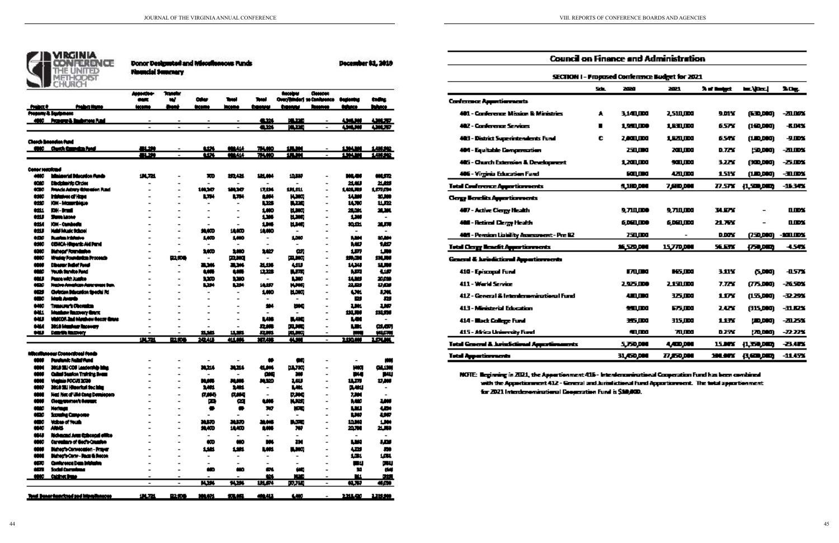| REIM |
|------|
|      |
|      |
|      |

|                          | Donor Designated and Miccellencous Pun- |
|--------------------------|-----------------------------------------|
| <b>Financial Summery</b> |                                         |

| movs Funds |  |  |
|------------|--|--|
|            |  |  |
|            |  |  |

December \$1, 2019

|                          |                                                              | Appenden-<br><b>COLOR</b> | <b>Transfer</b><br>w     | <b>DAY</b>                       | Tual                     | Test                             | heceipar<br>Over/Rinder] to Confirmate | Овмове                                               | <b><i><u>Business</u></i></b> | tadas              |
|--------------------------|--------------------------------------------------------------|---------------------------|--------------------------|----------------------------------|--------------------------|----------------------------------|----------------------------------------|------------------------------------------------------|-------------------------------|--------------------|
| 110032                   | <b>Product Home</b>                                          | lacama                    | han i                    | tana                             | <b>MARINE</b>            | tanny                            | temp                                   | <u> Immers</u>                                       | <b>Reference</b>              | hhan               |
|                          | <b>Property &amp; September</b>                              |                           |                          |                                  |                          |                                  |                                        |                                                      |                               |                    |
|                          | 4000 Prosent-A Instrument Punk                               |                           |                          |                                  |                          | <b>111</b>                       | 19.220                                 |                                                      | <b>AM M</b>                   | $-10.77$           |
|                          |                                                              |                           | $\overline{a}$           | $\overline{\phantom{a}}$         | $\overline{\phantom{a}}$ | ŧ                                | بعنجاز                                 | $\overline{\phantom{a}}$                             | <b>COMPO</b>                  | Í                  |
|                          |                                                              |                           |                          |                                  |                          |                                  |                                        |                                                      |                               |                    |
|                          | Cherch Basaden fund<br>4900 Church Council as Panel          | 41.20                     |                          | 1274                             | <b>MALL</b>              | 74.00                            | <b>1. Mil</b>                          |                                                      | 131.30                        | 1.11.22            |
|                          |                                                              | 要求                        | $\overline{a}$           | w                                | <b>WALL</b>              | 74.00                            | 集業                                     |                                                      | <b>SAMI</b>                   | 141.92             |
|                          |                                                              |                           |                          |                                  |                          |                                  |                                        |                                                      |                               |                    |
| <b>Conter restatuted</b> |                                                              |                           |                          |                                  |                          |                                  |                                        |                                                      |                               |                    |
| 440                      | Inimerial Discussor Funds                                    | 비전                        |                          | m                                | 机以出                      | 出半                               | 山梨                                     |                                                      | ML BI                         | 横坂                 |
| <b>COMO</b>              | Disciplini its Choice                                        |                           |                          |                                  |                          |                                  |                                        |                                                      | 浅脚                            | 21.22              |
| tar                      | Procis Advey Greenian Pund                                   |                           | -                        | 10130                            | 10130                    | 17.114                           | ᄁᆑ                                     |                                                      | 1,03,79                       | 1,570.00           |
| 4500                     | Inistance of Hape                                            |                           |                          | t.                               | t.                       | <b>AMH</b>                       | <b>HAMM</b>                            |                                                      | 14,200                        | 20.000             |
| 440                      | IOM - Massachique                                            |                           |                          | -                                | $\overline{\phantom{0}}$ | t.ne                             | بعنك                                   | $\overline{\phantom{0}}$                             | 14.700                        | فالبلة             |
| 6811                     | DH-Mul                                                       |                           |                          | $\overline{\phantom{0}}$         | -                        | 1,000                            | 비싸피                                    | $\overline{\phantom{0}}$                             | 28.001                        | 21,201             |
| ŧШ                       | <b>Sum Light</b>                                             |                           |                          | $\blacksquare$                   |                          | 1,34                             | <b>H.MA</b>                            |                                                      | 1,300                         |                    |
| <b>MA</b>                | Kiti - Cumbodis                                              |                           |                          | $\overline{\phantom{a}}$         |                          | 1,348                            | 出版                                     | $\overline{\phantom{a}}$                             | 10.01                         | 浅原                 |
| ŧШ                       | Maini Music School                                           |                           |                          | 光灯の                              | 18,000                   | 18,000                           |                                        |                                                      |                               |                    |
| ŧш                       | fizates intrimie                                             |                           |                          | 1,000                            | 1,000                    |                                  | 1,000                                  |                                                      | w                             | 10.201             |
| 4500                     | <b>COMCA-Higgeric Aid Pand</b>                               |                           |                          | -                                | $\overline{\phantom{a}}$ |                                  |                                        | $\overline{\phantom{a}}$                             | w                             | 147                |
| 4360<br>4000             | District Foundation<br>Wedgy Foundrates Processis            |                           | 吐木場                      | 1400<br>$\overline{\phantom{a}}$ | 1,000<br><b>PANG</b>     | 1,47<br>$\overline{\phantom{0}}$ | œ,<br>医肌肉                              | $\overline{\phantom{0}}$<br>$\overline{\phantom{0}}$ | 1.IV<br>妖魔                    | LШ<br><b>SNLAN</b> |
| m                        | Discourt Indial Pond                                         |                           |                          | 236                              | 로너                       | 21.116                           | ᄲ                                      |                                                      | 1434                          | 出版                 |
| an a                     | Youth Service Pand                                           |                           |                          | tm                               | um                       | 11.123                           | 医不明                                    | $\overline{\phantom{0}}$                             | M.                            | جلله               |
| س                        | Peace with Justice                                           |                           |                          | 1,170                            | 1,30                     |                                  | 1,300                                  |                                                      | 14.00                         | 2000               |
| معب                      | Habre Amaliam Agreement Sun.                                 |                           |                          | ᄖ                                | LH.                      | 地坂                               | <b>H.MA</b>                            | $\overline{\phantom{a}}$                             | 21.23                         | 功職                 |
| نهن                      | Civingen Dibranton Special Pd                                |                           |                          |                                  |                          | 1,000                            | 出版页                                    | ٠                                                    | w                             | w                  |
| til 10                   | Maria Jeograph                                               |                           |                          |                                  |                          |                                  |                                        | $\overline{\phantom{0}}$                             | 먹                             | 型                  |
| 440                      | Transport Chamba                                             |                           |                          |                                  |                          | 24                               | m                                      | $\overline{\phantom{0}}$                             | щ                             | IJ.                |
| 441                      | Mashow Recovery Grant                                        |                           |                          |                                  |                          |                                  |                                        |                                                      | 11LW                          | <b>111.730</b>     |
| tW                       | VidCOR-2nd Marshaw Recor Grand                               |                           |                          |                                  |                          | LM.                              | 風神田                                    |                                                      | w                             |                    |
| t M                      | 2010 Mushar Racover                                          |                           | -                        |                                  |                          | 兵族                               | 東城                                     | $\qquad \qquad$                                      | w                             | au an              |
| ٣U                       | bandh hazmay                                                 |                           | -                        | 쁘쁘                               | الغلا                    | 以以                               | <b>PELINU</b>                          | $\overline{\phantom{a}}$                             | m                             | (KLMN)             |
|                          |                                                              | 通歴                        | <b>B2.5%</b>             | <b>SRAU</b>                      | 41.00                    | 福林                               | <b>4.30</b>                            | $\overline{\phantom{a}}$                             | <b>2.00.000</b>               | <b>LOWN</b>        |
|                          |                                                              |                           |                          |                                  |                          |                                  |                                        |                                                      |                               |                    |
|                          | Micellumew Connectional funds<br><b>Pandumic Relativised</b> |                           |                          |                                  |                          |                                  |                                        |                                                      |                               |                    |
| <b>MM</b>                |                                                              |                           | $\overline{a}$           |                                  |                          | ۰                                | 69                                     | $\overline{\phantom{0}}$                             | $\qquad \qquad \blacksquare$  | m                  |
| m                        | 2010 SIJ COU Leadership hing<br>Called Septon Training Board |                           | $\overline{a}$           | 31.214                           | 31.114                   | 4.14                             | <b>NL780</b>                           | $\overline{\phantom{a}}$                             | HЮ                            | االلك              |
| 1011<br><b>MAR</b>       |                                                              |                           |                          |                                  | M.MI                     | œ۵<br>فعال                       | xv                                     |                                                      | D۴                            | 먹                  |
| 660                      | Weekly FOCUS 3000<br>2010 SU Himerical Section               |                           |                          | N.H<br>1.441                     | 1.44                     |                                  | ιw<br>LШ                               |                                                      | 北市<br>医横纵                     | 17.00              |
|                          | Hat Net of UM Cong Developers                                |                           |                          |                                  |                          |                                  |                                        |                                                      |                               |                    |
| ---<br>m                 | Close several former.                                        |                           |                          | <b>HAME</b><br>т                 | <b>Hand</b><br>ᅃ         | tun                              | y m<br>N. MI                           | $\qquad \qquad \blacksquare$                         | . .<br>h, Mil                 | 1,000              |
| <b>MAD</b>               | Merkeye                                                      |                           |                          |                                  |                          | w                                | <b>KRI</b>                             |                                                      | ĻW.                           | œ                  |
| time <b>a</b>            | Straing Canyone                                              |                           | $\overline{a}$           | $\overline{\phantom{a}}$         | $\overline{\phantom{a}}$ | $\overline{\phantom{0}}$         | $\overline{\phantom{a}}$               | $\overline{\phantom{a}}$                             | LW.                           | ببي                |
| til 10                   | Value of Volab                                               |                           | $\overline{a}$           | <b>NJAD</b>                      | <b>JULIO</b>             | 基本体                              | محالي                                  | $\overline{\phantom{0}}$                             | 10.00                         | <b>LMI</b>         |
| 66.00                    | <b>ANNAS</b>                                                 |                           | $\overline{\phantom{0}}$ | 光灯                               | 18.KD                    | 8.000                            | w                                      | $\overline{\phantom{a}}$                             | 20,70                         | 21,539             |
| <b>MAP</b>               | Nicharad Ares Existend effice                                |                           | -                        | $\overline{\phantom{0}}$         | $\overline{\phantom{0}}$ | -                                | $\overline{\phantom{0}}$               | -                                                    |                               |                    |
| 1000                     | <b>Consulting of God's Crustian</b>                          |                           | -                        | æ                                | WO.                      | m.                               | m                                      | $\overline{\phantom{0}}$                             | LM 1                          | w                  |
| 1819                     | Bished's Convectation - Prayer                               |                           | -                        | 144                              | 1.91                     | LM1                              | 風味の                                    |                                                      | œ                             | 期                  |
| m                        | Disher's Corp: - Dags & Recon                                |                           |                          | -                                |                          |                                  |                                        |                                                      | 皿                             | 1.GH               |
| an a                     | <b>Conference Data Intelastra</b>                            |                           |                          | $\overline{\phantom{a}}$         | $\overline{\phantom{0}}$ | -                                | $\overline{\phantom{0}}$               |                                                      | 一本山                           | 머리                 |
| 柳                        | Sodal Compilenza                                             |                           | $\overline{a}$           | æ                                | w                        | ш.                               | C.                                     | $\overline{\phantom{0}}$                             | м                             | m                  |
| <u>and</u>               | <u>Culture linner</u>                                        |                           |                          |                                  |                          | <u>64.</u>                       | t۴                                     | $\blacksquare$                                       | TU.                           | النائل             |
|                          |                                                              | $\blacksquare$            | $\blacksquare$           | <b>FW</b>                        | <u>nm</u>                | <b>ULEY</b>                      | 真理                                     | $\blacksquare$                                       | <b>N.T.P</b>                  | 401                |
|                          |                                                              |                           |                          |                                  |                          |                                  |                                        |                                                      |                               |                    |
|                          | Tool Denorthenriched and hitradiances.                       | <b>UL71</b>               | <b>DZES</b>              | 101.071                          | 我们                       | 49.43                            | LMD.                                   | $\blacksquare$                                       | 2,211,420                     | 1,19,900           |

|                                                       | <b>Council on Finance and Administration</b>    |                     |                    |                      |                  |                |  |  |  |
|-------------------------------------------------------|-------------------------------------------------|---------------------|--------------------|----------------------|------------------|----------------|--|--|--|
|                                                       | SECTION 1 - Proposed Conference Budget for 2021 |                     |                    |                      |                  |                |  |  |  |
|                                                       | 5th.                                            | 730                 | 2021               | <b>Just Besteget</b> | to the l         | ЪDу.           |  |  |  |
| <b>Conference Approtionments</b>                      |                                                 |                     |                    |                      |                  |                |  |  |  |
| 401 - Conference Mission & Ministries                 | A                                               | 3.140.000           | 2.510.000          | 9.DI Y               | (EE),DOO)        | -31.16%        |  |  |  |
| 402 - Conference Services                             | ш                                               | <u>1.541.100 </u>   | 1.EXLIDO           | 6.57X                | (140,000)        | 長山城            |  |  |  |
| 403 - District Superintendents Fund                   | c                                               | <u> 1 AQLIDQ</u>    | <u> 1 kalima</u>   | 65AY                 | 110,000          | 一身工作者          |  |  |  |
| 404 - Equitable Compensation                          |                                                 | <u> 251.000 </u>    | 20 W CH            | D. <i>Te</i> m       | رودم معر         | -21.10%        |  |  |  |
| 485 - Charch Extension & Development                  |                                                 | 1.791.100           | 501.100            | <b>J.77K</b>         | روام هاور        | 一万瓜加           |  |  |  |
| 406 - Virginia Education Fund                         |                                                 | FALLOW              | 421.139            | 151¥                 | lin bed          | $-11124$       |  |  |  |
| <b>Total Conference Appartisments</b>                 |                                                 | <b>SLIED, DOG</b>   | 7,680,000          | 77.STK               | (1, 320, 000)    | -15.34%        |  |  |  |
| <b>Copy Bondits Agent increasts</b>                   |                                                 |                     |                    |                      |                  |                |  |  |  |
| 407 - Active Clergy Health                            |                                                 | 9.711.IDO           | 9.711.000          | <b>BLEFY</b>         |                  | ппж            |  |  |  |
| <b>400 - Retired Clargy Health</b>                    |                                                 | <u> 6 DET 1100 </u> | <u> 6 DEN 1100</u> | 21.TW                |                  | ппж            |  |  |  |
| 405 - Pension Liability Assessment - Pre 82           |                                                 | 750.IDO             |                    | <b>D.DOW</b>         | nso son          | <b>ATLIDY</b>  |  |  |  |
| <b>Total Clergy Beacht Apportionments</b>             |                                                 | 16,570,000          | 15,770,000         | 56 E.T.K             | <b>LESP DEED</b> | 4.54%          |  |  |  |
| <b>General &amp; Aristictional Appartisments</b>      |                                                 |                     |                    |                      |                  |                |  |  |  |
| 410 - Episcopal Fund                                  |                                                 | <b>ITALIS O</b>     | <b>HSJDO</b>       | 1 11 Y               | 0.000 ي          | <b>JUSTS</b>   |  |  |  |
| 411 - Warld Service                                   |                                                 | 19500               | 2,150,000          | <b>7.TAY</b>         | (775,000)        | -26.50%        |  |  |  |
| 412 - General & Interdemonizational Fund              |                                                 | 4.ALLAND            | 12 J.DQ            | LDY                  | (155,000)        | -32.29%        |  |  |  |
| 413 - Ministerial Education                           |                                                 | <b>MALLON</b>       | 675.DDQ            | 1 LZY                | (315,000)        | <u>-31 KPX</u> |  |  |  |
| 414 - Mack College Fund                               |                                                 | 15 M                | 315.000            | 1 1 TV               | رووم میں         | -21.25%        |  |  |  |
| 415 - Africa University Fund                          |                                                 | <u>sa ma</u>        | 71.000             | DJSK                 | التنابين         | -22.22%        |  |  |  |
| <b>Total General &amp; AutorSchool Approximatests</b> |                                                 | 5,750,000           | 4,400,000          | 15.DFT               | 11.50,000        | 七小縣            |  |  |  |
| <b>Tetal Appartments</b>                              |                                                 | 31,650,000          | <b>77,250,000</b>  | 194.BTX              | 低声响              | -1145%         |  |  |  |
|                                                       |                                                 |                     |                    |                      |                  |                |  |  |  |

NOTE: Regiming in 2021, the Appartionment 415 - Intendencementional Cooperation Fund has been combined with the Appertishment 412 - General and Jurisdictional Fund Apportionment. The total apportionment for 2021 Interdenominational Cooperation Fund is \$10,000.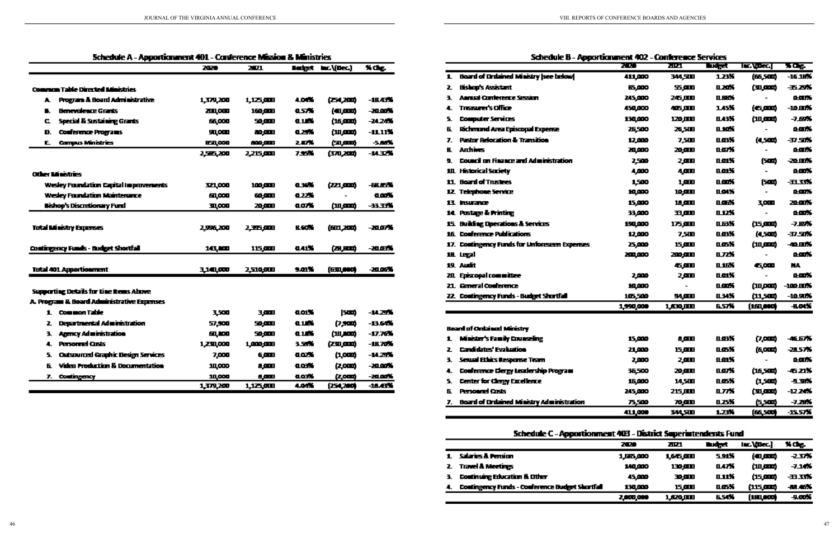| Schedule A - Apporticmment 401 - Conference Mission & Ministries |                                              |           |           |        |                    |          |  |
|------------------------------------------------------------------|----------------------------------------------|-----------|-----------|--------|--------------------|----------|--|
|                                                                  |                                              | 2020      | 2021      |        | Budget Inc.\(Dec.) | X Oct    |  |
|                                                                  | <b>Common Table Directed Ministries</b>      |           |           |        |                    |          |  |
| A.                                                               | <b>Program &amp; Board Administrative</b>    | 1,379,200 | 1,125,000 | 4.04%  | (石人)面              | -16.43%  |  |
| п.                                                               | <b>Benevolence Grants</b>                    | 2111,000  | 160.EEU   | 化反光    | (40,000)           | -20.00%  |  |
| c                                                                | Special & Sustaining Grants                  | 66,000    | 50 JULI   | 9.1.64 | (16,000)           | -24.24%  |  |
| D.                                                               | <b>Conference Programs</b>                   | 见0回       | 80.CET    | 化乙烷    | (10,000)           | -11.11%  |  |
| E                                                                | <b>Campus Ministries</b>                     | 830,000   | 800.EED   | 28%    | فتتقرقن            | -5.88%   |  |
|                                                                  |                                              | 2.566.200 | 2,215,000 | 7.95%  | (370,200)          | -14.32%  |  |
|                                                                  | Other Ministries                             |           |           |        |                    |          |  |
|                                                                  | <b>Wedey Foundation Capital Improvements</b> | 321,000   | 100,000   | 电球光    | (221,0000)         | -BLEX    |  |
|                                                                  | <b>Wedey Foundation Maintenance</b>          | 60,000    | ஹை        | 8225   |                    | 0.00%    |  |
|                                                                  | <b>Bishop's Discretionary Fund</b>           | 30,000    | 20,000    | ao X   | (10,000)           | -33.33%  |  |
|                                                                  |                                              |           |           |        |                    |          |  |
|                                                                  | Total Ministry Expenses                      | 2,996,200 | 2五四       | B. SOM | (601,200)          | - 20.07% |  |
|                                                                  | Contingency Funds - Budget Shortfall         | 16. KD    | 115.990   | 0.41%  | 医眼的                | -20.03%  |  |
|                                                                  | <b>Total 401 Apportionment</b>               | 3,141,000 | 2,510,000 | 9.01%  | (130, 000)         | -20.06%  |  |
|                                                                  | Supporting Details for Line Rems Above       |           |           |        |                    |          |  |
|                                                                  | A. Program & Board Administrative Expenses   |           |           |        |                    |          |  |
|                                                                  | 1. Common Table                              | 3,500     | 3,000     | aoix   | 1500)              | -14.25%  |  |
| z                                                                | Departmental Administration                  | 57,900    | 50.OUI    | 0.14%  | 伊罗斯                | -13.64%  |  |
| з.                                                               | <b>Agency Administration</b>                 | 60,000    | 50,000    | 0.1.04 | (سمعر س)           | -17.76%  |  |
| 4.                                                               | Personnel Custs                              | 1,230,000 | 1,000,000 | 3. 200 | فسروح              | -16.70%  |  |
| 5.                                                               | <b>Outsourced Graphic Design Services</b>    | 7,000     | 6.000     | aax.   | (1,000)            | -14.25%  |  |
| 6.                                                               | <b>Video Production &amp; Documentation</b>  | 10,000    | سم        | a os X | 亿000               | -20.00%  |  |
| Т.,                                                              | Contingency                                  | 10,000    | 8 M H     | a oriš | 亿000               | - 20 OCK |  |
|                                                                  |                                              | 1,379,200 | 以本如       | 4.04%  | (254,200)          | -18.45%  |  |

| <b>Board of Critained Ministry [see helow]</b><br>1 |
|-----------------------------------------------------|
|                                                     |
| Bishop's Assistant<br>7.                            |
| <b>AMLEI CONTENEDE SESSION</b><br>٦.                |
| Treasurer's Office<br>4.                            |
| 5.<br><b>Computer Services</b>                      |
| Richmund Area Episcopal Expense<br>Б.               |
| <b>Pastor Relocation &amp; Transition</b><br>7.     |
| <b>Arthives</b><br>R.                               |
| Council on Finance and Administration.<br>٠         |
| 111 Historical Scriety                              |
| 11 Board of Trustees                                |
| 12 Telephone Service                                |
| 13. Insurance                                       |
| 14. Pustage & Printing                              |
| 15 Building Operations & Services                   |
| 16. Conference Publications                         |
| 17. Contingency Funds for Unforeseen Expenses       |
| 18. Legal                                           |
| 19. Audit                                           |
| 211 Episcopal committee                             |
| 21. General Conference                              |
| 22 Contingency Funds - Budget Shurtfall             |
|                                                     |

| Board of Ordained Ministry |  |  |  |  |
|----------------------------|--|--|--|--|
|----------------------------|--|--|--|--|

- 1. Minister's Family Counseling
- 2 Candidates' Evaluation
- 3. Sexual Ethics Response Team
- 4. Conference Clergy Leadership Program
- 5. Center for Clergy Excellence
- **E.** Personnel Costs
- 7. Board of Crdained Ministry Administration

- 1 Salaries & Pension
- 2. Travel & Meetings
- 3. Continuing Education & Other
- 4. Contingency Funds Conference Budget Shortfall

| 70 M      | 2. DA (  | प्रमुख | les (pec) | <b>KOE</b>   |
|-----------|----------|--------|-----------|--------------|
| 411,000   | 344,500  | 1.23K  | (66,500)  | -16.18%      |
| 15.000    | 五四       | 0.20%  | فسري      | 五ぷ           |
| 245,000   | 26,III   | IL REA |           | 医面质          |
| 450,000   | 425,000  | 1.45%  | (بسره)    | -10.11%      |
| 130,000   | 120.MM   | na X   | (سعر س    | -7.87%       |
| 26,500    | 26,500   | 0.10X  |           | o an S       |
| 12,000    | 7,500    | 叫好     | (4,500)   | -37.SDK      |
| 20,000    | 20.AM    | norx   |           | ears         |
| 2.500     | 2,000    | n an K | (500)     | -20.00%      |
| 4,000     | 4,000    | naiX   |           | o.com/s      |
| 1,500     | 1,000    | n.com% | (SCO)     | -1133%       |
| 10,000    | 10,011   | nows   |           | o ank        |
| 15,000    | 18. JULI | næx    | 3,000     | 20.OK        |
| 33,000    | wer      | 0.12X  |           | o an X       |
| 190,000   | 175,900  | 山市光    | (15,000)  | -7.89%       |
| 12,000    | 7,5M     | n ok   | (4,500)   | -37.50%      |
| 25,000    | 15,000   | næX    | فتتقرمن   | -40.00%      |
| 200,000   | 200 A.D  | 0.72%  |           | o ank        |
|           | 6.AN     | 0.16%  | 6,000     | NA.          |
| 2,000     | 2,000    | naiX   |           | o.com/s      |
| 10,000    |          | n.com/ | (10,000)  | -100 MW      |
| 105,500   | 94,000   | ших    | (11,500)  | -10.90%      |
| 1,990,000 | 1,630.MM | 6.57%  | (161,000) | <b>B.OKK</b> |
|           |          |        |           |              |
| 15,000    | a,am     | n ok   | (7,000)   | -46.67%      |
| 21,000    | 15,000   | n os X | (6,000)   | 21.57%       |
| 2,000     | 2,000    | n ar K |           | o ank        |
| 36.500    | 20.AM    | nazX   | (16,500)  | -621%        |
| 15,000    | 14,500   | nas K  | 红草        | 4.3%         |
| 245,000   | 215,000  | 山水     | (سعرت)    | -12.24%      |
| 75,500    | 70.CLT   | 0.25X  | 医一种       | -7.28%       |
| 411,000   | 344.SID  | 1.23%  | (66,500)  | -15.57%      |

Schedule B - Apportionment 402 - Conference Services

Schedule C - Apportionment 403 - District Superintendents Fund

| 200       | 70 L          | Budget. | Inc. (Dec.) | N Chp.         |
|-----------|---------------|---------|-------------|----------------|
| 1,665,000 | 1,645,900     | 5.91X   | (سمره)      | -2375          |
| 140,000   | 130,000       | 0.47%   | فسرس        | -7.1 <b>4%</b> |
| 45,000    | 30,000        | uuki    | بسمرحه      | -11.33%        |
| 130,000   | 15,900        | п ти    | فسردتن      | -88.46%        |
| 2,000,000 | <u>Lazoum</u> | 6.54%   | ز160,000 (  | 头顶光            |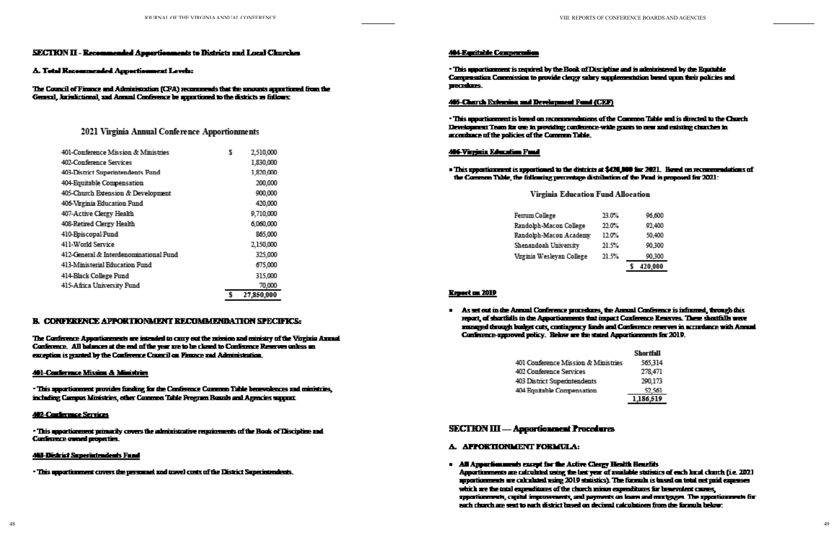### **SECTION II - Recommended Appertisements to Districts and Local Clurches**

#### A. Total Recommended Apportionment Levels:

The Council of Finance and Administration (CPA) recommends that the amounts apportioned from the General, Jorisdictional, and Annual Conference be apportioned to the districts as follows:

### 2021 Virginia Annual Conference Apportionments

| 401-Conference Mission & Ministries    | S | 2,510,000  |
|----------------------------------------|---|------------|
| 402-Conference Services                |   | 1,830,000  |
| 403-District Superintendents Fund      |   | 1,820,000  |
| 404-Equitable Compensation             |   | 200,000    |
| 405-Church Extension & Development     |   | 900,000    |
| 406-Virginia Education Fund            |   | 420,000    |
| 407-Active Clergy Health               |   | 9,710,000  |
| 408-Retired Clergy Health              |   | 6,060,000  |
| 410-Episcopal Fund                     |   | 865,000    |
| 411-World Service                      |   | 2,150,000  |
| 412-General & Interdenominational Fund |   | 325,000    |
| 413-Ministerial Education Fund         |   | 675,000    |
| 414-Black College Fund                 |   | 315,000    |
| 415-Africa University Fund             |   | 70,000     |
|                                        | S | 27,850,000 |

### **B. CONFERENCE APPORTIONMENT RECOMMENDATION SPECIFICS:**

The Conference Appertianments are intended to carry out the mission and ministry of the Virginia Annual Conference. All balances at the end of the year are to be closed to Conference Reserves onless an exception is granted by the Conference Council on Finance and Administration.

#### 401-Conference Mixion & Ministries

· This apportionment provides funding for the Conference Common Table benevolences and ministries, including Campus Ministries, other Common Table Program Routh and Agencies support.

#### **402-Conference Services**

· This apportionment primarily covers the administrative requirements of the Book of Discipline and **Conference award properties.** 

#### **463 District Superintendents Fund**

. This upportionment covers the personnel and towel costs of the District Superintendents.

#### **404 Equitable Comperentium**

. This upportionment is nequired by the Book of Discipline and is administered by the Equitable Compensation Commission to provide clergy sakey supplementation breed upon their policies and procedures.

#### 445-Charth Extension and Development Fund (CEP)

. This upportionment is based on recommendations of the Common Table and is directed to the Church. Development Team for one in providing conference-wide grants to men and existing charches in accordance of the policies of the Common Table.

#### **446-Virginia Education Fund**

### . This appearing meet is appearies ed to the districts at \$420,000 for 2021. Hered on recommendations of the Common Table, the following percentage distribution of the Fund is proposed for 2021:

### **Virginia Education Fund Allocation**

| Femum College             | 23.OX  |
|---------------------------|--------|
| Randolph-Macon College    | 22 D.X |
| Randolph-Macon Academy    | 12.OX  |
| Shenandoah University     | 21.5%  |
| Virginia Wesleyan College | 21.5%  |

### **Report on 2019**

- As set out in the Annual Conference procedures, the Annual Conference is informed, through this report, of shortfalls in the Apportionments that impact Conference Reserves. These shortfalls were managed through budget cuts, contingency funds and Conference reserves in accordance with Annual Confinence-approved policy. Below are the stated Apportionments for 2019.
	- 401 Conference Mission & Ministric 402 Conference Services 403 District Superintendents 404 Equitable Compensation

### **SECTION III — Appartionment Procedures**

- A. APPOKTIONMENT FORMULA:
- . All Appenbenments except for the Active Clergy Health Benefits Apportimments are calculated using the last year of available statistics of each local church (i.e. 202) apportionments are calculated using 2010 statistics). The formula is based on total net paid expenses which are the total expenditures of the church minus expenditures for benevolent causes, apportionments, capital improvements, and payments on loans and martgages. The apportionments for each church are sent to each district lused on decimal ralculations from the formula below:

| C%. |   | 96,600  |
|-----|---|---------|
| m.  |   | 92.400  |
| U%. |   | 50.400  |
| 5%. |   | 90.300  |
| 5%  |   | 90.300  |
|     | s | 420.000 |

|    | Shortfall |
|----|-----------|
| 25 | 565,314   |
|    | 278,471   |
|    | 290,173   |
|    | 52.561    |
|    | 1,186,519 |
|    |           |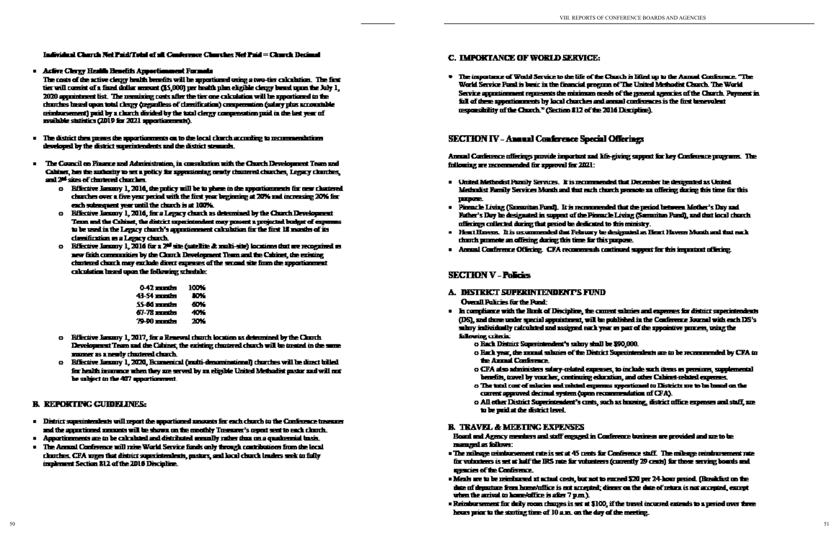### Individual Charch Net Paid/Total of all Conference Charches Net Paid = Charch Decimal

Active Clergy Health Benefits Apportionment Formula

The costs of the active clergy bealth benefits will be apportioned oning a two-tier calculation. The first tier will consist of a fixed dollar amount (\$5,000) per health plan eligible clergy based upon the July 1, 2020 appointment list. The nemaining costs after the tier one calculation will be apportioned to the thurthes losed upon total clergy (regardless of classification) compensation (salary plus accountable usindows ement) poid by a clorch divided by the total clergy compensation poid in the last year of mulable statistics (2019 for 2021 apportunements).

- . The district then passes the apportionments on to the local clurch according to recommendations developed by the district superintendents and the district stewards.
- . The Council on Finance and Administration, in consultation with the Church Development Team and Cabinet, her the authority to set a policy for approximing mosty chantered charches, Legacy charches, and 2<sup>nd</sup> sites of chartered charriers.
	- o Riferire Isnany 1, 2016, the price will be to phase in the apportionments for new chartered churches over a five year period with the first year beginning at 20% and increasing 20% for each subsequent was until the church is at 100%.
	- o Riferire Lannry 1, 2016, for a Legacy church as determined by the Church Development Team and the Cabinet, the district superintendent may present a projected budget of expenses to be used in the Legacy church's approximated culturation for the first 12 months of its cleating in a Legacy chuch.
	- $\alpha$  Rifferirve Lanuary 1, 2016 for a 2<sup>nd</sup> site (satellite d: multi-site) locations that are recognized as new frith communities by the Clout h Development Team and the Cabinet, the existing chartered church may exclude direct expenses of the second site from the apportionment calculation haved upon the following schedule:

| 042 mm in   | 100% |
|-------------|------|
| 41-54 mmin  | ÆЖ   |
| SS-56 mmtn  | en v |
| 67-78 mm in | 40%  |
| 79-90 mmte  | 20¥  |

- o Rifective Lanzary 1, 2017, for a Renewal church location as determined by the Claurch Development Team and the Cahinet, the existing chantered charch will be treated in the same moner as a newly chartered church.
- o Rifective Isnuary 1, 2020, Romenical (multi-denominational) charches will be direct billed for health insurance when they are served by an eligible United Methodist pastor and will not be subject to the 407 apportionment.

### **B. REPORTING CUIDELINES:**

- . District superintendents will report the apportioned amounts for each church to the Conference treasurer and the apportioned appeares will be shown on the monthly Treasurer's report sent to each clouds.
- . Apportionments are to be calculated and distributed annually rather than on a quadrennial basin.
- . The Annual Conference will raise World Service funds only through contributions from the local clustines. CFA urges that district superintendents, pastors, and local church leaders seek to fully implement Section 812 of the 2016 Discipline.

### **C. IMPORTANCE OF WORLD SERVICE:**

\* The importance of World Service to the life of the Church is lifted up to the Annual Conference. "The World Service Ford is ben't in the financial program of The United Methodist Church. The World Service approximated represents the minimum meets of the general agencies of the Church. Payment in ful of these appartments by local charches and annual conferences is the first benevalent responsibility of the Church." (Section \$12 of the 2016 Discipline).

## **SECTION IV - Annual Conference Special Offerings**

Armal Conference offerings particle important and life-giving support for key Conference programs. The following are recommended for approval for 2021:

- . United Methodist Panily Services. It is recommended that December he designated as United Methodist Family Services Month and that each charch promote an offering during this time for this purpose.
- . Pinnacle Living (Samuritan Fund). It is recommended that the period between Mother's Day and Father's Day be designated in support of the Pinnacle Living (Samuritan Pumil), and that local church. offerings collected during that period be dedicated to this ministry.
- . Heat Havens. It is uscommended that February be designated as Heart Havens Month and that each church promote an effering during this time for this purpose.
- . Annual Conference Offering, CPA recommends continued support for this important offering.

## **SECTION V - Policies**

### A. DISTRICT SUPERINTENDENT'S FUND **Overall Policies for the Pund:**

- . In compliance with the Rock of Discipline, the corrent submies and experience for district superintendents (DS), and three under special appointment, will be published in the Conference Journal with each DS's
	- sakey individually calculated and assigned each year or part of the appointive process, using the following collection
		- o Rach District Superintendent's salary shall be \$90,000.
		- the Annual Conference.
		- benefits, towel by vuscher, centiming education, and other Cabinet related expenses.
		- current approved decimal system (upon recommendation of CFA).
		- o All other District Superintendent's crets, such as huming, district office expenses and staff, are to be puid at the district level.

### **B. TRAVEL & MEETING EXPENSES**

Board and Agency members and staff engaged in Conference business are provided and sue to be managed as follows:

- . The milesce primburgement rate is set at 45 cents for Conference stuff. The milesce primburgement rate for volunteers is set at half the IRS rate for volunteers (corrently 29 cents) for those serving boards and **gancies of the Conference.**
- . Meals are to be reimborsed at actual costs, but not to exceed \$20 per 24-hour period. (Resolution the date of depositore from home/office is not accepted; dinner on the date-of setors is not accepted, except when the arrival to home/office is after  $7 \, \mathrm{p.m.}$ ).
- . Reinbursement for duly room charges is set at \$100, if the travel incurred extends to a period over three hours prior to the stating time of 10 a.m. on the day of the meeting.

o Bark year, the sumal valuties of the District Superintendents are to be recommended by CFA to

o CFA also administers salary-related expresses, to include such items as persions, supplemental o The total cost of salaries and related expenses apportioned to Districts are to be based on the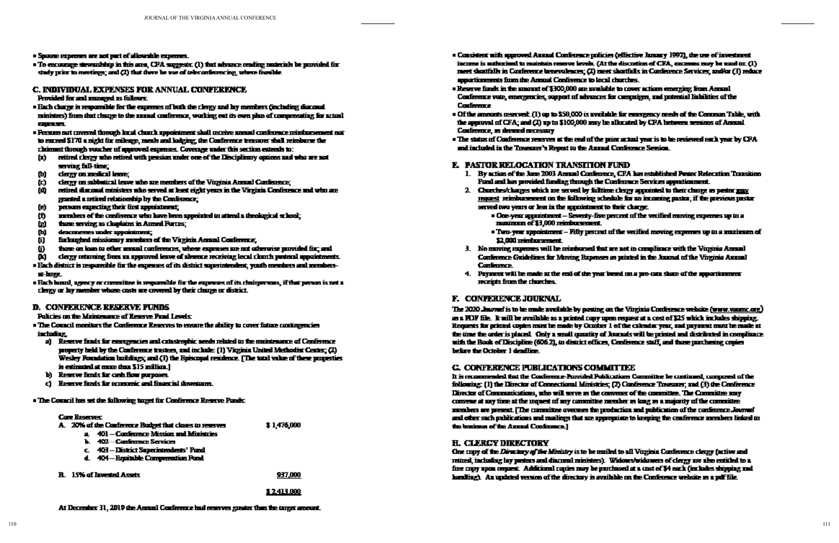- · Spouse expenses are not part of allowable expenses.
- . To encourage stewardship in this area, CFA suggests: (1) that advance reading materials be purvided for study prior to meetings; and  $\left( 2\right)$  that there be use of teleconferencing, where feasible.

#### **C. INDIVIDUAL EXPENSES FOR ANNUAL CONFERENCE** Provided for and managed as fullows:

- . Each charge is responsible for the expenses of both the clergy and by members (including diarcast ministers) from that charge to the annual conference, working out its own plan of compensating for actual 1001111
- . Persons not covered through local church appointment shall receive annual conference reinhorsement not to exceed \$170 a night for mileage, mesh and ladging; the Conference treasurer shall reimburge the claiment through youther of approved expenses. Coverage under this section extends to:
- retired clergy who retired with pension under one of the Disciplinary options and who are not O) serving full-time;
- dergy on medical lense; Ф.
- clergy on subbutical leave who are members of the Virginia Annual Conference; œ.
- retired dimensal ministers who served at least eight years in the Virginia Conference and who are 面 granted a retired relationship by the Conference;
- persons expecting their first appointment; Θ
- members of the conference who have been appointed to attend a theological school; 曲
- those serving as chaptains in Anmed Porces; 囱
- desceneres under appointment; œ,
- Ø. forbughed missionary members of the Virginia Annual Conference,
- those on loan to other monal conferences, whose expenses are not otherwise purvided for; and O.
- clergy returning from an approved leave of absence receiving local clurch pretoonl appointments. œ.
- . Each district is responsible for the expenses of its district superintendent, youth members and members-मं-माहर
- . Each board, agency or committee is responsible for the expresses of its chairpersons, if that person is not a clergy or by member whose casts are covered by their charge or district.

### **D. CONFERENCE RESERVE FUNDS**

### Policies on the Maintenance of Renewe Pund Levels:

. The Council manitors the Conference Reserves to ensure the shifty to cover future contingencies including.

- a) Reserve finds for emergencies and catastrophic needs related to the maintenance of Conference property held by the Conference trustees, and include: (1) Virginia United Methodist Center; (2) Wesley Foundation buildings; and (3) the Episcopal residence. [The total value of these properties is estimated at more than \$15 million.]
- b) Reserve finds for cash flow purposes.
- Reserve finds for economic and financial downtown. d.

. The Council has set the following target for Conference Reserve Funds:

### **Care Reserved**

|  | A. 20% of the Conference Budget that closes to reserver | \$1,475,000 |
|--|---------------------------------------------------------|-------------|
|  | a 401 – Conference Mission and Ministries               |             |
|  | b. 402 – Confirmate Services                            |             |
|  | c. 403-District Superintendents' Fund                   |             |
|  | d. 404 - Registable Compensation Pand                   |             |

**R** 15% of Invested A

### \$2413.000

937,000

- . Consistent with approved Annual Conference pulicies (effective January 1992), the use of investment income is authorized to maintain reserve levels. (At the discustion of CPA, excesses may be used to:  $(l)$ meet shortfalls in Conference benevolences; (2) meet shortfalls in Conference Services; and/or (3) reduce apportinements from the Annual Conference to local charches.
- . Reserve funds in the amount of \$300,000 are available to cover actions emerging from Annual Conference vate, emergencies, support of advances for companyes, and potential hidrities of the **Conference**
- . Of the amounts reserved: (1) up to \$50,000 is available for emergency mede of the Common Table, with the approval of  $CFA$ ; and  $(T)$  up to  $$100,000$  may be allocated by  $CFA$  between seemons of Annual Conference, as deserted more sony
- . The status of Conference reserves at the end of the print artical year is to be reviewed each year by CFA. and included in the Treasure's Report to the Annual Conference Service.

### **E. PASTOR RELOCATION TRANSITION FUND.**

- 1. By action of the June 2003 Annual Configuror, CFA has established Pentor Relocation Transition Ford and has provided funding through the Conference Services apportionment.
- 2. Charches/charges which are served by falltime clergy annuitated to their charge as pastor may request reimburgement on the following schedule for an incoming pastor, if the previous pastor served two years or less in the appointment to their charge.
	- maximum of \$3,000 reinbursement.
	- \$2,000 pendancement.
- 3. No moving expenses will be reimbursed that are not in compliance with the Virginia Annual Conference Guidelines for Moving Ropenses as printed in the Journal of the Virginia Annual **Conference**
- 4. Payment will be made at the end of the year bund on a pro-cata share of the upportionment receipts from the charches.

### F. CONFERENCE JOURNAL

The 2020 Jawren's to be made available by posting on the Virginia Conference website (www.yaumc.org) as a PDF file. It will be available as a printed copy upon request at a cost of \$25 which includes shipping. Requests for printed copies must be made by October 1 of the calendar year, and payment must be made at the time the order is placed. Cody a small quantity of Journals will be printed and distributed in complicance uith the Book of Discipline (606.2), to district offices, Conference staff, and those parchesing copies before the October 1 dendline.

### **G. CONFERENCE PUBLICATIONS COMMITTEE**

It is recommended that the Conference-Pannibel Publications Committee be continued, composed of the following: (1) the Director of Connectional Ministries; (2) Conference Treasurer; and (3) the Conference Eirector of Communications, who will serve as the convener of the committee. The Committee andy convene at say time at the request of any committee member as long as a majority of the committee. members are present. [The committee oversees the production and publication of the conference Journal and other such publications and mailings that are appropriate to loeping the conference members linked to the business of the Annual Conference.]

### **H. CLERCY DIRECTORY**

Case copy of the Directory of the Ministry is to be mailed to all Virginia Conference clergy (active and retired, including bay preters and diacoral ministers). Widows/widowers of clergy are also entitled to a free conv upon respect. Additional conjes mov be purchased at a cost of \$4 each furtheles shipping and harding). An updated version of the directory is available on the Conference website as a pdf file.

At December 31, 2019 the Annual Conference had reserves guarter than the target amount.

 $\bullet$  One-year appointment  $-$  Seventy-five percent of the verified moving expenses up to a

 $\bullet$  Top-year appointment  $-$  Fifty percent of the verified moving expenses up to a maximum of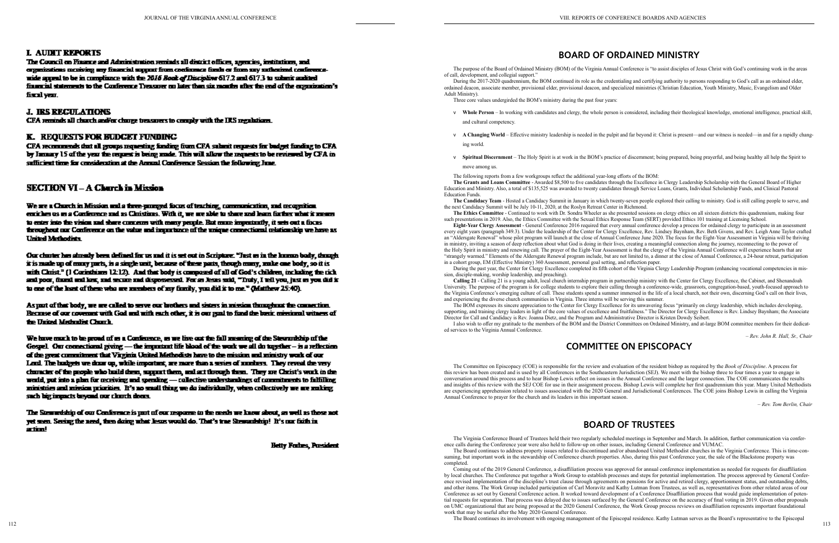### **L AUDIT REPORTS**

The Council on Finance and Administration reminds all district offices, agencies, institutions, and ergenizations receiving any financial support from conference funds or from say artherized conferenceuide appeal to be in compliance with the 2016 Book of Discipline 617.2 and 617.3 to submit audited financial statements to the Conference Treasurer on later than six months after the end of the cognization's fiscal year.

### **J. IRS RECULATIONS**

CFA reminds all church and/or charge treasurers to comply with the IRS negalations.

### **K. REQUESTS FOR BUDGET FUNDING**

CFA recommends that all groups requesting funding from CFA submit requests for budget funding to CFA by January 15 of the year the request is being made. This will allow the requests to be reviewed by CFA in sufficient time for consideration at the Annual Conference Session the following June.

### **SECTION VI - A Church in Mission**

We are a Church in Mission and a three-pamped facus of teaching, communication, and recognition. entither us as a Configure and as Christians. With it, we are able to share and hern for the what it means to enter into the vision and share concerns with many people. But more importantly, it sets out a faces throughout our Conference on the value and importance of the unique connectional relationship we have as **United Methodists** 

Our charter has already been defined for us and it is set out in Scripture. "Tast as in the luman bady, though it is made up of mony parts, is a single unit, because of these parts, though mony, ande one body, so it is with Cluist." (I Corinthians  $12:12$ ). And that body is compased of all of God's children, including the rich and poor, framd and lost, and secure and dispossessed. For as Jesus said, "Truty, I tell you, just us you did it to one of the least of these who are members of my family, you did it to me." (Matthew  $25:40$ ).

As part of that body, we are called to serve our brothers and sisters in mission throughout the connection. Recause of our coverant with God and with each other, it is our goal to fund the busic minimul witness of the United Methodist Church.

We have much to be proud of us a Conference, us we live out the fall meaning of the Stewardship of the Gospel. Our connectional giving - the impartant life blood of the work we all do together - is a reflection of the great commitment that Virginia United Methodists have to the mission and ministry work of our Lord. The budgets we dow up, while important, are more than a series of numbers. They reveal the very character of the people who build them, support them, and sat through them. They are Christ's work in the world, put into a plan for receiving and spending - collective understandings of commitments to falfilling ministries and mission priorities. It's no small thing we do individually, when collectively we are making such big impacts beyond our clouch doms.

The Stemuckship of our Conference is part of our response to the meda we know about, as well as those not yet seen. Seeing the need, then doing what liesus would do. That's trae Stewardship! It's our ficit: in artim!

**Heity Frahes, President** 

The purpose of the Board of Ordained Ministry (BOM) of the Virginia Annual Conference is "to assist disciples of Jesus Christ with God's continuing work in the areas of call, development, and collegial support.'

# **BOARD OF ORDAINED MINISTRY**

During the 2017-2020 quadrennium, the BOM continued its role as the credentialing and certifying authority to persons responding to God's call as an ordained elder, ordained deacon, associate member, provisional elder, provisional deacon, and specialized ministries (Christian Education, Youth Ministry, Music, Evangelism and Older Adult Ministry).

v **Whole Person** – In working with candidates and clergy, the whole person is considered, including their theological knowledge, emotional intelligence, practical skill,

- Three core values undergirded the BOM's ministry during the past four years:
- and cultural competency.
- ing world.
- 

v **A Changing World** – Effective ministry leadership is needed in the pulpit and far beyond it: Christ is present—and our witness is needed—in and for a rapidly chang -

v **Spiritual Discernment** – The Holy Spirit is at work in the BOM's practice of discernment; being prepared, being prayerful, and being healthy all help the Spirit to

#### move among us.

The following reports from a few workgroups reflect the additional year-long efforts of the BOM: **The Grants and Loans Committee** - Awarded \$8,500 to five candidates through the Excellence in Clergy Leadership Scholarship with the General Board of Higher Education and Ministry. Also, a total of \$135,525 was awarded to twenty candidates through Service Loans, Grants, Individual Scholarship Funds, and Clinical Pastoral Education Funds.

**The Candidacy Team** - Hosted a Candidacy Summit in January in which twenty-seven people explored their calling to ministry. God is still calling people to serve, and the next Candidacy Summit will be July 10-11, 2020, at the Roslyn Retreat Center in Richmond.

**The Ethics Committee** - Continued to work with Dr. Sondra Wheeler as she presented sessions on clergy ethics on all sixteen districts this quadrennium, making four such presentations in 2019. Also, the Ethics Committee with the Sexual Ethics Response Team (SERT) provided Ethics 101 training at Licensing School.

**Eight-Year Clergy Assessment** - General Conference 2016 required that every annual conference develop a process for ordained clergy to participate in an assessment every eight years (paragraph 349.3). Under the leadership of the Center for Clergy Excellence, Rev. Lindsey Baynham, Rev. Beth Givens, and Rev. Leigh Anne Taylor crafted an "Aldersgate Renewal" whose pilot program will launch at the close of Annual Conference June 2020. The focus for the Eight-Year Assessment in Virginia will be thriving in ministry, inviting a season of deep reflection about what God is doing in their lives, creating a meaningful connection along the journey, reconnecting to the power of the Holy Spirit in ministry and renewing call. The prayer of the Eight-Year Assessment is that the clergy of the Virginia Annual Conference will experience hearts that are "strangely warmed." Elements of the Aldersgate Renewal program include, but are not limited to, a dinner at the close of Annual Conference, a 24-hour retreat, participation in a cohort group, EM (Effective Ministry) 360 Assessment, personal goal setting, and reflection paper.

During the past year, the Center for Clergy Excellence completed its fifth cohort of the Virginia Clergy Leadership Program (enhancing vocational competencies in mis sion, disciple-making, worship leadership, and preaching).

 $112$ The Board continues its involvement with ongoing management of the Episcopal residence. Kathy Lutman serves as the Board's representative to the Episcopal

**Calling 21** - Calling 21 is a young adult, local church internship program in partnership ministry with the Center for Clergy Excellence, the Cabinet, and Shenandoah University. The purpose of the program is for college students to explore their calling through a conference-wide, grassroots, congregation-based, youth-focused approach to the Virginia Conference's emerging culture of call. These students spend a summer immersed in the life of a local church, not their own, discerning God's call on their lives, and experiencing the diverse church communities in Virginia. Three interns will be serving this summer.

The BOM expresses its sincere appreciation to the Center for Clergy Excellence for its unwavering focus "primarily on clergy leadership, which includes developing, supporting, and training clergy leaders in light of the core values of excellence and fruitfulness." The Director for Clergy Excellence is Rev. Lindsey Baynham; the Associate Director for Call and Candidacy is Rev. Joanna Dietz, and the Program and Administrative Director is Kristen Dowdy Seibert. I also wish to offer my gratitude to the members of the BOM and the District Committees on Ordained Ministry, and at-large BOM committee members for their dedicat -

ed services to the Virginia Annual Conference.

*– Rev. John R. Hall, Sr., Chair*

## **COMMITTEE ON EPISCOPACY**

The Committee on Episcopacy (COE) is responsible for the review and evaluation of the resident bishop as required by the *Book of Discipline*. A process for this review has been created and is used by all Conferences in the Southeastern Jurisdiction (SEJ). We meet with the bishop three to four times a year to engage in conversation around this process and to hear Bishop Lewis reflect on issues in the Annual Conference and the larger connection. The COE communicates the results and insights of this review with the SEJ COE for use in their assignment process. Bishop Lewis will complete her first quadrennium this year. Many United Methodists are experiencing apprehension related to issues associated with the 2020 General and Jurisdictional Conferences. The COE joins Bishop Lewis in calling the Virginia Annual Conference to prayer for the church and its leaders in this important season.

*– Rev. Tom Berlin, Chair*

## **BOARD OF TRUSTEES**

The Virginia Conference Board of Trustees held their two regularly scheduled meetings in September and March. In addition, further communication via confer ence calls during the Conference year were also held to follow-up on other issues, including General Conference and VUMAC. The Board continues to address property issues related to discontinued and/or abandoned United Methodist churches in the Virginia Conference. This is time-con suming, but important work in the stewardship of Conference church properties. Also, during this past Conference year, the sale of the Blackstone property was completed.

Coming out of the 2019 General Conference, a disaffiliation process was approved for annual conference implementation as needed for requests for disaffiliation by local churches. The Conference put together a Work Group to establish processes and steps for potential implementation. The process approved by General Confer ence revised implementation of the discipline's trust clause through agreements on pensions for active and retired clergy, apportionment status, and outstanding debts, and other items. The Work Group included participation of Carl Moravitz and Kathy Lutman from Trustees, as well as, representatives from other related areas of our Conference as set out by General Conference action. It worked toward development of a Conference Disaffiliation process that would guide implementation of poten tial requests for separation. That process was delayed due to issues surfaced by the General Conference on the accuracy of final voting in 2019. Given other proposals on UMC organizational that are being proposed at the 2020 General Conference, the Work Group process reviews on disaffiliation represents important foundational work that may be useful after the May 2020 General Conference.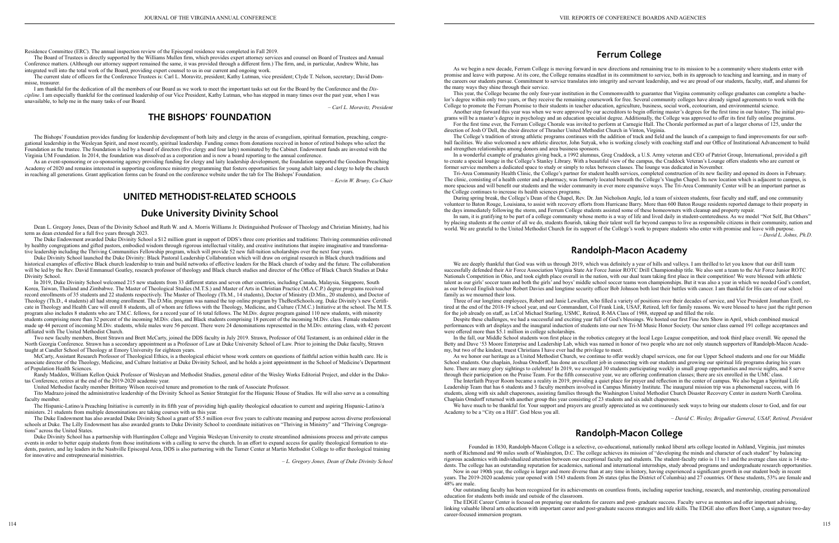Residence Committee (ERC). The annual inspection review of the Episcopal residence was completed in Fall 2019.

The Board of Trustees is directly supported by the Williams Mullen firm, which provides expert attorney services and counsel on Board of Trustees and Annual Conference matters. (Although our attorney support remained the same, it was provided through a different firm.) The firm, and, in particular, Andrew White, has integrated well into the total work of the Board, providing expert counsel to us in our current and ongoing work.

The current slate of officers for the Conference Trustees is: Carl L. Moravitz, president; Kathy Lutman, vice president; Clyde T. Nelson, secretary; David Dommisse, treasurer.

I am thankful for the dedication of all the members of our Board as we work to meet the important tasks set out for the Board by the Conference and the *Discipline*. I am especially thankful for the continued leadership of our Vice President, Kathy Lutman, who has stepped in many times over the past year, when I was unavailable, to help me in the many tasks of our Board.

As an event-sponsoring or co-sponsoring agency providing funding for clergy and laity leadership development, the foundation supported the Goodson Preaching Academy of 2020 and remains interested in supporting conference ministry programming that fosters opportunities for young adult laity and clergy to help the church in reaching all generations. Grant application forms can be found on the conference website under the tab for The Bishops' Foundation.

*– Carl L. Moravitz, President*

## **THE BISHOPS' FOUNDATION**

The Bishops' Foundation provides funding for leadership development of both laity and clergy in the areas of evangelism, spiritual formation, preaching, congregational leadership in the Wesleyan Spirit, and most recently, spiritual leadership. Funding comes from donations received in honor of retired bishops who select the Foundation as the trustee. The foundation is led by a board of directors (five clergy and four laity) nominated by the Cabinet. Endowment funds are invested with the Virginia UM Foundation. In 2014, the foundation was dissolved as a corporation and is now a board reporting to the annual conference.

Duke Divinity School launched the Duke Divinity: Black Pastoral Leadership Collaboration which will draw on original research in Black church traditions and historical examples of effective Black church leadership to train and build networks of effective leaders for the Black church of today and the future. The collaboration will be led by the Rev. David Emmanuel Goatley, research professor of theology and Black church studies and director of the Office of Black Church Studies at Duke Divinity School.

*– Kevin W. Bruny, Co-Chair*

## **UNITED METHODIST-RELATED SCHOOLS**

## **Duke University Divinity School**

Dean L. Gregory Jones, Dean of the Divinity School and Ruth W. and A. Morris Williams Jr. Distinguished Professor of Theology and Christian Ministry, had his term as dean extended for a full five years through 2023.

The Duke Endowment awarded Duke Divinity School a \$12 million grant in support of DDS's three core priorities and traditions: Thriving communities enlivened by healthy congregations and gifted pastors, embodied wisdom through rigorous intellectual vitality, and creative institutions that inspire imaginative and transformative leadership including the Thriving Communities Fellowship program, which will provide 52 new full-tuition scholarships over the next four years.

In 2019, Duke Divinity School welcomed 215 new students from 33 different states and seven other countries, including Canada, Malaysia, Singapore, South Korea, Taiwan, Thailand and Zimbabwe. The Master of Theological Studies (M.T.S.) and Master of Arts in Christian Practice (M.A.C.P.) degree programs received record enrollments of 35 students and 22 students respectively. The Master of Theology (Th.M., 14 students), Doctor of Ministry (D.Min., 20 students), and Doctor of Theology (Th.D., 4 students) all had strong enrollment. The D.Min. program was named the top online program by TheBestSchools.org. Duke Divinity's new Certificate in Theology and Health Care will enroll 8 students, all of whom are fellows with the Theology, Medicine, and Culture (T.M.C.) Initiative at the school. The M.T.S. program also includes 8 students who are T.M.C. fellows, for a record year of 16 total fellows. The M.Div. degree program gained 110 new students, with minority students comprising more than 32 percent of the incoming M.Div. class, and Black students comprising 18 percent of the incoming M.Div. class. Female students made up 44 percent of incoming M.Div. students, while males were 56 percent. There were 24 denominations represented in the M.Div. entering class, with 42 percent affiliated with The United Methodist Church.

Two new faculty members, Brent Strawn and Brett McCarty, joined the DDS faculty in July 2019. Strawn, Professor of Old Testament, is an ordained elder in the North Georgia Conference. Strawn has a secondary appointment as a Professor of Law at Duke University School of Law. Prior to joining the Duke faculty, Strawn taught at Candler School of Theology at Emory University for eighteen years.

McCarty, Assistant Research Professor of Theological Ethics, is a theological ethicist whose work centers on questions of faithful action within health care. He is associate director of the Theology, Medicine, and Culture Initiative at Duke Divinity School, and he holds a joint appointment in the School of Medicine's Department of Population Health Sciences.

Randy Maddox, William Kellon Quick Professor of Wesleyan and Methodist Studies, general editor of the Wesley Works Editorial Project, and elder in the Dakotas Conference, retires at the end of the 2019-2020 academic year.

United Methodist faculty member Brittany Wilson received tenure and promotion to the rank of Associate Professor.

Tito Madrazo joined the administrative leadership of the Divinity School as Senior Strategist for the Hispanic House of Studies. He will also serve as a consulting faculty member.

We are deeply thankful that God was with us through 2019, which was definitely a year of hills and valleys. I am thrilled to let you know that our drill team successfully defended their Air Force Association Virginia State Air Force Junior ROTC Drill Championship title. We also sent a team to the Air Force Junior ROTC Nationals Competition in Ohio, and took eighth place overall in the nation, with our dual team taking first place in their competition! We were blessed with athletic talent as our girls' soccer team and both the girls' and boys' middle school soccer teams won championships. But it was also a year in which we needed God's comfort, as our beloved English teacher Robert Davies and longtime security officer Bob Johnson both lost their battles with cancer. I am thankful for His care of our school family as we mourned their loss.

The Hispanic-Latino/a Preaching Initiative is currently in its fifth year of providing high quality theological education to current and aspiring Hispanic-Latino/a ministers. 21 students from multiple denominations are taking courses with us this year.

The Duke Endowment has also awarded Duke Divinity School a grant of \$5.5 million over five years to cultivate meaning and purpose across diverse professional schools at Duke. The Lilly Endowment has also awarded grants to Duke Divinity School to coordinate initiatives on "Thriving in Ministry" and "Thriving Congregations" across the United States.

Duke Divinity School has a partnership with Huntingdon College and Virginia Wesleyan University to create streamlined admissions process and private campus events in order to better equip students from those institutions with a calling to serve the church. In an effort to expand access for quality theological formation to students, pastors, and lay leaders in the Nashville Episcopal Area, DDS is also partnering with the Turner Center at Martin Methodist College to offer theological training for innovative and entrepreneurial ministries.

*– L. Gregory Jones, Dean of Duke Divinity School*

## **Ferrum College**

As we begin a new decade, Ferrum College is moving forward in new directions and remaining true to its mission to be a community where students enter with promise and leave with purpose. At its core, the College remains steadfast in its commitment to service, both in its approach to teaching and learning, and in many of the careers our students pursue. Commitment to service translates into integrity and servant leadership, and we are proud of our students, faculty, staff, and alumni for the many ways they shine through their service.

This year, the College became the only four-year institution in the Commonwealth to guarantee that Virgina community college graduates can complete a bachelor's degree within only two years, or they receive the remaining coursework for free. Several community colleges have already signed agreements to work with the College to promote the Ferrum Promise to their students in teacher education, agriculture, business, social work, ecotourism, and environmental science.

Another step forward this year was when we were approved by our accreditors to begin offering master's degrees for the first time in our history. The initial programs will be a master's degree in psychology and an education specialist degree. Additionally, the College was approved to offer its first fully online programs. For the first time ever, the Ferrum College Chorale was invited to perform at Carnegie Hall. The Chorale performed as part of a larger chorus of 125, under the

direction of Josh O'Dell, the choir director of Thrasher United Methodist Church in Vinton, Virginia.

The College's tradition of strong athletic programs continues with the addition of track and field and the launch of a campaign to fund improvements for our softball facilities. We also welcomed a new athletic director, John Sutyak, who is working closely with coaching staff and our Office of Institutional Advancement to build and strengthen relationships among donors and area business sponsors.

In a wonderful example of graduates giving back, a 1992 alumnus, Greg Craddock, a U.S. Army veteran and CEO of Patriot Group, International, provided a gift to create a special lounge in the College's Stanley Library. With a beautiful view of the campus, the Craddock Veteran's Lounge offers students who are current or former service members a dedicated space to study or simply to relax between classes. The lounge was dedicated in November.

Tri-Area Community Health Clinic, the College's partner for student health services, completed construction of its new facility and opened its doors in February. The clinic, consisting of a health center and a pharmacy, was formerly located beneath the College's Vaughn Chapel. Its new location which is adjacent to campus, is more spacious and will benefit our students and the wider community in ever more expansive ways. The Tri-Area Community Center will be an important partner as the College continues to increase its health sciences programs.

During spring break, the College's Dean of the Chapel, Rev. Dr. Jan Nicholson Angle, led a team of sixteen students, four faculty and staff, and one community volunteer to Baton Rouge, Louisiana, to assist with recovery efforts from Hurricane Barry. More than 600 Baton Rouge residents reported damage to their property in the days immediately following the storm, and Ferrum College students assisted some of these homeowners with cleanup and property repair.

In sum, it is gratifying to be part of a college community whose motto is a way of life and lived daily in student-centeredness. As we model "Not Self, But Others" by placing students at the center of all we do, students flourish, taking their talent well far beyond campus to live as responsibile citizens in their community, nation and world. We are grateful to the United Methodist Church for its support of the College's work to prepare students who enter with promise and leave with purpose.

*– David L. Johns, Ph.D.* 

## **Randolph-Macon Academy**

Three of our longtime employees, Robert and Janie Lewallen, who filled a variety of positions over their decades of service, and Vice President Jonathan Ezell, retired at the end of the 2018-19 school year, and our Commandant, Col Frank Link, USAF, Retired, left for family reasons. We were blessed to have just the right person for the job already on staff, as LtCol Michael Starling, USMC, Retired, R-MA Class of 1988, stepped up and filled the role.

Despite these challenges, we had a successful and exciting year full of God's blessings. We hosted our first Fine Arts Show in April, which combined musical performances with art displays and the inaugural induction of students into our new Tri-M Music Honor Society. Our senior class earned 191 college acceptances and were offered more than \$5.1 million in college scholarships.

In the fall, our Middle School students won first place in the robotics category at the local Lego League competition, and took third place overall. We opened the Betty and Dave '53 Moore Enterprise and Leadership Lab, which was named in honor of two people who are not only staunch supporters of Randolph-Macon Academy, but two of the kindest, truest Christians I have ever had the privilege to meet.

As we honor our heritage as a United Methodist Church, we continue to offer weekly chapel services, one for our Upper School students and one for our Middle School students. Our chaplain, Joshua Orndorff, has done an excellent job in connecting with our students and growing our spiritual life programs during his years here. There are many glory sightings to celebrate! In 2019, we averaged 30 students participating weekly in small group opportunities and movie nights, and 8 serve through their participation on the Praise Team. For the fifth consecutive year, we are offering confirmation classes; there are six enrolled in the UMC class.

The Interfaith Prayer Room became a reality in 2019, providing a quiet place for prayer and reflection in the center of campus. We also began a Spiritual Life Leadership Team that has 6 students and 3 faculty members involved in Campus Ministry Institute. The inaugural mission trip was a phenomenal success, with 16 students, along with six adult chaperones, assisting families through the Washington United Methodist Church Disaster Recovery Center in eastern North Carolina. Chaplain Orndorff returned with another group this year consisting of 23 students and six adult chaperones.

We have much to be thankful for. Your support and prayers are greatly appreciated as we continuously seek ways to bring our students closer to God, and for our Academy to be a "City on a Hill". God bless you all.

*– David C. Wesley, Brigadier General, USAF, Retired, President*

# **Randolph-Macon College**

Founded in 1830, Randolph-Macon College is a selective, co-educational, nationally ranked liberal arts college located in Ashland, Virginia, just minutes north of Richmond and 90 miles south of Washington, D.C. The college achieves its mission of "developing the minds and character of each student" by balancing rigorous academics with individualized attention between our exceptional faculty and students. The student-faculty ratio is 11 to 1 and the average class size is 14 students. The college has an outstanding reputation for academics, national and international internships, study abroad programs and undergraduate research opportunities. Now in our 190th year, the college is larger and more diverse than at any time in history, having experienced a significant growth in our student body in recent years. The 2019-2020 academic year opened with 1543 students from 26 states (plus the District of Columbia) and 27 countries. Of these students, 53% are female and

48% are male.

Our outstanding faculty has been recognized for its achievements on countless fronts, including superior teaching, research, and mentorship, creating personalized education for students both inside and outside of the classroom.

The EDGE Career Center is focused on preparing our students for careers and post- graduate success. Faculty serve as mentors and offer important advising, linking valuable liberal arts education with important career and post-graduate success strategies and life skills. The EDGE also offers Boot Camp, a signature two-day career-focused immersion program.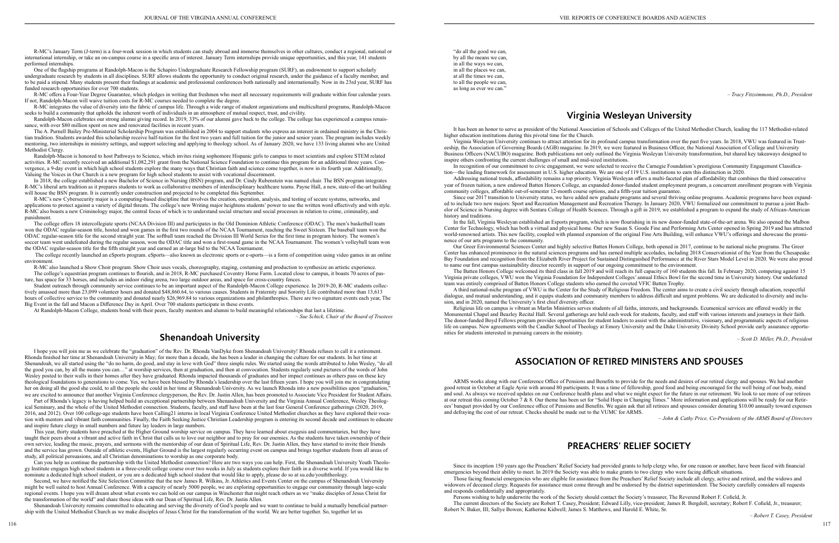R-MC's January Term (J-term) is a four-week session in which students can study abroad and immerse themselves in other cultures, conduct a regional, national or international internship, or take an on-campus course in a specific area of interest. January Term internships provide unique opportunities, and this year, 141 students performed internships.

One of the flagship programs at Randolph-Macon is the Schapiro Undergraduate Research Fellowship program (SURF), an endowment to support scholarly undergraduate research by students in all disciplines. SURF allows students the opportunity to conduct original research, under the guidance of a faculty member, and to be paid a stipend. Many students present their findings at academic and professional conferences both nationally and internationally. Now in its 23rd year, SURF has funded research opportunities for over 700 students.

R-MC offers a Four-Year Degree Guarantee, which pledges in writing that freshmen who meet all necessary requirements will graduate within four calendar years. If not, Randolph-Macon will waive tuition costs for R-MC courses needed to complete the degree.

R-MC integrates the value of diversity into the fabric of campus life. Through a wide range of student organizations and multicultural programs, Randolph-Macon seeks to build a community that upholds the inherent worth of individuals in an atmosphere of mutual respect, trust, and civility.

Randolph-Macon celebrates our strong alumni giving record. In 2019, 33% of our alumni gave back to the college. The college has experienced a campus renaissance, with over \$80 million spent on new and renovated facilities in recent years.

In 2018, the college established a new Bachelor of Science in Nursing (BSN) program, and Dr. Cindy Rubenstein was named chair. The BSN program integrates R-MC's liberal arts tradition as it prepares students to work as collaborative members of interdisciplinary healthcare teams. Payne Hall, a new, state-of-the-art building will house the BSN program. It is currently under construction and projected to be completed this September.

The A. Purnell Bailey Pre-Ministerial Scholarship Program was established in 2004 to support students who express an interest in ordained ministry in the Christian tradition. Students awarded this scholarship receive half-tuition for the first two years and full tuition for the junior and senior years. The program includes weekly mentoring, two internships in ministry settings, and support selecting and applying to theology school. As of January 2020, we have 133 living alumni who are United Methodist Clergy.

Randolph-Macon is honored to host Pathways to Science, which invites rising sophomore Hispanic girls to campus to meet scientists and explore STEM related activities. R-MC recently received an additional \$1,082,291 grant from the National Science Foundation to continue this program for an additional three years. Convergence, a 9-day event in which high school students explore the many ways that Christian faith and science come together, is now in its fourth year. Additionally, Valuing the Voices in Our Church is a new program for high school students to assist with vocational discernment.

R-MC also launched a Show Choir program. Show Choir uses vocals, choreography, staging, costuming and production to synthesize an artistic experience. The college's equestrian program continues to flourish, and in 2018, R-MC purchased Coventry Horse Farm. Located close to campus, it boasts 70 acres of pasture, has space for 33 horses, and includes an indoor riding arena, two large outdoor areas, and space for cross-country fences.

R-MC's new Cybersecurity major is a computing-based discipline that involves the creation, operation, analysis, and testing of secure systems, networks, and applications to protect against a variety of digital threats. The college's new Writing major heightens students' power to use the written word effectively and with style. R-MC also boasts a new Criminology major, the central focus of which is to understand social structure and social processes in relation to crime, criminality, and punishment.

The college offers 18 intercollegiate sports (NCAA Division III) and participates in the Old Dominion Athletic Conference (ODAC). The men's basketball team won the ODAC regular-season title, hosted and won games in the first two rounds of the NCAA Tournament, reaching the Sweet Sixteen. The baseball team won the ODAC regular-season title for the second straight year. The softball team reached the Division III World Series for the first time in program history. The women's soccer team went undefeated during the regular season, won the ODAC title and won a first-round game in the NCAA Tournament. The women's volleyball team won the ODAC regular-season title for the fifth straight year and earned an at-large bid to the NCAA Tournament.

 The college recently launched an eSports program. eSports—also known as electronic sports or e-sports—is a form of competition using video games in an online environment.

Student outreach through community service continues to be an important aspect of the Randolph-Macon College experience. In 2019-20, R-MC students collectively amassed more than 23,099 volunteer hours and donated \$48,860.64, to various causes. Students in Fraternity and Sorority Life contributed more than 13,613 hours of collective service to the community and donated nearly \$26,969.84 to various organizations and philanthropies. There are two signature events each year, The Big Event in the fall and Macon a Difference Day in April. Over 700 students participate in these events.

At Randolph-Macon College, students bond with their peers, faculty mentors and alumni to build meaningful relationships that last a lifetime.

*– Sue Schick, Chair of the Board of Trustees*

## **Shenandoah University**

I hope you will join me as we celebrate the "graduation" of the Rev. Dr. Rhonda VanDyke from Shenandoah University! Rhonda refuses to call it a retirement. Rhonda finished her time at Shenandoah University in May; for more than a decade, she has been a leader in changing the culture for our students. In her time at Shenandoah, we all started using the "do no harm, do good, and stay in love with God" three simple rules. We started using the words attributed to John Wesley, "do all the good you can, by all the means you can…" at worship services, then at graduation, and then at convocation. Students regularly send pictures of the words of John Wesley posted to their walls in their homes after they have graduated. Rhonda impacted thousands of graduates and her impact continues as others pass on these key theological foundations to generations to come. Yes, we have been blessed by Rhonda's leadership over the last fifteen years. I hope you will join me in congratulating her on doing all the good she could, to all the people she could in her time at Shenandoah University. As we launch Rhonda into a new possibilities upon "graduation," we are excited to announce that another Virginia Conference clergyperson, the Rev. Dr. Justin Allen, has been promoted to Associate Vice President for Student Affairs.

Part of Rhonda's legacy is having helped build an exceptional partnership between Shenandoah University and the Virginia Annual Conference, Wesley Theological Seminary, and the whole of the United Methodist connection. Students, faculty, and staff have been at the last four General Conference gatherings (2020, 2019, 2016, and 2012). Over 100 college-age students have been Calling21 interns in local Virginia Conference United Methodist churches as they have explored their vocation with mentors and vibrant faith communities. Finally, the Faith Seeking Justice Christian Leadership program is entering its second decade and continues to educate and inspire future clergy in small numbers and future lay leaders in large numbers.

This year, thirty students have preached at the Higher Ground worship service on campus. They have learned about exegesis and commentaries, but they have taught their peers about a vibrant and active faith in Christ that calls us to love our neighbor and to pray for our enemies. As the students have taken ownership of their own service, leading the music, prayers, and sermons with the mentorship of our dean of Spiritual Life, Rev. Dr. Justin Allen, they have started to invite their friends and the service has grown. Outside of athletic events, Higher Ground is the largest regularly occurring event on campus and brings together students from all areas of study, all political persuasions, and all Christian denominations to worship as one corporate body.

Can you help us continue the partnership with the United Methodist connection? Here are two ways you can help. First, the Shenandoah University Youth Theology Institute engages high school students in a three-credit college course over two weeks in July as students explore their faith in a diverse world. If you would like to nominate a dedicated high school student, or you are a dedicated high school student that would like to apply, please do so at su.edu/youththeology.

Second, we have notified the Site Selection Committee that the new James R. Wilkins, Jr. Athletics and Events Center on the campus of Shenandoah University might be well suited to host Annual Conference. With a capacity of nearly 5000 people, we are exploring opportunities to engage our community through large-scale regional events. I hope you will dream about what events we can hold on our campus in Winchester that might reach others as we "make disciples of Jesus Christ for the transformation of the world" and share those ideas with our Dean of Spiritual Life, Rev. Dr. Justin Allen.

Shenandoah University remains committed to educating and serving the diversity of God's people and we want to continue to build a mutually beneficial partnership with the United Methodist Church as we make disciples of Jesus Christ for the transformation of the world. We are better together. So, together let us

"do all the good we can, by all the means we can, in all the ways we can, in all the places we can, at all the times we can, to all the people we can, as long as ever we can."

*– Tracy Fitzsimmons, Ph.D., President*

# **Virginia Wesleyan University**

It has been an honor to serve as president of the National Association of Schools and Colleges of the United Methodist Church, leading the 117 Methodist-related higher education institutions during this pivotal time for the Church.

Virginia Wesleyan University continues to attract attention for its profound campus transformation over the past five years. In 2018, VWU was featured in Trusteeship, the Association of Governing Boards (AGB) magazine. In 2019, we were featured in Business Officer, the National Association of College and University Business Officers (NACUBO) magazine. Both publications not only outlined the Virginia Wesleyan University transformation, but shared key takeaways designed to inspire others confronting the current challenges of small and mid-sized institutions.

In recognition of our commitment to civic engagement, we were selected to receive the Carnegie Foundation's prestigious Community Engagement Classification—the leading framework for assessment in U.S. higher education. We are one of 119 U.S. institutions to earn this distinction in 2020. Addressing national trends, affordability remains a top priority. Virginia Wesleyan offers a multi-faceted plan of affordability that combines the third consecutive year of frozen tuition, a new endowed Batten Honors College, an expanded donor-funded student employment program, a concurrent enrollment program with Virginia community colleges, affordable out-of-semester 12-month course options, and a fifth-year tuition guarantee.

Since our 2017 transition to University status, we have added new graduate programs and several thriving online programs. Academic programs have been expanded to include two new majors: Sport and Recreation Management and Recreation Therapy. In January 2020, VWU formalized our commitment to pursue a joint Bachelor of Science in Nursing degree with Sentara College of Health Sciences. Through a gift in 2019, we established a program to expand the study of African-American history and traditions.

In the fall, Virginia Wesleyan established an Esports program, which is now flourishing in its new donor-funded state-of-the-art arena. We also opened the Malbon Center for Technology, which has both a virtual and physical home. Our new Susan S. Goode Fine and Performing Arts Center opened in Spring 2019 and has attracted world-renowned artists. This new facility, coupled with planned expansion of the original Fine Arts Building, will enhance VWU's offerings and showcase the prominence of our arts programs to the community.

Our Greer Environmental Sciences Center and highly selective Batten Honors College, both opened in 2017, continue to be national niche programs. The Greer Center has enhanced prominence in the natural sciences programs and has earned multiple accolades, including 2018 Conservationist of the Year from the Chesapeake Bay Foundation and recognition from the Elizabeth River Project for Sustained Distinguished Performance at the River Stars Model Level in 2020. We were also proud to name our first campus sustainability director recently in support of our ongoing commitment to the environment.

The Batten Honors College welcomed its third class in fall 2019 and will reach its full capacity of 160 students this fall. In February 2020, competing against 15 Virginia private colleges, VWU won the Virginia Foundation for Independent Colleges' annual Ethics Bowl for the second time in University history. Our undefeated team was entirely comprised of Batten Honors College students who earned the coveted VFIC Batten Trophy.

A third national-niche program of VWU is the Center for the Study of Religious Freedom. The center aims to create a civil society through education, respectful dialogue, and mutual understanding, and it equips students and community members to address difficult and urgent problems. We are dedicated to diversity and inclusion, and in 2020, named the University's first chief diversity officer.

Religious life on campus is vibrant as Marlin Ministries serves students of all faiths, interests, and backgrounds. Ecumenical services are offered weekly in the Monumental Chapel and Beazley Recital Hall. Several gatherings are held each week for students, faculty, and staff with various interests and journeys in their faith. The donor-funded Boyd Fellows program provides opportunities for student leaders to assist with the administrative, visionary, and programmatic aspects of religious life on campus. New agreements with the Candler School of Theology at Emory University and the Duke University Divinity School provide early assurance opportunities for students interested in pursuing careers in the ministry.

*– Scott D. Miller, Ph.D., President*

## **ASSOCIATION OF RETIRED MINISTERS AND SPOUSES**

ARMS works along with our Conference Office of Pensions and Benefits to provide for the needs and desires of our retired clergy and spouses. We had another good retreat in October at Eagle Ayrie with around 80 participants. It was a time of fellowship, good food and being encouraged for the well being of our body, mind and soul. As always we received updates on our Conference health plans and what we might expect for the future in our retirement. We look to see more of our retirees at our retreat this coming October 7 & 8. Our theme has been set for "Solid Hope in Changing Times." More information and applications will be ready for our Retirees' banquet provided by our Conference office of Pensions and Benefits. We again ask that all retirees and spouses consider donating \$10.00 annually toward expenses and defraying the cost of our retreat. Checks should be made out to the VUMC for ARMS.

*– John & Cathy Price, Co-Presidents of the ARMS Board of Directors*

## **PREACHERS' RELIEF SOCIETY**

Since its inception 150 years ago the Preachers' Relief Society had provided grants to help clergy who, for one reason or another, have been faced with financial emergencies beyond their ability to meet. In 2019 the Society was able to make grants to two clergy who were facing difficult situations. Those facing financial emergencies who are eligible for assistance from the Preachers' Relief Society include all clergy, active and retired, and the widows and

widowers of deceased clergy. Requests for assistance must come through and be endorsed by the district superintendent. The Society carefully considers all requests and responds confidentially and appropriately.

Persons wishing to help underwrite the work of the Society should contact the Society's treasurer, The Reverend Robert F. Cofield, Jr. The current directors of the Society are Robert T. Casey, President; Edward Lilly, vice-president; James R. Bergdoll, secretary; Robert F. Cofield, Jr., treasurer; Robert N. Baker, III; Sallye Bowen; Katherine Kidwell; James S. Matthews, and Harold E. White, Sr.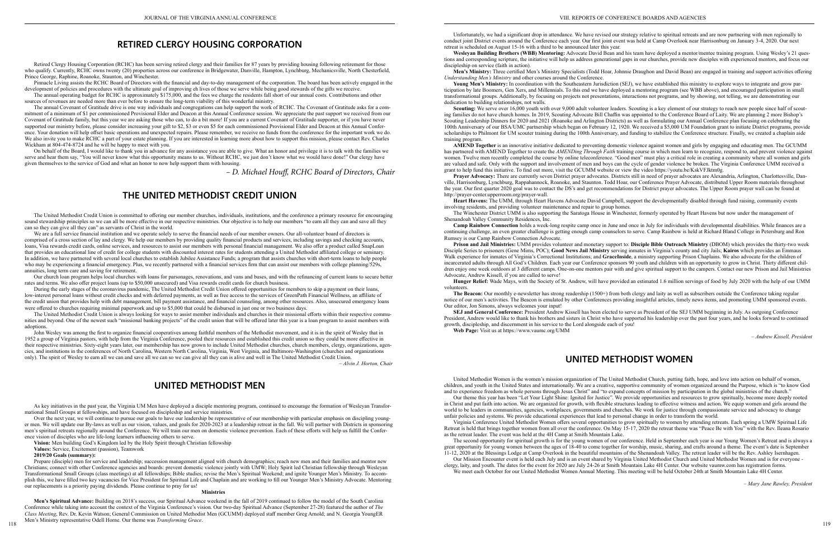## **RETIRED CLERGY HOUSING CORPORATION**

Pinnacle Living assists the RCHC Board of Directors with the financial and day-to-day management of the corporation. The board has been actively engaged in the development of policies and procedures with the ultimate goal of improving eh lives of those we serve while being good stewards of the gifts we receive.

Retired Clergy Housing Corporation (RCHC) has been serving retired clergy and their families for 87 years by providing housing following retirement for those who qualify. Currently, RCHC owns twenty (20) properties across our conference in Bridgewater, Danville, Hampton, Lynchburg, Mechanicsville, North Chesterfield, Prince George, Raphine, Roanoke, Staunton, and Winchester.

The annual operating budget for RCHC is approximately \$175,000, and the fees we charge the residents fall short of our annual costs. Contributions and other sources of revenues are needed more than ever before to ensure the long-term viability of this wonderful ministry.

The annual Covenant of Gratitude drive is one way individuals and congregations can help support the work of RCHC. The Covenant of Gratitude asks for a commitment of a minimum of \$1 per commissioned Provisional Elder and Deacon at this Annual Conference session. We appreciate the past support we received from our Covenant of Gratitude family, but this year we are asking those who can, to do a bit more! If you are a current Covenant of Gratitude supporter, or if you have never supported our ministry before, please consider increasing your gift to \$2, \$3 or even \$5 for each commissioned Provisional Elder and Deacon at this Annual Conference. Your donation will help offset basic operations and unexpected repairs. Please remember, we receive no funds from the conference for the important work we do. We also invite you to make RCHC a part of your estate planning. If you are interested in learning more about how to support this mission, please contact Rev. Charles Wickham at 804-474-8724 and he will be happy to meet with you.

We are a full service financial institution and we operate solely to serve the financial needs of our member owners. Our all-volunteer board of directors is comprised of a cross section of lay and clergy. We help our members by providing quality financial products and services, including savings and checking accounts, loans, Visa rewards credit cards, online services, and resources to assist our members with personal financial management. We also offer a product called SnapLoan that provides an educational line of credit for college students with discounted interest rates for students attending a United Methodist affiliated college or seminary. In addition, we have partnered with several local churches to establish Jubilee Assistance Funds; a program that assists churches with short-term loans to help people who may be experiencing a financial emergency. Plus, we recently partnered with a financial services firm that can assist our members with college planning/529s, annuities, long term care and saving for retirement.

On behalf of the Board, I would like to thank you in advance for any assistance you are able to give. What an honor and privilege it is to talk with the families we serve and hear them say, "You will never know what this opportunity means to us. Without RCHC, we just don't know what we would have done!" Our clergy have given themselves to the service of God and what an honor to now help support them with housing.

*– D. Michael Houff, RCHC Board of Directors, Chair*

## **THE UNITED METHODIST CREDIT UNION**

The United Methodist Credit Union is committed to offering our member churches, individuals, institutions, and the conference a primary resource for encouraging sound stewardship principles so we can all be more effective in our respective ministries. Our objective is to help our members "to earn all they can and save all they can so they can give all they can" as servants of Christ in the world.

118 **1118** 1118 **Men's Spiritual Advance:** Building on 2018's success, our Spiritual Advance weekend in the fall of 2019 continued to follow the model of the South Carolina Conference while taking into account the context of the Virginia Conference's vision. Our two-day Spiritual Advance (September 27-28) featured the author of *The Class Meeting*, Rev. Dr. Kevin Watson; General Commission on United Methodist Men (GCUMM) deployed staff member Greg Arnold; and N. Georgia YoungER Men's Ministry representative Odell Horne. Our theme was *Transforming Grace*.

Our church loan program helps local churches with loans for parsonages, renovations, and vans and buses, and with the refinancing of current loans to secure better rates and terms. We also offer project loans (up to \$50,000 unsecured) and Visa rewards credit cards for church business.

Weslevan Building Brothers (WBB) Mentoring: Advocate David Bean and his team have deployed a mentor/mentee training program. Using Wesley's 21 questions and corresponding scripture, the initiative will help us address generational gaps in our churches, provide new disciples with experienced mentors, and focus our discipleship on service (faith in action).

During the early stages of the coronavirus pandemic, The United Methodist Credit Union offered opportunities for members to skip a payment on their loans, low-interest personal loans without credit checks and with deferred payments, as well as free access to the services of GreenPath Financial Wellness, an affiliate of the credit union that provides help with debt management, bill payment assistance, and financial counseling, among other resources. Also, unsecured emergency loans were offered to churches requiring minimal paperwork and up to \$5,000 that could be disbursed in just one or two business days.

Young Men's Ministry: In coordination with the Southeastern Jurisdiction (SEJ), we have established this ministry to explore ways to integrate and grow participation by late Boomers, Gen Xers, and Millennials. To this end we have deployed a mentoring program (see WBB above), and encouraged participation in small transformational groups. Additionally, by focusing on projects not presentations, interactions not programs, and by showing, not telling, we are demonstrating our dedication to building relationships, not walls.

The United Methodist Credit Union is always looking for ways to assist member individuals and churches in their missional efforts within their respective communities and beyond. One of the newest such "missional banking projects" of the credit union that will be offered later this year is a loan program to assist members with adoptions.

**Scouting:** We serve over 16,000 youth with over 9,000 adult volunteer leaders. Scouting is a key element of our strategy to reach new people since half of scouting families do not have church homes. In 2019, Scouting Advocate Bill Chaffin was appointed to the Conference Board of Laity. We are planning 2 more Bishop's Scouting Leadership Dinners for 2020 and 2021 (Roanoke and Arlington Districts) as well as formulating our Annual Conference plan focusing on celebrating the 100th Anniversary of our BSA/UMC partnership which began on February 12, 1920. We received a \$5,000 UM Foundation grant to initiate District programs, provide scholarships to Philmont for UM scouter training during the 100th Anniversary, and funding to stabilize the Conference structure. Finally, we created a chaplain aide training program.

John Wesley was among the first to organize financial cooperatives among faithful members of the Methodist movement, and it is in the spirit of Wesley that in 1952 a group of Virginia pastors, with help from the Virginia Conference, pooled their resources and established this credit union so they could be more effective in their respective ministries. Sixty-eight years later, our membership has now grown to include United Methodist churches, church members, clergy, organizations, agencies, and institutions in the conferences of North Carolina, Western North Carolina, Virginia, West Virginia, and Baltimore-Washington (churches and organizations only). The spirit of Wesley to earn all we can and save all we can so we can give all they can is alive and well in The United Methodist Credit Union.

*– Alvin J. Horton, Chair*

## **UNITED METHODIST MEN**

As key initiatives in the past year, the Virginia UM Men have deployed a disciple mentoring program, continued to encourage the formation of Wesleyan Transformational Small Groups at fellowships, and have focused on discipleship and service ministries.

Over the next year, we will continue to pursue our goals to have our leadership be representative of our membership with particular emphasis on discipling younger men. We will update our By-laws as well as our vision, values, and goals for 2020-2023 at a leadership retreat in the fall. We will partner with Districts in sponsoring men's spiritual retreats regionally around the Conference. We will train our men on domestic violence prevention. Each of these efforts will help us fulfill the Conference vision of disciples who are life-long learners influencing others to serve.

**Vision:** Men building God's Kingdom led by the Holy Spirit through Christian fellowship

**Values:** Service, Excitement (passion), Teamwork

**2019/20 Goals (summary):**

United Methodist Women is the women's mission organization of The United Methodist Church, putting faith, hope, and love into action on behalf of women, children, and youth in the United States and internationally. We are a creative, supportive community of women organized around the Purpose, which is "to know God and to experience freedom as whole persons through Jesus Christ" and "to expand concepts of mission by participation in the global ministries of the church." Our theme this year has been "Let Your Light Shine: Ignited for Justice". We provide opportunities and resources to grow spiritually, become more deeply rooted in Christ and put faith into action. We are organized for growth, with flexible structures leading to effective witness and action. We equip women and girls around the world to be leaders in communities, agencies, workplaces, governments and churches. We work for justice through compassionate service and advocacy to change

Prepare (disciple) men for service and leadership; succession management aligned with church demographics; reach new men and their families and mentor new Christians; connect with other Conference agencies and boards: prevent domestic violence jointly with UMW; Holy Spirit led Christian fellowship through Wesleyan Transformational Small Groups (class meetings) at all fellowships; Bible studies; revise the Men's Spiritual Weekend; and ignite Younger Men's Ministry. To accomplish this, we have filled two key vacancies for Vice President for Spiritual Life and Chaplain and are working to fill our Younger Men's Ministry Advocate. Mentoring our replacements is a priority paying dividends. Please continue to pray for us!

#### **Ministries**

Unfortunately, we had a significant drop in attendance. We have revised our strategy relative to spiritual retreats and are now partnering with men regionally to conduct joint District events around the Conference each year. Our first joint event was held at Camp Overlook near Harrisonburg on January 3-4, 2020. Our next retreat is scheduled on August 15-16 with a third to be announced later this year.

**Men's Ministry:** Three certified Men's Ministry Specialists (Todd Hoar, Johnnie Draughon and David Bean) are engaged in training and support activities offering *Understanding Men's Ministry* and other courses around the Conference.

**AMEND Together** is an innovative initiative dedicated to preventing domestic violence against women and girls by engaging and educating men. The GCUMM has partnered with AMEND Together to create the *AMENDing Through Faith* training course in which men learn to recognize, respond to, and prevent violence against women. Twelve men recently completed the course by online teleconference. "Good men" must play a critical role in creating a community where all women and girls are valued and safe. Only with the support and involvement of men and boys can the cycle of gender violence be broken. The Virginia Conference UMM received a grant to help fund this initiative. To find out more, visit the GCUMM website or view the video https://youtu.be/KskVFJktm0g.

**Prayer Advocacy:** There are currently seven District prayer advocates. Districts still in need of prayer advocates are Alexandria, Arlington, Charlottesville, Danville, Harrisonburg, Lynchburg, Rappahannock, Roanoke, and Staunton. Todd Hoar, our Conference Prayer Advocate, distributed Upper Room materials throughout the year. Our first quarter 2020 goal was to contact the DS's and get recommendations for District prayer advocates. The Upper Room prayer wall can be found at http://prayer-center.upperroom.org/prayer-wall.

**Heart Havens:** The UMM, through Heart Havens Advocate David Campbell, support the developmentally disabled through fund raising, community events involving residents, and providing volunteer maintenance and repair to group homes. The Winchester District UMM is also supporting the Saratoga House in Winchester, formerly operated by Heart Havens but now under the management of

Shenandoah Valley Community Residences, Inc.

**Camp Rainbow Connection** holds a week-long respite camp once in June and once in July for individuals with developmental disabilities. While finances are a continuing challenge, an even greater challenge is getting enough camp counselors to serve. Camp Rainbow is held at Richard Bland College in Petersburg and Ron Rumsey is our Camp Rainbow Connection Advocate.

**Prison and Jail Ministries:** UMM provides volunteer and monetary support to: **Disciple Bible Outreach Ministry** (DBOM) which provides the thirty-two week Disciple Series to prisoners (Gene Mims, POC); **Good News Jail Ministry** serving inmates in Virginia's county and city Jails; **Kairos** which provides an Emmaus Walk experience for inmates of Virginia's Correctional Institutions; and **GraceInside**, a ministry supporting Prison Chaplains. We also advocate for the children of incarcerated adults through All God's Children. Each year our Conference sponsors 90 youth and children with an opportunity to grow in Christ. Thirty different children enjoy one week outdoors at 3 different camps. One-on-one mentors pair with and give spiritual support to the campers. Contact our new Prison and Jail Ministries Advocate, Andrew Kissell, if you are called to serve!

**Hunger Relief:** Wade Mays, with the Society of St. Andrew, will have provided an estimated 1.6 million servings of food by July 2020 with the help of our UMM volunteers.

**The Beacon:** Our monthly e-newsletter has strong readership (1500+) from both clergy and laity as well as subscribers outside the Conference taking regular notice of our men's activities. The Beacon is emulated by other Conferences providing insightful articles, timely news items, and promoting UMM sponsored events. Our editor, Jon Simons, always welcomes your input!

**SEJ and General Conference:** President Andrew Kissell has been elected to serve as President of the SEJ UMM beginning in July. As outgoing Conference President, Andrew would like to thank his brothers and sisters in Christ who have supported his leadership over the past four years, and he looks forward to continued growth, discipleship, and discernment in his service to the Lord alongside each of you! **Web Page:** Visit us at https://www.vaumc.org/UMM

*– Andrew Kissell, President*

# **UNITED METHODIST WOMEN**

unfair policies and systems. We provide educational experiences that lead to personal change in order to transform the world.

Virginia Conference United Methodist Women offers several opportunities to grow spiritually to women by attending retreats. Each spring a UMW Spiritual Life Retreat is held that brings together women from all over the conference. On May 15-17, 2020 the retreat theme was "Peace Be with You" with the Rev. Ileana Rosario as the retreat leader. The event was held at the 4H Camp at Smith Mountain Lake.

The second opportunity for spiritual growth is for the young women of our conference. Held in September each year is our Young Women's Retreat and is always a great opportunity for young women between the ages of 18-40 to come together for worship, music, sharing, and crafts around a theme. The event's date is September 11-12, 2020 at the Blessings Lodge at Camp Overlook in the beautiful mountains of the Shenandoah Valley. The retreat leader will be the Rev. Ashley Isernhagen. Our Mission Encounter event is held each July and is an event shared by Virginia United Methodist Church and United Methodist Women and is for everyone clergy, laity, and youth. The dates for the event for 2020 are July 24-26 at Smith Mountain Lake 4H Center. Our website vaumw.com has registration forms.

We meet each October for our United Methodist Women Annual Meeting. This meeting will be held October 24th at Smith Mountain Lake 4H Center.

*– Mary Jane Rawley, President*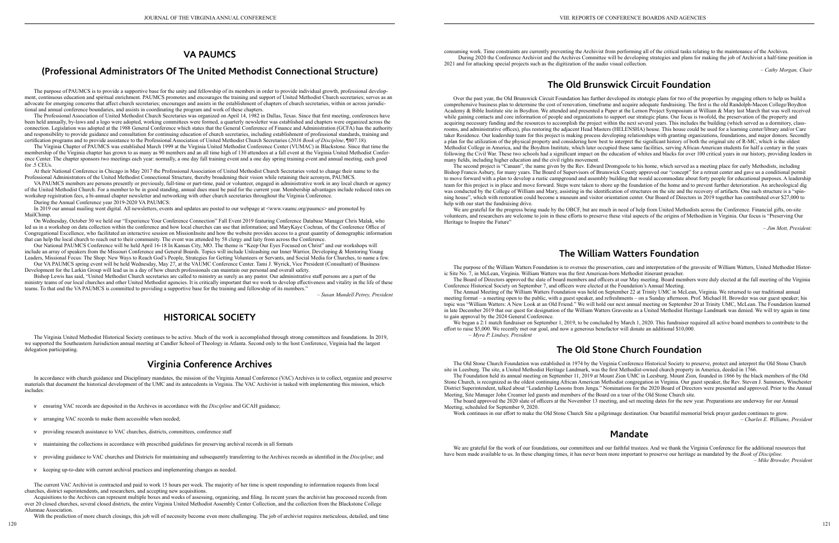## **VA PAUMCS**

## **(Professional Administrators Of The United Methodist Connectional Structure)**

The purpose of PAUMCS is to provide a supportive base for the unity and fellowship of its members in order to provide individual growth, professional development, continuous education and spiritual enrichment. PAUMCS promotes and encourages the training and support of United Methodist Church secretaries; serves as an advocate for emerging concerns that affect church secretaries; encourages and assists in the establishment of chapters of church secretaries, within or across jurisdictional and annual conference boundaries, and assists in coordinating the program and work of these chapters.

The Virginia Chapter of PAUMCS was established March 1999 at the Virginia United Methodist Conference Center (VUMAC) in Blackstone. Since that time the membership of the Virginia chapter has grown to as many as 90 members and an all time high of 130 attendees at a fall event at the Virginia United Methodist Conference Center. The chapter sponsors two meetings each year: normally, a one day fall training event and a one day spring training event and annual meeting, each good for .5 CEUs.

The Professional Association of United Methodist Church Secretaries was organized on April 14, 1982 in Dallas, Texas. Since that first meeting, conferences have been held annually, by-laws and a logo were adopted, working committees were formed, a quarterly newsletter was established and chapters were organized across the connection. Legislation was adopted at the 1988 General Conference which states that the General Conference of Finance and Administration (GCFA) has the authority and responsibility to provide guidance and consultation for continuing education of church secretaries, including establishment of professional standards, training and certification programs and to provide assistance to the Professional Association of United Methodist Church Secretaries (*2016 Book of Discipline*, ¶807.18).

In 2019 our annual mailing went digital. All newsletters, events and updates are posted to our webpage at <www.vaumc.org/paumcs> and promoted by MailChimp.

At their National Conference in Chicago in May 2017 the Professional Association of United Methodist Church Secretaries voted to change their name to the Professional Administrators of the United Methodist Connectional Structure, thereby broadening their vision while retaining their acronym, PAUMCS.

VA PAUMCS members are persons presently or previously, full-time or part-time, paid or volunteer, engaged in administrative work in any local church or agency of the United Methodist Church. For a member to be in good standing, annual dues must be paid for the current year. Membership advantages include reduced rates on workshop registration fees, a bi-annual chapter newsletter and networking with other church secretaries throughout the Virginia Conference.

During the Annual Conference year 2019-2020 VA PAUMCS:

On Wednesday, October 30 we held our "Experience Your Conference Connection" Fall Event 2019 featuring Conference Database Manager Chris Malak, who led us in a workshop on data collection within the conference and how local churches can use that information; and MaryKaye Cochran, of the Conference Office of Congregational Excellence, who facilitated an interactive session on MissionInsite and how the website provides access to a great quantity of demographic information that can help the local church to reach out to their community. The event was attended by 58 clergy and laity from across the Conference.

Our National PAUMCS Conference will be held April 16-18 In Kansas City, MO. The theme is "Keep Our Eyes Focused on Christ" and our workshops will include an array of speakers from the Missouri Conference and General Boards. Topics will include Unleashing our Inner Warrior, Developing & Mentoring Young Leaders, Missional Focus: The Shop: New Ways to Reach God's People, Strategies for Getting Volunteers or Servants, and Social Media for Churches, to name a few.

Our VA PAUMCS spring event will be held Wednesday, May 27, at the VAUMC Conference Center. Tami J. Wyrick, Vice President (Consultant) of Business Development for the Larkin Group will lead us in a day of how church professionals can maintain our personal and overall safety.

The second project is "Canaan", the name given by the Rev. Edward Dromgoole to his home, which served as a meeting place for early Methodists, including Bishop Francis Asbury, for many years. The Board of Supervisors of Brunswick County approved our "concept" for a retreat center and gave us a conditional permit to move forward with a plan to develop a rustic campground and assembly building that would accommodate about forty people for educational purposes. A leadership team for this project is in place and move forward. Steps were taken to shore up the foundation of the home and to prevent further deterioration. An archeological dig was conducted by the College of William and Mary, assisting in the identification of structures on the site and the recovery of artifacts. One such structure is a "spinning house", which with restoration could become a museum and visitor orientation center. Our Board of Directors in 2019 together has contributed over \$27,000 to help with our start the fundraising drive

Bishop Lewis has said, "United Methodist Church secretaries are called to ministry as surely as any pastor. Our administrative staff persons are a part of the ministry teams of our local churches and other United Methodist agencies. It is critically important that we work to develop effectiveness and vitality in the life of these teams. To that end the VA PAUMCS is committed to providing a supportive base for the training and fellowship of its members."

*– Susan Mundell Petrey, President*

## **HISTORICAL SOCIETY**

The Virginia United Methodist Historical Society continues to be active. Much of the work is accomplished through strong committees and foundations. In 2019, we supported the Southeastern Jurisdiction annual meeting at Candler School of Theology in Atlanta. Second only to the host Conference, Virginia had the largest delegation participating.

We are grateful for the progress being made by the OBCF, but are much in need of help from United Methodists across the Conference. Financial gifts, on-site volunteers, and researchers are welcome to join in these efforts to preserve these vital aspects of the origins of Methodism in Virginia. Our focus is "Preserving Our Heritage to Inspire the Future"

## **Virginia Conference Archives**

In accordance with church guidance and Disciplinary mandates, the mission of the Virginia Annual Conference (VAC) Archives is to collect, organize and preserve materials that document the historical development of the UMC and its antecedents in Virginia. The VAC Archivist is tasked with implementing this mission, which includes:

- v ensuring VAC records are deposited in the Archives in accordance with the *Discipline* and GCAH guidance;
- v arranging VAC records to make them accessible when needed;
- v providing research assistance to VAC churches, districts, committees, conference staff
- v maintaining the collections in accordance with prescribed guidelines for preserving archival records in all formats
- v providing guidance to VAC churches and Districts for maintaining and subsequently transferring to the Archives records as identified in the *Discipline*; and
- v keeping up-to-date with current archival practices and implementing changes as needed.

We began a 2:1 match fundraiser on September 1, 2019, to be concluded by March 1, 2020. This fundraiser required all active board members to contribute to the effort to raise \$5,000. We recently met our goal, and now a generous benefactor will donate an additional \$10,000. *– Myra P. Lindsey, President*

The current VAC Archivist is contracted and paid to work 15 hours per week. The majority of her time is spent responding to information requests from local churches, district superintendents, and researchers, and accepting new acquisitions.

Acquisitions to the Archives can represent multiple boxes and weeks of assessing, organizing, and filing. In recent years the archivist has processed records from over 20 closed churches, several closed districts, the entire Virginia United Methodist Assembly Center Collection, and the collection from the Blackstone College Alumnae Association.

We are grateful for the work of our foundations, our committees and our faithful trustees. And we thank the Virginia Conference for the additional resources that have been made available to us. In these changing times, it has never been more important to preserve our heritage as mandated by the *Book of Discipline. – Mike Browder, President*

With the prediction of more church closings, this job will of necessity become even more challenging. The job of archivist requires meticulous, detailed, and time

consuming work. Time constraints are currently preventing the Archivist from performing all of the critical tasks relating to the maintenance of the Archives. During 2020 the Conference Archivist and the Archives Committee will be developing strategies and plans for making the job of Archivist a half-time position in 2021 and for attacking special projects such as the digitization of the audio visual collection.

*– Cathy Morgan, Chair*

# **The Old Brunswick Circuit Foundation**

Over the past year, the Old Brunswick Circuit Foundation has further developed its strategic plans for two of the properties by engaging others to help us build a comprehensive business plan to determine the cost of renovation, timeframe and acquire adequate fundraising. The first is the old Randolph-Macon College/Boydton Academy & Bible Institute site in Boydton. We attended and presented a Paper at the Lemon Project Symposium at William & Mary last March that was well received while gaining contacts and core information of people and organizations to support our strategic plans. Our focus is twofold, the preservation of the property and acquiring necessary funding and the resources to accomplish the project within the next several years. This includes the building (which served as a dormitory, classrooms, and administrative offices), plus restoring the adjacent Head Masters (HELENSHA) house. This house could be used for a learning center/library and/or Care taker Residence. Our leadership team for this project is making process developing relationships with granting organizations, foundations, and major donors. Secondly a plan for the utilization of the physical property and considering how best to interpret the significant history of both the original site of R-MC, which is the oldest Methodist College in America, and the Boydton Institute, which later occupied these same facilities, serving African American students for half a century in the years following the Civil War. These two schools had a significant impact on the education of whites and blacks for over 100 critical years in our history, providing leaders in many fields, including higher education and the civil rights movement.

*– Jim Mott, President:*

## **The William Watters Foundation**

The purpose of the William Watters Foundation is to oversee the preservation, care and interpretation of the gravesite of William Watters, United Methodist Historic Site No. 7, in McLean, Virginia. William Watters was the first American-born Methodist itinerant preacher. The Board of Directors approved the slate of board members and officers at our May meeting. Board members were duly elected at the fall meeting of the Virginia Conference Historical Society on September 7, and officers were elected at the Foundation's Annual Meeting.

The Annual Meeting of the William Watters Foundation was held on September 22 at Trinity UMC in McLean, Virginia. We returned to our traditional annual meeting format – a meeting open to the public, with a guest speaker, and refreshments – on a Sunday afternoon. Prof. Michael H. Browder was our guest speaker; his topic was "William Watters: A New Look at an Old Friend." We will hold our next annual meeting on September 20 at Trinity UMC, McLean. The Foundation learned in late December 2019 that our quest for designation of the William Watters Gravesite as a United Methodist Heritage Landmark was denied. We will try again in time to gain approval by the 2024 General Conference.

# **The Old Stone Church Foundation**

The Old Stone Church Foundation was established in 1974 by the Virginia Conference Historical Society to preserve, protect and interpret the Old Stone Church site in Leesburg. The site, a United Methodist Heritage Landmark, was the first Methodist-owned church property in America, deeded in 1766.

The Foundation held its annual meeting on September 11, 2019 at Mount Zion UMC in Leesburg. Mount Zion, founded in 1866 by the black members of the Old Stone Church, is recognized as the oldest continuing African American Methodist congregation in Virginia. Our guest speaker, the Rev. Steven J. Summers, Winchester District Superintendent, talked about "Leadership Lessons from Jenga." Nominations for the 2020 Board of Directors were presented and approved. Prior to the Annual Meeting, Site Manager John Creamer led guests and members of the Board on a tour of the Old Stone Church site.

The board approved the 2020 slate of officers at the November 13 meeting, and set meeting dates for the new year. Preparations are underway for our Annual Meeting, scheduled for September 9, 2020.

Work continues in our effort to make the Old Stone Church Site a pilgrimage destination. Our beautiful memorial brick prayer garden continues to grow. *– Charles E. Williams, President*

## **Mandate**